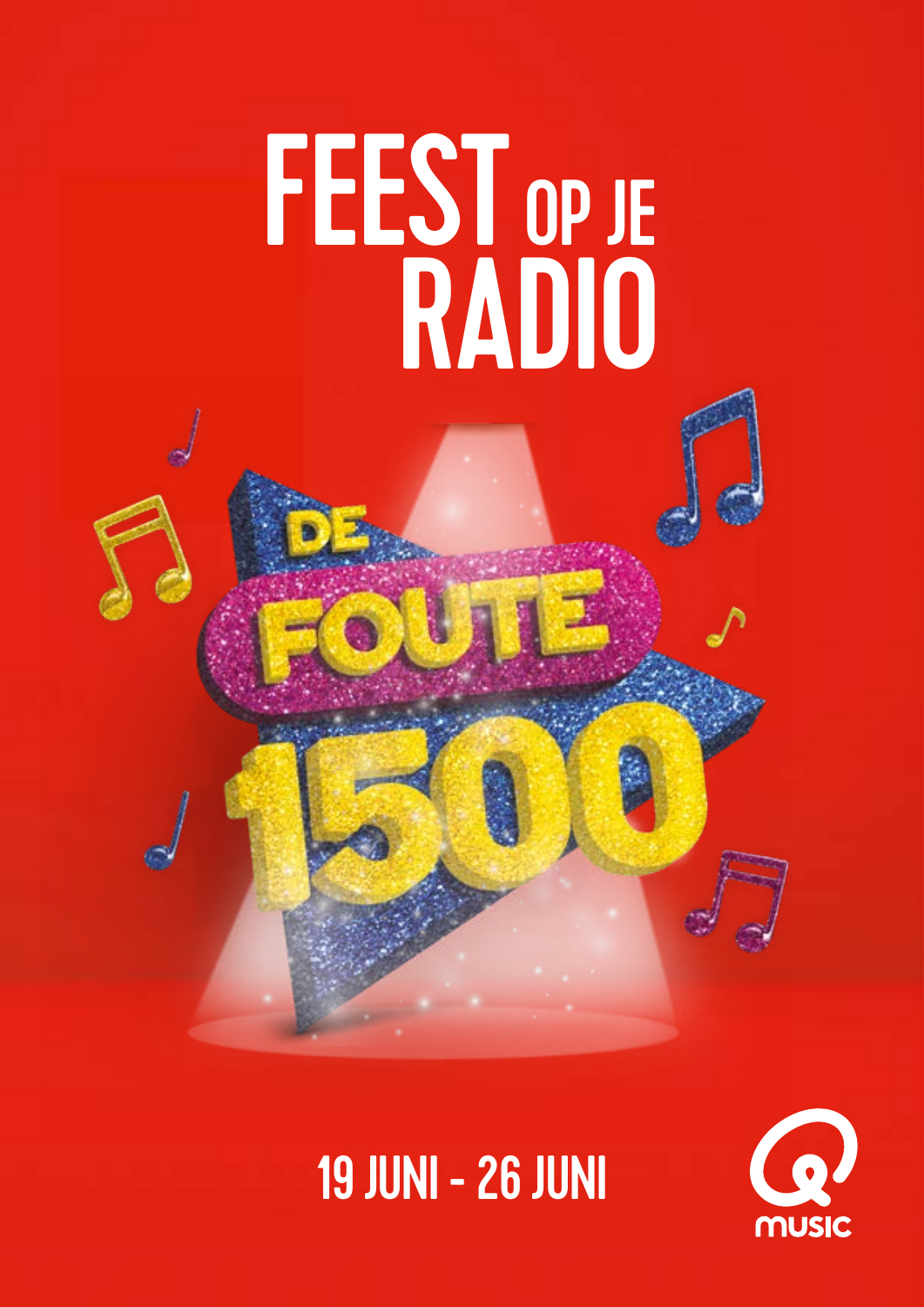## FEEST RADIO OP JE

## **2020**<br>2020 - 19 JUNI - 26 JUN 19 JUNI - 26 JUNI

28 MAART T/M 2 APRIL

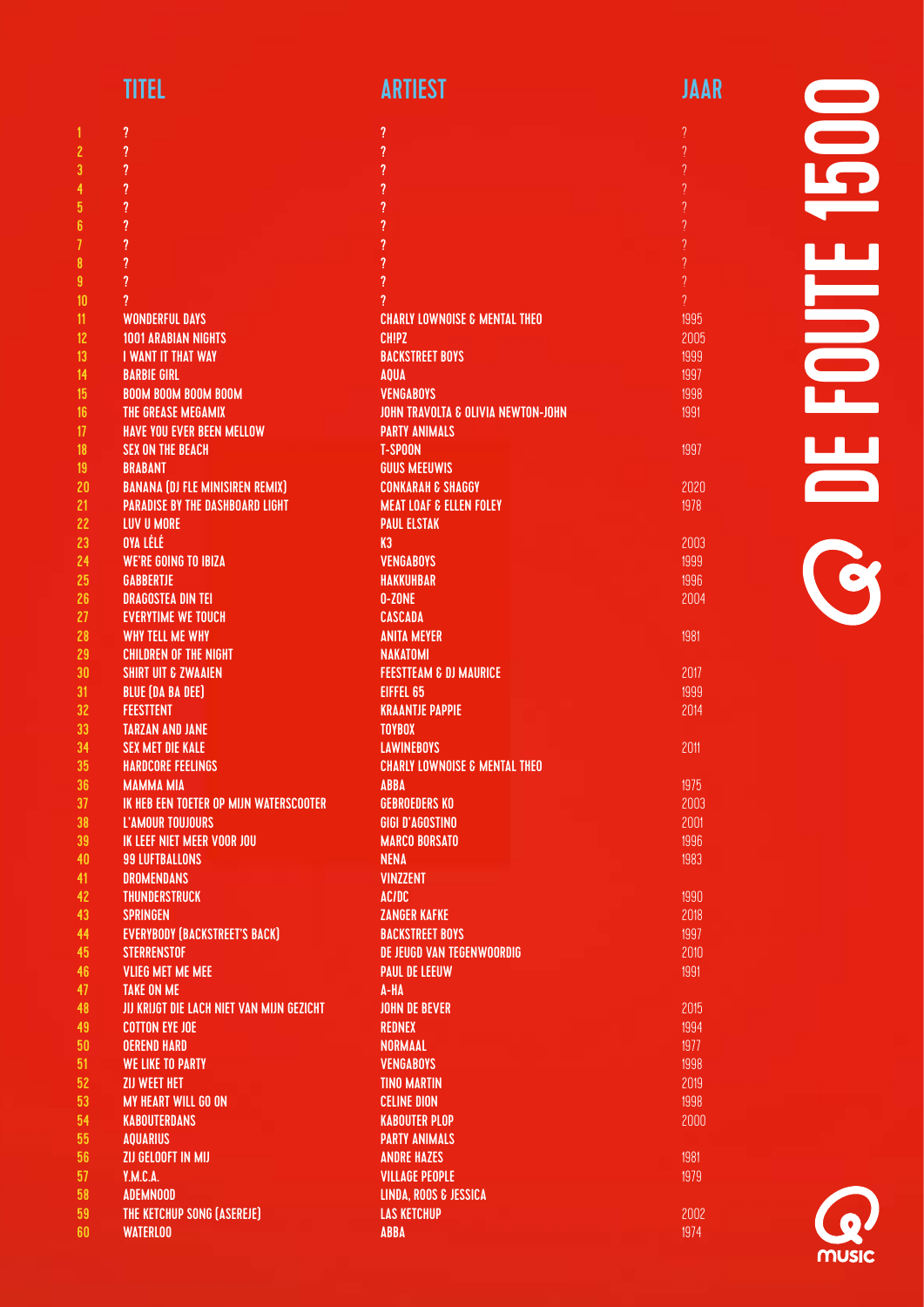| TITEL | <b>ARTIEST</b> | <b>JAAR</b> |
|-------|----------------|-------------|
|       |                |             |

| <b>Service Service</b> | <b>Service Service</b><br><b>Service Service</b> | <b>Service Service</b><br><b>Service Service</b> |  |
|------------------------|--------------------------------------------------|--------------------------------------------------|--|

? ? ? ? ? ? ?

1997

2020 1978

1981

2017 1999 2014

2011

1981 1979

|                         | ?                                         | ?                                             |
|-------------------------|-------------------------------------------|-----------------------------------------------|
| $\overline{\mathbf{c}}$ | ?                                         | ?                                             |
| 3                       | ?                                         | ?                                             |
| 4                       | $\overline{\mathcal{L}}$                  | ?                                             |
| 5                       | ?                                         | ?                                             |
| 6                       | ?                                         | ?                                             |
| 7                       | ?                                         | ?                                             |
|                         |                                           | $\overline{?}$                                |
| 8                       | ?                                         |                                               |
| 9                       | ?                                         | ?                                             |
| 10                      | ?                                         | 7                                             |
| 11                      | <b>WONDERFUL DAYS</b>                     | <b>CHARLY LOWNOISE &amp; MENTAL THEO</b>      |
| 12                      | <b>1001 ARABIAN NIGHTS</b>                | <b>CHIPZ</b>                                  |
| 13 <sup>°</sup>         | <b>I WANT IT THAT WAY</b>                 | <b>BACKSTREET BOYS</b>                        |
| 14                      | <b>BARBIE GIRL</b>                        | <b>AQUA</b>                                   |
| 15 <sub>15</sub>        | <b>BOOM BOOM BOOM BOOM</b>                | <b>VENGABOYS</b>                              |
| 16 <sup>1</sup>         | THE GREASE MEGAMIX                        | <b>JOHN TRAVOLTA &amp; OLIVIA NEWTON-JOHN</b> |
| 17                      | <b>HAVE YOU EVER BEEN MELLOW</b>          |                                               |
|                         |                                           | <b>PARTY ANIMALS</b>                          |
| 18                      | <b>SEX ON THE BEACH</b>                   | <b>T-SPOON</b>                                |
| 19                      | <b>BRABANT</b>                            | <b>GUUS MEEUWIS</b>                           |
| 20                      | <b>BANANA (DJ FLE MINISIREN REMIX)</b>    | <b>CONKARAH &amp; SHAGGY</b>                  |
| 21                      | <b>PARADISE BY THE DASHBOARD LIGHT</b>    | <b>MEAT LOAF &amp; ELLEN FOLEY</b>            |
| 22                      | <b>LUV U MORE</b>                         | <b>PAUL ELSTAK</b>                            |
| 23                      | OYA LÉLÉ                                  | K3                                            |
| 24                      | <b>WE'RE GOING TO IBIZA</b>               | <b>VENGABOYS</b>                              |
| 25                      | <b>GABBERTJE</b>                          | <b>HAKKUHBAR</b>                              |
| 26                      | <b>DRAGOSTEA DIN TEI</b>                  | 0-ZONE                                        |
|                         |                                           |                                               |
| 27                      | <b>EVERYTIME WE TOUCH</b>                 | <b>CASCADA</b>                                |
| 28                      | WHY TELL ME WHY                           | <b>ANITA MEYER</b>                            |
| 29                      | <b>CHILDREN OF THE NIGHT</b>              | <b>NAKATOMI</b>                               |
| 30                      | <b>SHIRT UIT &amp; ZWAAIEN</b>            | <b>FEESTTEAM &amp; DJ MAURICE</b>             |
| 31                      | <b>BLUE (DA BA DEE)</b>                   | EIFFEL 65                                     |
| 32                      | <b>FEESTTENT</b>                          | <b>KRAANTJE PAPPIE</b>                        |
| 33                      | <b>TARZAN AND JANE</b>                    | <b>TOYBOX</b>                                 |
| 34                      | <b>SEX MET DIE KALE</b>                   | <b>LAWINEBOYS</b>                             |
| 35                      | <b>HARDCORE FEELINGS</b>                  | <b>CHARLY LOWNOISE &amp; MENTAL THEO</b>      |
| 36                      | <b>MAMMA MIA</b>                          | <b>ABBA</b>                                   |
| 37                      | IK HEB EEN TOETER OP MIJN WATERSCOOTER    | <b>GEBROEDERS KO</b>                          |
|                         |                                           |                                               |
| 38                      | L'AMOUR TOUJOURS                          | <b>GIGI D'AGOSTINO</b>                        |
| 39                      | IK LEEF NIET MEER VOOR JOU                | <b>MARCO BORSATO</b>                          |
| 40                      | <b>99 LUFTBALLONS</b>                     | <b>NENA</b>                                   |
| 41                      | <b>DROMENDANS</b>                         | <b>VINZZENT</b>                               |
| 42                      | <b>THUNDERSTRUCK</b>                      | <b>AC/DC</b>                                  |
| 43                      | <b>SPRINGEN</b>                           | <b>ZANGER KAFKE</b>                           |
| 44                      | <b>EVERYBODY (BACKSTREET'S BACK)</b>      | <b>BACKSTREET BOYS</b>                        |
| 45                      | <b>STERRENSTOF</b>                        | DE JEUGD VAN TEGENWOORDIG                     |
| 46                      | <b>VLIEG MET ME MEE</b>                   | <b>PAUL DE LEEUW</b>                          |
| 47                      | <b>TAKE ON ME</b>                         | A-HA                                          |
|                         |                                           |                                               |
| 48                      | JIJ KRIJGT DIE LACH NIET VAN MIJN GEZICHT | <b>JOHN DE BEVER</b>                          |
| 49                      | <b>COTTON EYE JOE</b>                     | <b>REDNEX</b>                                 |
| 50                      | <b>OEREND HARD</b>                        | <b>NORMAAL</b>                                |
| 51                      | <b>WE LIKE TO PARTY</b>                   | <b>VENGABOYS</b>                              |
| 52                      | ZIJ WEET HET                              | <b>TINO MARTIN</b>                            |
| 53                      | <b>MY HEART WILL GO ON</b>                | <b>CELINE DION</b>                            |
| 54                      | <b>KABOUTERDANS</b>                       | <b>KABOUTER PLOP</b>                          |
| 55                      | <b>AQUARIUS</b>                           | <b>PARTY ANIMALS</b>                          |
| 56                      | ZIJ GELOOFT IN MIJ                        | <b>ANDRE HAZES</b>                            |
| 57                      | Y.M.C.A.                                  | <b>VILLAGE PEOPLE</b>                         |
|                         |                                           |                                               |
| 58                      | <b>ADEMNOOD</b>                           | LINDA, ROOS & JESSICA                         |
| 59                      | THE KETCHUP SONG (ASEREJE)                | <b>LAS KETCHUP</b>                            |
| 60                      | <b>WATERLOO</b>                           | <b>ABBA</b>                                   |

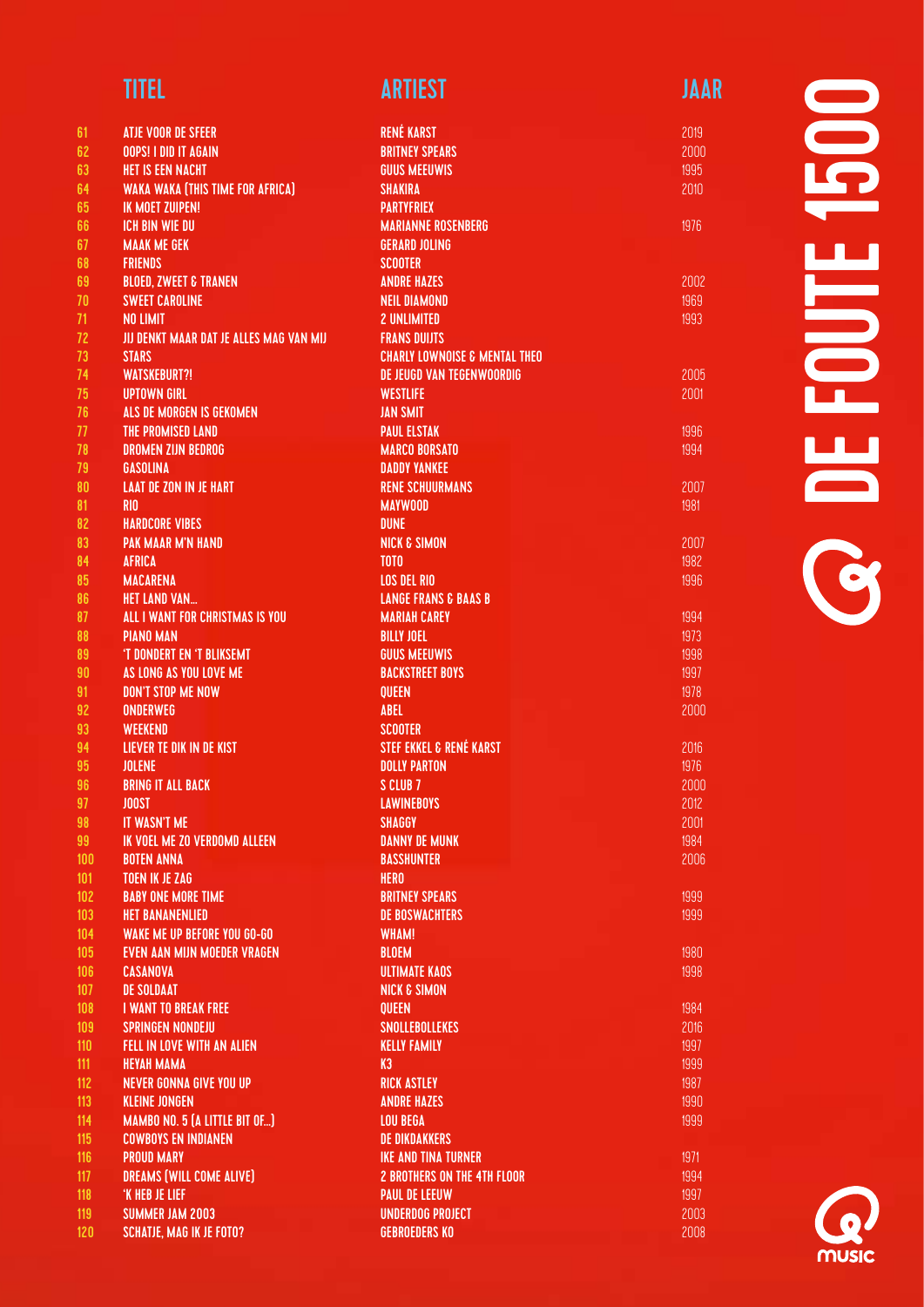| <b>TITEL</b> | <b>ARTIEST</b> | JAAR |
|--------------|----------------|------|
|              |                |      |

| 61  | ATJE VOOR DE SFEER                      | <b>RENÉ KARST</b>                        |
|-----|-----------------------------------------|------------------------------------------|
| 62  | <b>OOPS! I DID IT AGAIN</b>             | <b>BRITNEY SPEARS</b>                    |
| 63  | <b>HET IS EEN NACHT</b>                 | <b>GUUS MEEUWIS</b>                      |
| 64  | <b>WAKA WAKA (THIS TIME FOR AFRICA)</b> | <b>SHAKIRA</b>                           |
| 65  | <b>IK MOET ZUIPEN!</b>                  | <b>PARTYFRIEX</b>                        |
| 66  | <b>ICH BIN WIE DU</b>                   | <b>MARIANNE ROSENBERG</b>                |
| 67  | <b>MAAK ME GEK</b>                      | <b>GERARD JOLING</b>                     |
| 68  | <b>FRIENDS</b>                          | <b>SCOOTER</b>                           |
| 69  | <b>BLOED, ZWEET &amp; TRANEN</b>        | <b>ANDRE HAZES</b>                       |
| 70  | <b>SWEET CAROLINE</b>                   | <b>NEIL DIAMOND</b>                      |
| 71  | <b>NO LIMIT</b>                         | <b>2 UNLIMITED</b>                       |
| 72  | JIJ DENKT MAAR DAT JE ALLES MAG VAN MIJ | <b>FRANS DUIJTS</b>                      |
| 73  | <b>STARS</b>                            | <b>CHARLY LOWNOISE &amp; MENTAL THEO</b> |
| 74  | <b>WATSKEBURT?!</b>                     | DE JEUGD VAN TEGENWOORDIG                |
| 75  | <b>UPTOWN GIRL</b>                      | <b>WESTLIFE</b>                          |
| 76  | ALS DE MORGEN IS GEKOMEN                | <b>JAN SMIT</b>                          |
| 77  | <b>THE PROMISED LAND</b>                | <b>PAUL ELSTAK</b>                       |
| 78  | <b>DROMEN ZIJN BEDROG</b>               | <b>MARCO BORSATO</b>                     |
| 79  | <b>GASOLINA</b>                         | <b>DADDY YANKEE</b>                      |
| 80  | <b>LAAT DE ZON IN JE HART</b>           | <b>RENE SCHUURMANS</b>                   |
| 81  | <b>RIO</b>                              | <b>MAYWOOD</b>                           |
| 82  | <b>HARDCORE VIBES</b>                   | <b>DUNE</b>                              |
| 83  | <b>PAK MAAR M'N HAND</b>                | <b>NICK &amp; SIMON</b>                  |
| 84  | <b>AFRICA</b>                           | TOTO                                     |
| 85  | <b>MACARENA</b>                         | <b>LOS DEL RIO</b>                       |
| 86  | <b>HET LAND VAN</b>                     | <b>LANGE FRANS &amp; BAAS B</b>          |
| 87  | ALL I WANT FOR CHRISTMAS IS YOU         | <b>MARIAH CAREY</b>                      |
|     |                                         |                                          |
| 88  | <b>PIANO MAN</b>                        | <b>BILLY JOEL</b>                        |
| 89  | 'T DONDERT EN 'T BLIKSEMT               | <b>GUUS MEEUWIS</b>                      |
| 90  | AS LONG AS YOU LOVE ME                  | <b>BACKSTREET BOYS</b>                   |
| 91  | <b>DON'T STOP ME NOW</b>                | <b>QUEEN</b>                             |
| 92  | <b>ONDERWEG</b>                         | <b>ABEL</b>                              |
| 93  | <b>WEEKEND</b>                          | <b>SCOOTER</b>                           |
| 94  | LIEVER TE DIK IN DE KIST                | <b>STEF EKKEL &amp; RENÉ KARST</b>       |
| 95  | <b>JOLENE</b>                           | <b>DOLLY PARTON</b>                      |
| 96  | <b>BRING IT ALL BACK</b>                | S CLUB 7                                 |
| 97  | <b>JOOST</b>                            | <b>LAWINEBOYS</b>                        |
| 98  | IT WASN'T ME                            | SHAGGY                                   |
| 99  | <b>IK VOEL ME ZO VERDOMD ALLEEN</b>     | <b>DANNY DE MUNK</b>                     |
| 100 | <b>BOTEN ANNA</b>                       | <b>BASSHUNTER</b>                        |
| 101 | <b>TOEN IK JE ZAG</b>                   | <b>HERO</b>                              |
| 102 | <b>BABY ONE MORE TIME</b>               | <b>BRITNEY SPEARS</b>                    |
| 103 | <b>HET BANANENLIED</b>                  | <b>DE BOSWACHTERS</b>                    |
| 104 | <b>WAKE ME UP BEFORE YOU GO-GO</b>      | <b>WHAM!</b>                             |
| 105 | <b>EVEN AAN MIJN MOEDER VRAGEN</b>      | <b>BLOEM</b>                             |
| 106 | CASANOVA                                | <b>ULTIMATE KAOS</b>                     |
| 107 | <b>DE SOLDAAT</b>                       | <b>NICK &amp; SIMON</b>                  |
| 108 | <b>I WANT TO BREAK FREE</b>             | <b>QUEEN</b>                             |
| 109 | <b>SPRINGEN NONDEJU</b>                 | <b>SNOLLEBOLLEKES</b>                    |
| 110 | <b>FELL IN LOVE WITH AN ALIEN</b>       | <b>KELLY FAMILY</b>                      |
| 111 | <b>HEYAH MAMA</b>                       | K3                                       |
| 112 | <b>NEVER GONNA GIVE YOU UP</b>          | <b>RICK ASTLEY</b>                       |
| 113 | <b>KLEINE JONGEN</b>                    | <b>ANDRE HAZES</b>                       |
| 114 | MAMBO NO. 5 (A LITTLE BIT OF)           | <b>LOU BEGA</b>                          |
| 115 | <b>COWBOYS EN INDIANEN</b>              | <b>DE DIKDAKKERS</b>                     |
| 116 | <b>PROUD MARY</b>                       | <b>IKE AND TINA TURNER</b>               |
| 117 | DREAMS (WILL COME ALIVE)                | <b>2 BROTHERS ON THE 4TH FLOOR</b>       |
| 118 | 'K HEB JE LIEF                          | <b>PAUL DE LEEUW</b>                     |
| 119 | <b>SUMMER JAM 2003</b>                  | <b>UNDERDOG PROJECT</b>                  |
| 120 | <b>SCHATJE, MAG IK JE FOTO?</b>         | <b>GEBROEDERS KO</b>                     |

# 1500 DE FOUTE 1500 FOUTE **OB**

1976

2002 1969 1993

2005 2001

1996 1994

2007 1981

2007 1982 1996

1999 1999

1980 1998

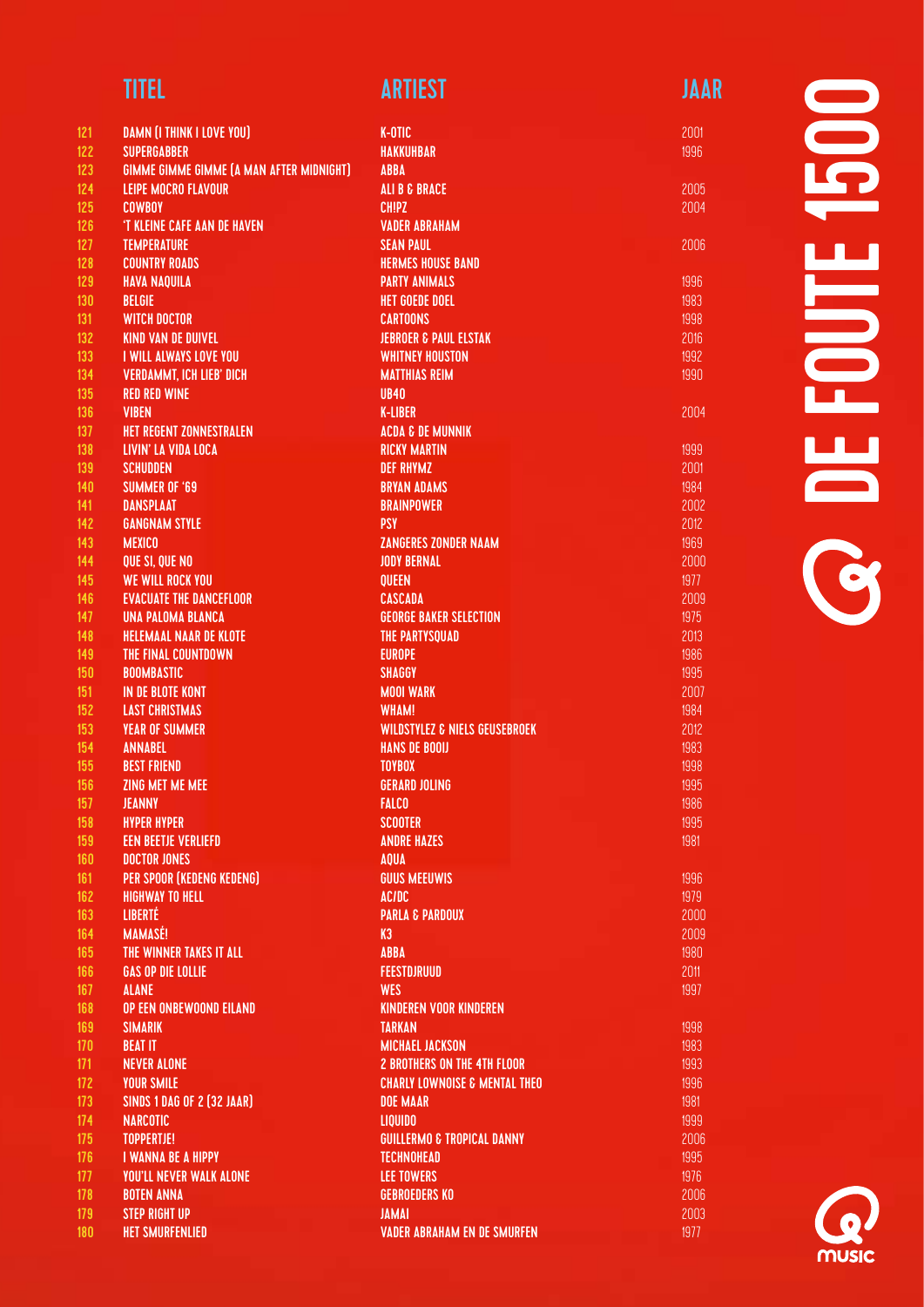| 121        | <b>DAMN (I THINK I LOVE YOU)</b>                | K-OTIC                                                   |
|------------|-------------------------------------------------|----------------------------------------------------------|
| 122        | <b>SUPERGABBER</b>                              | <b>HAKKUHBAR</b>                                         |
| 123        | <b>GIMME GIMME GIMME (A MAN AFTER MIDNIGHT)</b> | ABBA                                                     |
| 124        | <b>LEIPE MOCRO FLAVOUR</b>                      | <b>ALI B &amp; BRACE</b>                                 |
| 125        | <b>COWBOY</b>                                   | <b>CHIPZ</b>                                             |
| 126        | 'T KLEINE CAFE AAN DE HAVEN                     | <b>VADER ABRAHAM</b>                                     |
| 127        | <b>TEMPERATURE</b>                              | <b>SEAN PAUL</b>                                         |
| 128        | <b>COUNTRY ROADS</b>                            | <b>HERMES HOUSE BAND</b>                                 |
| 129        | <b>HAVA NAQUILA</b>                             | <b>PARTY ANIMALS</b>                                     |
| 130        | <b>BELGIE</b>                                   | <b>HET GOEDE DOEL</b>                                    |
| 131        | <b>WITCH DOCTOR</b>                             | <b>CARTOONS</b>                                          |
| 132        | <b>KIND VAN DE DUIVEL</b>                       | <b>JEBROER &amp; PAUL ELSTAK</b>                         |
| 133        | <b>I WILL ALWAYS LOVE YOU</b>                   | <b>WHITNEY HOUSTON</b>                                   |
| 134        | <b>VERDAMMT, ICH LIEB' DICH</b>                 | <b>MATTHIAS REIM</b>                                     |
| 135        | <b>RED RED WINE</b>                             | <b>UB40</b>                                              |
| 136        | <b>VIBEN</b>                                    | <b>K-LIBER</b>                                           |
| 137        | <b>HET REGENT ZONNESTRALEN</b>                  | <b>ACDA &amp; DE MUNNIK</b>                              |
| 138        | LIVIN' LA VIDA LOCA                             | <b>RICKY MARTIN</b>                                      |
| 139        | <b>SCHUDDEN</b>                                 | <b>DEF RHYMZ</b>                                         |
| 140        | <b>SUMMER OF '69</b>                            | <b>BRYAN ADAMS</b>                                       |
| 141        | <b>DANSPLAAT</b>                                | <b>BRAINPOWER</b>                                        |
| 142        | <b>GANGNAM STYLE</b>                            | <b>PSY</b>                                               |
| 143        | <b>MEXICO</b>                                   | <b>ZANGERES ZONDER NAAM</b>                              |
| 144        | QUE SI, QUE NO                                  | <b>JODY BERNAL</b>                                       |
| 145        | <b>WE WILL ROCK YOU</b>                         | <b>QUEEN</b>                                             |
| 146        | <b>EVACUATE THE DANCEFLOOR</b>                  | <b>CASCADA</b>                                           |
| 147        | <b>UNA PALOMA BLANCA</b>                        | <b>GEORGE BAKER SELECTION</b>                            |
| 148        | <b>HELEMAAL NAAR DE KLOTE</b>                   | <b>THE PARTYSQUAD</b>                                    |
| 149        | THE FINAL COUNTDOWN                             | <b>EUROPE</b>                                            |
| 150        | <b>BOOMBASTIC</b>                               | <b>SHAGGY</b>                                            |
| 151<br>152 | IN DE BLOTE KONT<br><b>LAST CHRISTMAS</b>       | <b>MOOI WARK</b>                                         |
| 153        | <b>YEAR OF SUMMER</b>                           | <b>WHAM!</b><br><b>WILDSTYLEZ &amp; NIELS GEUSEBROEK</b> |
| 154        | <b>ANNABEL</b>                                  | <b>HANS DE BOOIJ</b>                                     |
| 155        | <b>BEST FRIEND</b>                              | <b>TOYBOX</b>                                            |
| 156        | <b>ZING MET ME MEE</b>                          | <b>GERARD JOLING</b>                                     |
| 157        | <b>JEANNY</b>                                   | <b>FALCO</b>                                             |
| 158        | <b>HYPER HYPER</b>                              | <b>SCOOTER</b>                                           |
| 159        | <b>EEN BEETJE VERLIEFD</b>                      | <b>ANDRE HAZES</b>                                       |
| 160        | <b>DOCTOR JONES</b>                             | <b>AQUA</b>                                              |
| 161        | <b>PER SPOOR (KEDENG KEDENG)</b>                | <b>GUUS MEEUWIS</b>                                      |
| 162        | <b>HIGHWAY TO HELL</b>                          | <b>AC/DC</b>                                             |
| 163        | <b>LIBERTÉ</b>                                  | <b>PARLA &amp; PARDOUX</b>                               |
| 164        | <b>MAMASÉ!</b>                                  | K3                                                       |
| 165        | THE WINNER TAKES IT ALL                         | <b>ABBA</b>                                              |
| 166        | <b>GAS OP DIE LOLLIE</b>                        | <b>FEESTDJRUUD</b>                                       |
| 167        | <b>ALANE</b>                                    | <b>WES</b>                                               |
| 168        | OP EEN ONBEWOOND EILAND                         | <b>KINDEREN VOOR KINDEREN</b>                            |
| 169        | <b>SIMARIK</b>                                  | <b>TARKAN</b>                                            |
| 170        | <b>BEAT IT</b>                                  | <b>MICHAEL JACKSON</b>                                   |
| 171        | <b>NEVER ALONE</b>                              | <b>2 BROTHERS ON THE 4TH FLOOR</b>                       |
| 172        | <b>YOUR SMILE</b>                               | <b>CHARLY LOWNOISE &amp; MENTAL THEO</b>                 |
| 173        | <b>SINDS 1 DAG OF 2 [32 JAAR]</b>               | <b>DOE MAAR</b>                                          |
| 174        | <b>NARCOTIC</b>                                 | <b>LIQUIDO</b>                                           |
| 175        | <b>TOPPERTJE!</b>                               | <b>GUILLERMO &amp; TROPICAL DANNY</b>                    |
| 176        | <b>I WANNA BE A HIPPY</b>                       | <b>TECHNOHEAD</b>                                        |
| 177        | <b>YOU'LL NEVER WALK ALONE</b>                  | <b>LEE TOWERS</b>                                        |
| 178        | <b>BOTEN ANNA</b>                               | <b>GEBROEDERS KO</b>                                     |
| 179        | <b>STEP RIGHT UP</b>                            | <b>JAMAI</b>                                             |
| 180        | <b>HET SMURFENLIED</b>                          | <b>VADER ABRAHAM EN DE SMURFEN</b>                       |

**UCLE** DE FOUTE 1500 **ENGE OB** 

2001 1996

2005 2004

2006

2004

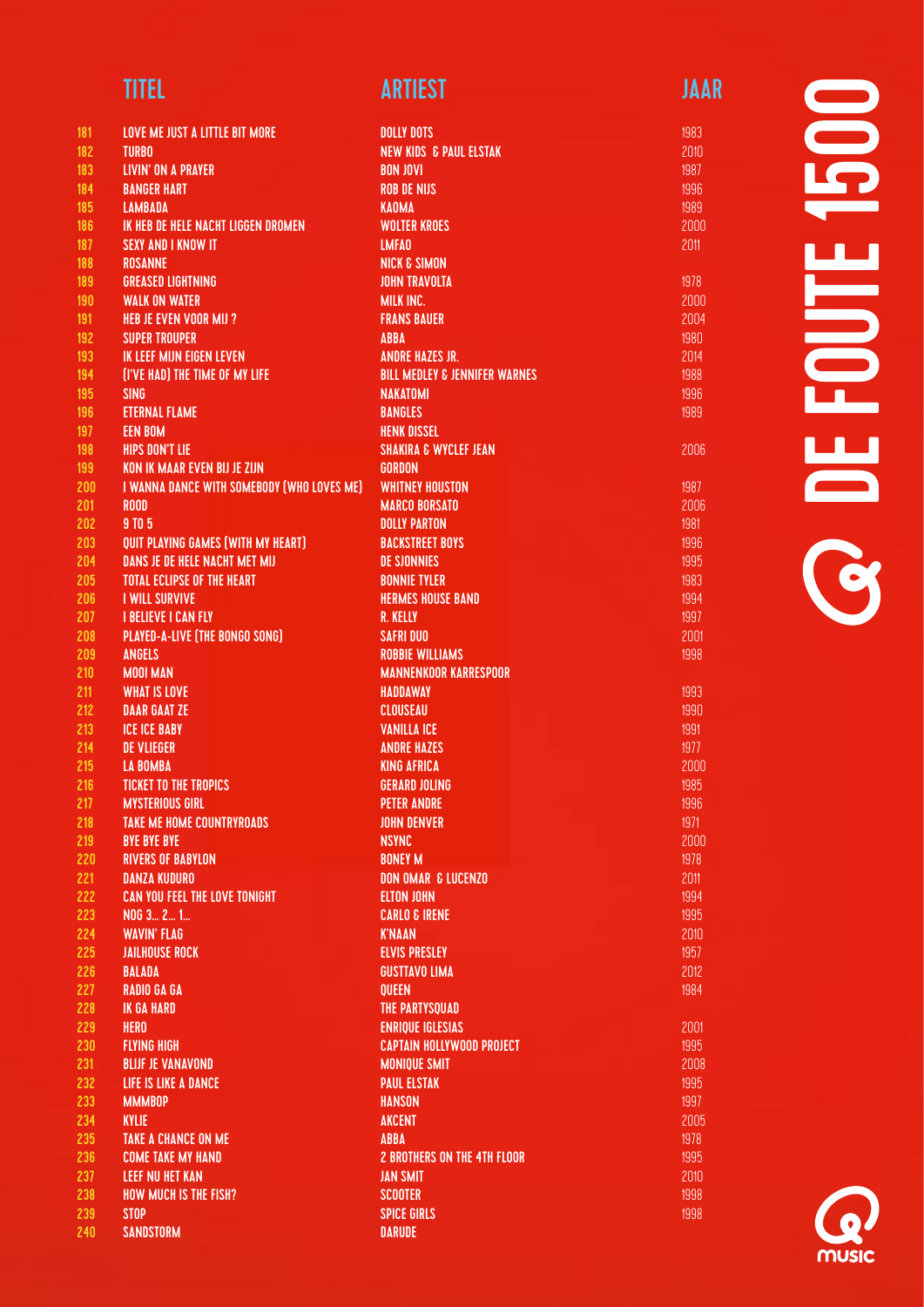| <b>TITEL</b> | <b>ARTIEST</b> | JAAR |
|--------------|----------------|------|
|              |                |      |

| 181 | LOVE ME JUST A LITTLE BIT MORE             | <b>DOLLY DOTS</b>                        |
|-----|--------------------------------------------|------------------------------------------|
| 182 | <b>TURBO</b>                               | <b>NEW KIDS &amp; PAUL ELSTAK</b>        |
| 183 | <b>LIVIN' ON A PRAYER</b>                  | <b>BON JOVI</b>                          |
| 184 | <b>BANGER HART</b>                         | <b>ROB DE NIJS</b>                       |
| 185 | <b>LAMBADA</b>                             | <b>KAOMA</b>                             |
| 186 | IK HEB DE HELE NACHT LIGGEN DROMEN         | <b>WOLTER KROES</b>                      |
| 187 | <b>SEXY AND I KNOW IT</b>                  | <b>LMFAO</b>                             |
| 188 | <b>ROSANNE</b>                             | <b>NICK &amp; SIMON</b>                  |
| 189 | <b>GREASED LIGHTNING</b>                   | <b>JOHN TRAVOLTA</b>                     |
|     | <b>WALK ON WATER</b>                       | <b>MILK INC.</b>                         |
| 190 |                                            | <b>FRANS BAUER</b>                       |
| 191 | <b>HEB JE EVEN VOOR MIJ ?</b>              |                                          |
| 192 | <b>SUPER TROUPER</b>                       | <b>ABBA</b>                              |
| 193 | IK LEEF MIJN EIGEN LEVEN                   | <b>ANDRE HAZES JR.</b>                   |
| 194 | (I'VE HAD) THE TIME OF MY LIFE             | <b>BILL MEDLEY &amp; JENNIFER WARNES</b> |
| 195 | <b>SING</b>                                | <b>NAKATOMI</b>                          |
| 196 | <b>ETERNAL FLAME</b>                       | <b>BANGLES</b>                           |
| 197 | <b>EEN BOM</b>                             | <b>HENK DISSEL</b>                       |
| 198 | <b>HIPS DON'T LIE</b>                      | <b>SHAKIRA &amp; WYCLEF JEAN</b>         |
| 199 | KON IK MAAR EVEN BIJ JE ZIJN               | <b>GORDON</b>                            |
| 200 | I WANNA DANCE WITH SOMEBODY (WHO LOVES ME) | <b>WHITNEY HOUSTON</b>                   |
| 201 | <b>ROOD</b>                                | <b>MARCO BORSATO</b>                     |
| 202 | 9 TO 5                                     | <b>DOLLY PARTON</b>                      |
| 203 | QUIT PLAYING GAMES (WITH MY HEART)         | <b>BACKSTREET BOYS</b>                   |
| 204 | DANS JE DE HELE NACHT MET MIJ              | <b>DE SJONNIES</b>                       |
| 205 | <b>TOTAL ECLIPSE OF THE HEART</b>          | <b>BONNIE TYLER</b>                      |
| 206 | <b>I WILL SURVIVE</b>                      | <b>HERMES HOUSE BAND</b>                 |
| 207 | <b>I BELIEVE I CAN FLY</b>                 | <b>R. KELLY</b>                          |
| 208 | PLAYED-A-LIVE (THE BONGO SONG)             | <b>SAFRI DUO</b>                         |
| 209 | <b>ANGELS</b>                              | <b>ROBBIE WILLIAMS</b>                   |
| 210 | <b>MOOI MAN</b>                            | <b>MANNENKOOR KARRESPOOR</b>             |
| 211 | <b>WHAT IS LOVE</b>                        | <b>HADDAWAY</b>                          |
| 212 | <b>DAAR GAAT ZE</b>                        | <b>CLOUSEAU</b>                          |
| 213 | <b>ICE ICE BABY</b>                        | <b>VANILLA ICE</b>                       |
| 214 | <b>DE VLIEGER</b>                          | <b>ANDRE HAZES</b>                       |
| 215 | LA BOMBA                                   | <b>KING AFRICA</b>                       |
| 216 | TICKET TO THE TROPICS                      | <b>GERARD JOLING</b>                     |
| 217 | <b>MYSTERIOUS GIRL</b>                     | <b>PETER ANDRE</b>                       |
| 218 | <b>TAKE ME HOME COUNTRYROADS</b>           | <b>JOHN DENVER</b>                       |
| 219 | <b>BYE BYE BYE</b>                         | <b>NSYNC</b>                             |
| 220 | <b>RIVERS OF BABYLON</b>                   | <b>BONEY M</b>                           |
| 221 | <b>DANZA KUDURO</b>                        | <b>DON OMAR &amp; LUCENZO</b>            |
| 222 | <b>CAN YOU FEEL THE LOVE TONIGHT</b>       | <b>ELTON JOHN</b>                        |
| 223 | N06321                                     | <b>CARLO &amp; IRENE</b>                 |
| 224 | <b>WAVIN' FLAG</b>                         | <b>K'NAAN</b>                            |
| 225 | <b>JAILHOUSE ROCK</b>                      | <b>ELVIS PRESLEY</b>                     |
| 226 | <b>BALADA</b>                              | <b>GUSTTAVO LIMA</b>                     |
| 227 | <b>RADIO GA GA</b>                         | QUEEN                                    |
| 228 | <b>IK GA HARD</b>                          | THE PARTYSQUAD                           |
| 229 | <b>HERO</b>                                | <b>ENRIQUE IGLESIAS</b>                  |
| 230 | <b>FLYING HIGH</b>                         | <b>CAPTAIN HOLLYWOOD PROJECT</b>         |
| 231 | <b>BLIJF JE VANAVOND</b>                   | <b>MONIQUE SMIT</b>                      |
| 232 | LIFE IS LIKE A DANCE                       | <b>PAUL ELSTAK</b>                       |
| 233 | <b>MMMB0P</b>                              | <b>HANSON</b>                            |
| 234 | <b>KYLIE</b>                               | <b>AKCENT</b>                            |
| 235 | <b>TAKE A CHANCE ON ME</b>                 | <b>ABBA</b>                              |
|     |                                            |                                          |
| 236 | <b>COME TAKE MY HAND</b>                   | <b>2 BROTHERS ON THE 4TH FLOOR</b>       |
| 237 | <b>LEEF NU HET KAN</b>                     | <b>JAN SMIT</b>                          |
| 238 | <b>HOW MUCH IS THE FISH?</b>               | <b>SCOOTER</b>                           |
| 239 | <b>STOP</b>                                | <b>SPICE GIRLS</b>                       |
| 240 | <b>SANDSTORM</b>                           | <b>DARUDE</b>                            |

# 8 DE FOUTE 1500 **SOLENOUTE**

2006

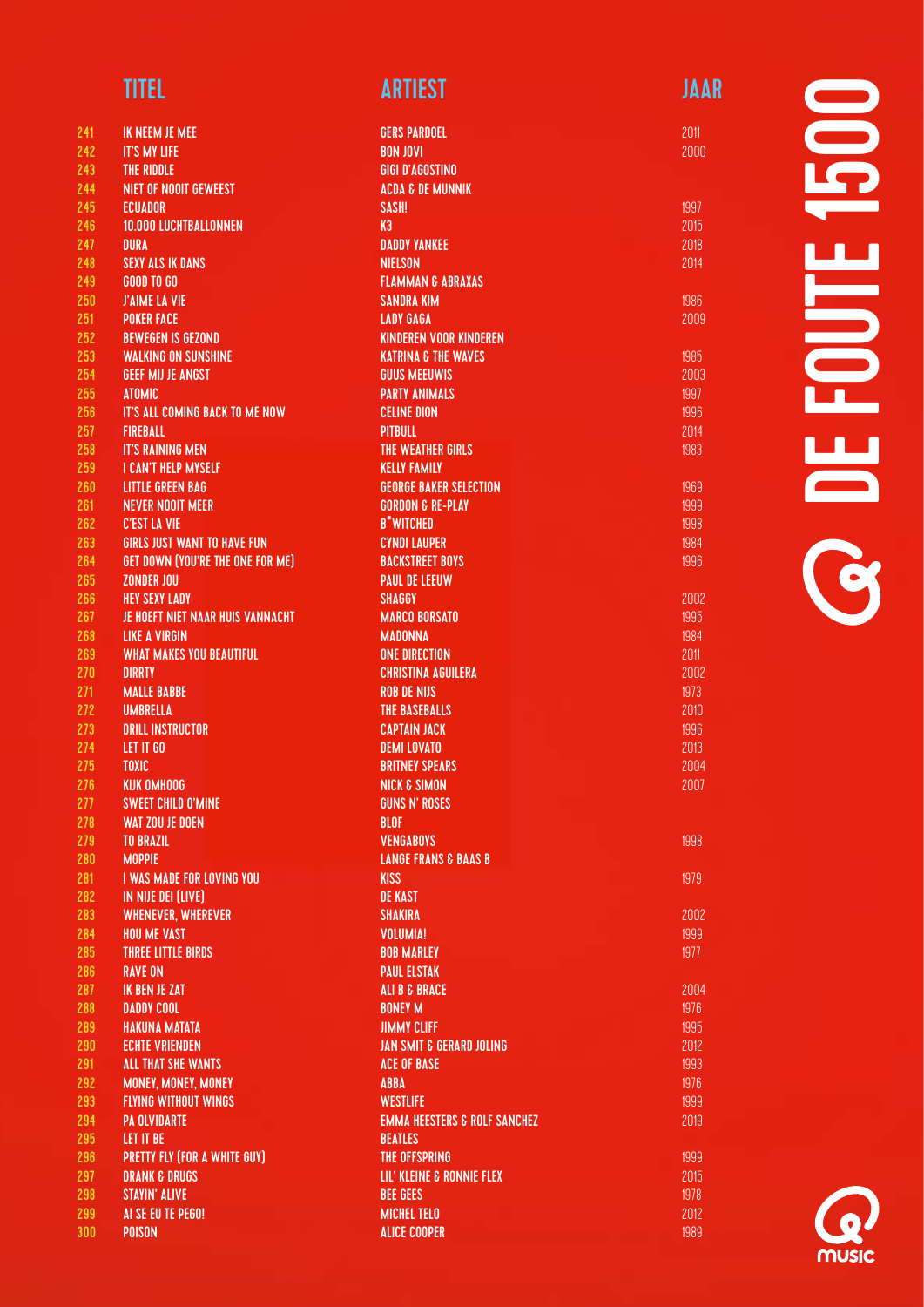| 241        | IK NEEM JE MEE                                   | <b>GERS PARDOEL</b>                          |
|------------|--------------------------------------------------|----------------------------------------------|
| 242        | <b>IT'S MY LIFE</b>                              | <b>BON JOVI</b>                              |
| 243        | THE RIDDLE                                       | <b>GIGI D'AGOSTINO</b>                       |
| 244        | <b>NIET OF NOOIT GEWEEST</b>                     | <b>ACDA &amp; DE MUNNIK</b>                  |
| 245        | <b>ECUADOR</b>                                   | SASH!                                        |
| 246        | 10.000 LUCHTBALLONNEN                            | K3                                           |
| 247        | <b>DURA</b>                                      | <b>DADDY YANKEE</b>                          |
| 248        | <b>SEXY ALS IK DANS</b>                          | <b>NIELSON</b>                               |
| 249        | <b>GOOD TO GO</b>                                | <b>FLAMMAN &amp; ABRAXAS</b>                 |
| 250        | <b>J'AIME LA VIE</b>                             | <b>SANDRA KIM</b>                            |
| 251        | <b>POKER FACE</b>                                | <b>LADY GAGA</b>                             |
| 252        | <b>BEWEGEN IS GEZOND</b>                         | <b>KINDEREN VOOR KINDEREN</b>                |
| 253        | <b>WALKING ON SUNSHINE</b>                       | <b>KATRINA &amp; THE WAVES</b>               |
| 254        | <b>GEEF MIJ JE ANGST</b>                         | <b>GUUS MEEUWIS</b>                          |
| 255        | <b>ATOMIC</b>                                    | <b>PARTY ANIMALS</b>                         |
| 256        | IT'S ALL COMING BACK TO ME NOW                   | <b>CELINE DION</b>                           |
| 257        | <b>FIREBALL</b>                                  | <b>PITBULL</b>                               |
| 258        | <b>IT'S RAINING MEN</b>                          | THE WEATHER GIRLS                            |
| 259        | I CAN'T HELP MYSELF                              | <b>KELLY FAMILY</b>                          |
| 260        | <b>LITTLE GREEN BAG</b>                          | <b>GEORGE BAKER SELECTION</b>                |
| 261        | <b>NEVER NOOIT MEER</b>                          | <b>GORDON &amp; RE-PLAY</b>                  |
| 262        | <b>C'EST LA VIE</b>                              | <b>B*WITCHED</b>                             |
| 263        | GIRLS JUST WANT TO HAVE FUN                      | <b>CYNDI LAUPER</b>                          |
| 264        | GET DOWN (YOU'RE THE ONE FOR ME)                 | <b>BACKSTREET BOYS</b>                       |
| 265        | <b>ZONDER JOU</b>                                | <b>PAUL DE LEEUW</b>                         |
| 266        | <b>HEY SEXY LADY</b>                             | <b>SHAGGY</b>                                |
| 267        | JE HOEFT NIET NAAR HUIS VANNACHT                 | <b>MARCO BORSATO</b>                         |
| 268        | <b>LIKE A VIRGIN</b>                             | <b>MADONNA</b>                               |
| 269        | <b>WHAT MAKES YOU BEAUTIFUL</b>                  | <b>ONE DIRECTION</b>                         |
| 270        | <b>DIRRTY</b>                                    | <b>CHRISTINA AGUILERA</b>                    |
| 271        | <b>MALLE BABBE</b>                               | <b>ROB DE NIJS</b>                           |
| 272        | <b>UMBRELLA</b>                                  | THE BASEBALLS                                |
| 273        | <b>DRILL INSTRUCTOR</b>                          | <b>CAPTAIN JACK</b>                          |
| 274        | LET IT GO                                        | <b>DEMI LOVATO</b>                           |
| 275        | <b>TOXIC</b>                                     | <b>BRITNEY SPEARS</b>                        |
| 276        | KIJK OMHOOG                                      | <b>NICK &amp; SIMON</b>                      |
| 277        | <b>SWEET CHILD O'MINE</b>                        | <b>GUNS N' ROSES</b>                         |
| 278        | <b>WAT ZOU JE DOEN</b>                           | <b>BLOF</b>                                  |
| 279        | <b>TO BRAZIL</b>                                 | <b>VENGABOYS</b>                             |
| 280        | <b>MOPPIE</b>                                    | <b>LANGE FRANS &amp; BAAS B</b>              |
| 281        | <b>I WAS MADE FOR LOVING YOU</b>                 | <b>KISS</b>                                  |
| 282        | IN NIJE DEI (LIVE)                               | <b>DE KAST</b>                               |
| 283        | <b>WHENEVER, WHEREVER</b>                        | <b>SHAKIRA</b>                               |
| 284        | <b>HOU ME VAST</b>                               | <b>VOLUMIA!</b>                              |
| 285        | <b>THREE LITTLE BIRDS</b>                        | <b>BOB MARLEY</b>                            |
| 286        | <b>RAVE ON</b>                                   | <b>PAUL ELSTAK</b>                           |
| 287        | <b>IK BEN JE ZAT</b>                             | <b>ALI B &amp; BRACE</b>                     |
| 288        | <b>DADDY COOL</b>                                | <b>BONEY M</b>                               |
| 289        | <b>HAKUNA MATATA</b>                             | <b>JIMMY CLIFF</b>                           |
| 290        | <b>ECHTE VRIENDEN</b>                            | <b>JAN SMIT &amp; GERARD JOLING</b>          |
| 291        | <b>ALL THAT SHE WANTS</b>                        | <b>ACE OF BASE</b>                           |
| 292        | <b>MONEY, MONEY, MONEY</b>                       | <b>ABBA</b>                                  |
| 293        | <b>FLYING WITHOUT WINGS</b>                      | <b>WESTLIFE</b>                              |
| 294        | <b>PA OLVIDARTE</b>                              | <b>EMMA HEESTERS &amp; ROLF SANCHEZ</b>      |
| 295        | LET IT BE                                        | <b>BEATLES</b>                               |
| 296<br>297 | <b>PRETTY FLY (FOR A WHITE GUY)</b>              | THE OFFSPRING                                |
| 298        | <b>DRANK &amp; DRUGS</b><br><b>STAYIN' ALIVE</b> | LIL' KLEINE & RONNIE FLEX<br><b>BEE GEES</b> |
| 299        | AI SE EU TE PEGO!                                | <b>MICHEL TELO</b>                           |
| 300        | <b>POISON</b>                                    | <b>ALICE COOPER</b>                          |
|            |                                                  |                                              |

## $\blacksquare$ DE FOUTE 1500  $\frac{1}{1}$  $\overline{\phantom{0}}$ **OF**

2011 2000

1986 2009

1998

1979

2002 1999 1977

**MUSIC**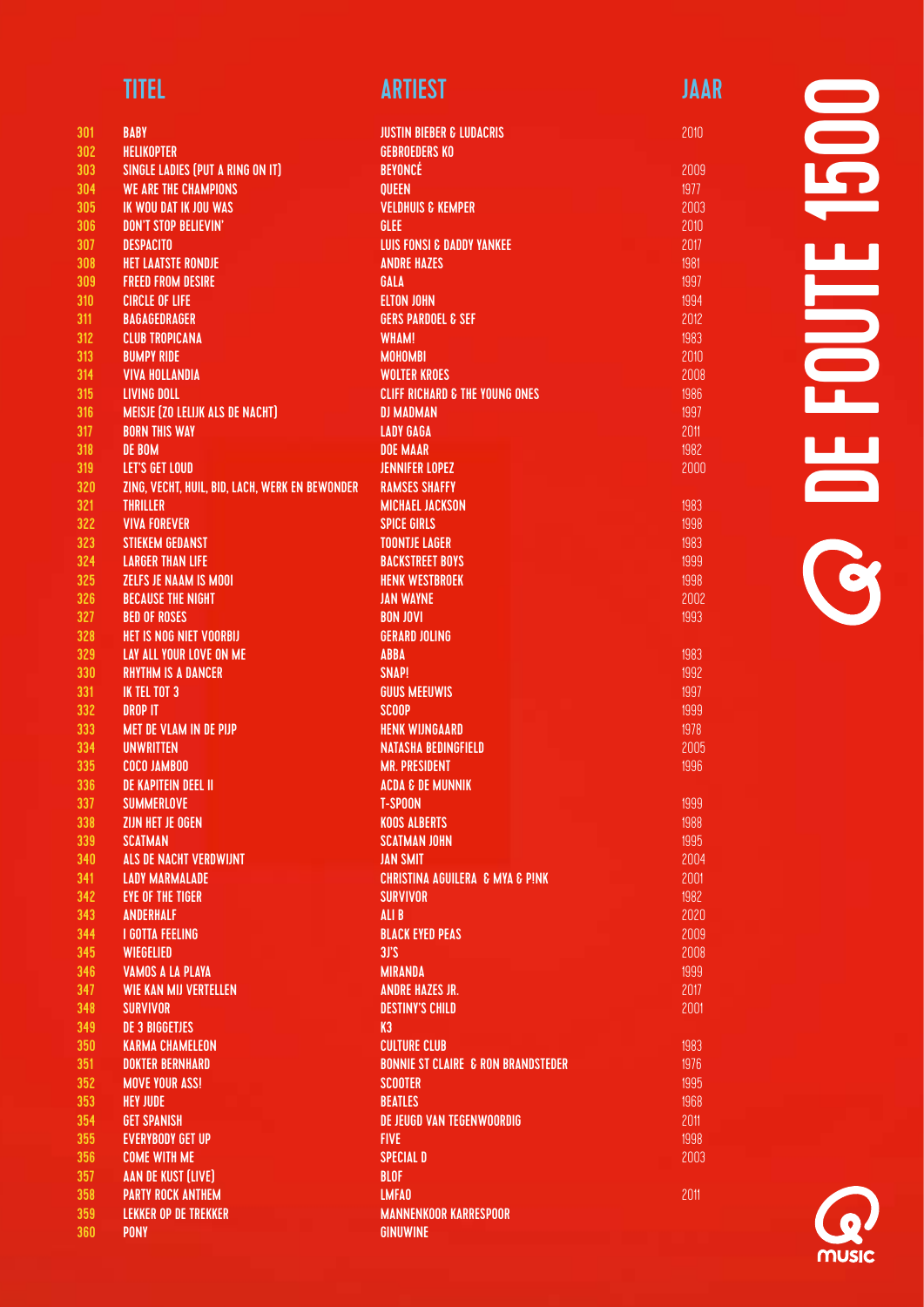| <b>TITEL</b> | <b>ARTIEST</b> | JAAR |
|--------------|----------------|------|
|              |                |      |

| 301        | <b>BABY</b>                                     | <b>JUSTIN BIEBER &amp; LUDACRIS</b>            |
|------------|-------------------------------------------------|------------------------------------------------|
| 302        | <b>HELIKOPTER</b>                               | <b>GEBROEDERS KO</b>                           |
| 303        | SINGLE LADIES (PUT A RING ON IT)                | <b>BEYONCÉ</b>                                 |
| 304        | <b>WE ARE THE CHAMPIONS</b>                     | <b>QUEEN</b>                                   |
| 305        | IK WOU DAT IK JOU WAS                           | <b>VELDHUIS &amp; KEMPER</b>                   |
| 306        | <b>DON'T STOP BELIEVIN'</b>                     | GLEE                                           |
| 307        | <b>DESPACITO</b>                                | <b>LUIS FONSI &amp; DADDY YANKEE</b>           |
| 308        | <b>HET LAATSTE RONDJE</b>                       | <b>ANDRE HAZES</b>                             |
| 309        | <b>FREED FROM DESIRE</b>                        | GALA                                           |
| 310        | <b>CIRCLE OF LIFE</b>                           | <b>ELTON JOHN</b>                              |
| 311        | <b>BAGAGEDRAGER</b>                             | <b>GERS PARDOEL &amp; SEF</b>                  |
| 312        | <b>CLUB TROPICANA</b>                           | <b>WHAM!</b>                                   |
| 313        | <b>BUMPY RIDE</b>                               | <b>MOHOMBI</b>                                 |
| 314        | <b>VIVA HOLLANDIA</b>                           | <b>WOLTER KROES</b>                            |
| 315        | <b>LIVING DOLL</b>                              | <b>CLIFF RICHARD &amp; THE YOUNG ONES</b>      |
| 316        | <b>MEISJE (ZO LELIJK ALS DE NACHT)</b>          | <b>DJ MADMAN</b>                               |
| 317        | <b>BORN THIS WAY</b>                            | <b>LADY GAGA</b>                               |
| 318        | DE BOM                                          | <b>DOE MAAR</b>                                |
| 319        | LET'S GET LOUD                                  | <b>JENNIFER LOPEZ</b>                          |
| 320        | ZING, VECHT, HUIL, BID, LACH, WERK EN BEWONDER  | <b>RAMSES SHAFFY</b>                           |
| 321        | <b>THRILLER</b>                                 | <b>MICHAEL JACKSON</b>                         |
| 322        | <b>VIVA FOREVER</b>                             | <b>SPICE GIRLS</b>                             |
| 323        | <b>STIEKEM GEDANST</b>                          | <b>TOONTJE LAGER</b>                           |
| 324        | <b>LARGER THAN LIFE</b>                         | <b>BACKSTREET BOYS</b>                         |
| 325        | <b>ZELFS JE NAAM IS MOOI</b>                    | <b>HENK WESTBROEK</b>                          |
| 326        | <b>BECAUSE THE NIGHT</b>                        | <b>JAN WAYNE</b>                               |
| 327        | <b>BED OF ROSES</b>                             | <b>BON JOVI</b>                                |
| 328        | HET IS NOG NIET VOORBIJ                         | <b>GERARD JOLING</b>                           |
| 329        | <b>LAY ALL YOUR LOVE ON ME</b>                  | <b>ABBA</b>                                    |
| 330        | <b>RHYTHM IS A DANCER</b>                       | <b>SNAP!</b>                                   |
| 331<br>332 | IK TEL TOT 3                                    | <b>GUUS MEEUWIS</b>                            |
| 333        | <b>DROP IT</b><br><b>MET DE VLAM IN DE PIJP</b> | <b>SCOOP</b><br><b>HENK WIJNGAARD</b>          |
| 334        | <b>UNWRITTEN</b>                                | <b>NATASHA BEDINGFIELD</b>                     |
| 335        | <b>COCO JAMBOO</b>                              | <b>MR. PRESIDENT</b>                           |
| 336        | <b>DE KAPITEIN DEEL II</b>                      | <b>ACDA &amp; DE MUNNIK</b>                    |
| 337        | <b>SUMMERLOVE</b>                               | <b>T-SPOON</b>                                 |
| 338        | ZIJN HET JE OGEN                                | <b>KOOS ALBERTS</b>                            |
| 339        | <b>SCATMAN</b>                                  | <b>SCATMAN JOHN</b>                            |
| 340        | ALS DE NACHT VERDWIJNT                          | <b>JAN SMIT</b>                                |
| 341        | <b>LADY MARMALADE</b>                           | <b>CHRISTINA AGUILERA &amp; MYA &amp; PINK</b> |
| 342        | <b>EYE OF THE TIGER</b>                         | <b>SURVIVOR</b>                                |
| 343        | <b>ANDERHALF</b>                                | ALI B                                          |
| 344        | <b>I GOTTA FEELING</b>                          | <b>BLACK EYED PEAS</b>                         |
| 345        | WIEGELIED                                       | 3J'S                                           |
| 346        | <b>VAMOS A LA PLAYA</b>                         | <b>MIRANDA</b>                                 |
| 347        | <b>WIE KAN MIJ VERTELLEN</b>                    | <b>ANDRE HAZES JR.</b>                         |
| 348        | <b>SURVIVOR</b>                                 | <b>DESTINY'S CHILD</b>                         |
| 349        | <b>DE 3 BIGGETJES</b>                           | K3                                             |
| 350        | <b>KARMA CHAMELEON</b>                          | <b>CULTURE CLUB</b>                            |
| 351        | <b>DOKTER BERNHARD</b>                          | <b>BONNIE ST CLAIRE &amp; RON BRANDSTEDER</b>  |
| 352        | <b>MOVE YOUR ASS!</b>                           | <b>SCOOTER</b>                                 |
| 353        | <b>HEY JUDE</b>                                 | <b>BEATLES</b>                                 |
| 354        | <b>GET SPANISH</b>                              | DE JEUGD VAN TEGENWOORDIG                      |
| 355        | <b>EVERYBODY GET UP</b>                         | <b>FIVE</b>                                    |
| 356        | <b>COME WITH ME</b>                             | <b>SPECIAL D</b>                               |
| 357        | <b>AAN DE KUST (LIVE)</b>                       | <b>BLOF</b>                                    |
| 358        | <b>PARTY ROCK ANTHEM</b>                        | <b>LMFAO</b>                                   |
| 359        | <b>LEKKER OP DE TREKKER</b>                     | <b>MANNENKOOR KARRESPOOR</b>                   |
| 360        | <b>PONY</b>                                     | <b>GINUWINE</b>                                |



2011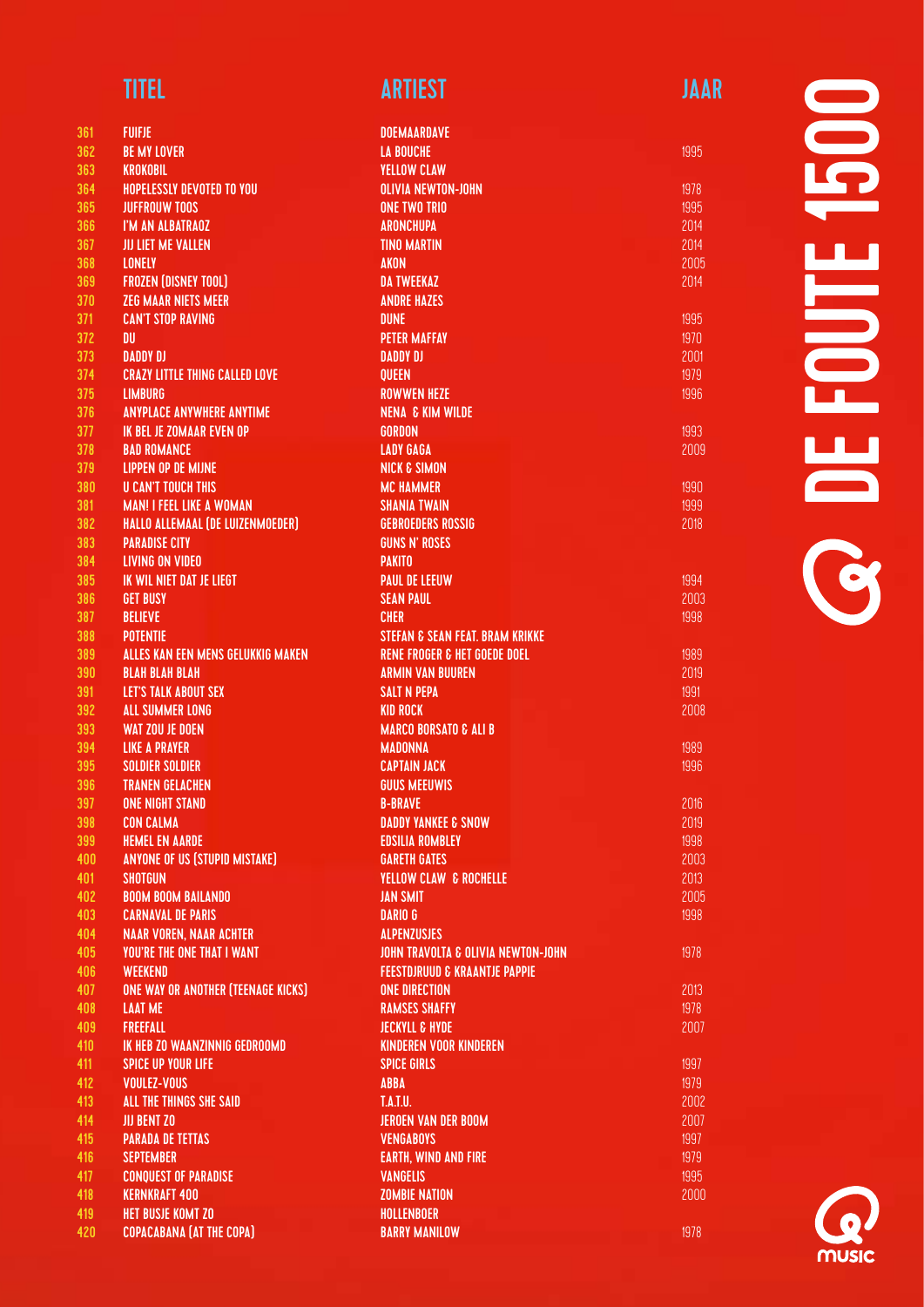| 361        | <b>FUIFJE</b>                                          |
|------------|--------------------------------------------------------|
| 362        | <b>BE MY LOVER</b>                                     |
| 363        | <b>KROKOBIL</b>                                        |
| 364        | <b>HOPELESSLY DEVOTED TO YOU</b>                       |
| 365        | <b>JUFFROUW TOOS</b>                                   |
| 366        | I'M AN ALBATRAOZ                                       |
| 367        | <b>JIJ LIET ME VALLEN</b>                              |
| 368        | <b>LONELY</b>                                          |
| 369        | <b>FROZEN (DISNEY TOOL)</b>                            |
| 370        | <b>ZEG MAAR NIETS MEER</b>                             |
| 371        | <b>CAN'T STOP RAVING</b>                               |
| 372        | DU                                                     |
| 373        | <b>DADDY DJ</b>                                        |
| 374        | <b>CRAZY LITTLE THING CALLED LOVE</b>                  |
| 375        | <b>LIMBURG</b>                                         |
| 376        | <b>ANYPLACE ANYWHERE ANYTIME</b>                       |
| 377        | <b>IK BEL JE ZOMAAR EVEN OP</b>                        |
| 378        | <b>BAD ROMANCE</b>                                     |
| 379        | <b>LIPPEN OP DE MIJNE</b>                              |
| 380        | <b>U CAN'T TOUCH THIS</b>                              |
| 381        | <b>MAN! I FEEL LIKE A WOMAN</b>                        |
| 382        | HALLO ALLEMAAL (DE LUIZENMOEDER)                       |
| 383        | <b>PARADISE CITY</b>                                   |
| 384        | <b>LIVING ON VIDEO</b>                                 |
| 385        | IK WIL NIET DAT JE LIEGT                               |
| 386        | <b>GET BUSY</b>                                        |
| 387        | <b>BELIEVE</b>                                         |
| 388        | <b>POTENTIE</b>                                        |
| 389        | ALLES KAN EEN MENS GELUKKIG MAKEN                      |
| 390        | <b>BLAH BLAH BLAH</b>                                  |
| 391        | <b>LET'S TALK ABOUT SEX</b>                            |
| 392        | <b>ALL SUMMER LONG</b>                                 |
| 393        | <b>WAT ZOU JE DOEN</b>                                 |
| 394        | <b>LIKE A PRAYER</b>                                   |
| 395        | <b>SOLDIER SOLDIER</b>                                 |
| 396        | <b>TRANEN GELACHEN</b>                                 |
| 397        | <b>ONE NIGHT STAND</b>                                 |
| 398        | <b>CON CALMA</b>                                       |
| 399        | <b>HEMEL EN AARDE</b>                                  |
| 400        | <b>ANYONE OF US (STUPID MISTAKE)</b><br><b>SHOTGUN</b> |
| 401        | <b>BOOM BOOM BAILANDO</b>                              |
| 402<br>403 | <b>CARNAVAL DE PARIS</b>                               |
| 404        | <b>NAAR VOREN, NAAR ACHTER</b>                         |
| 405        | <b>YOU'RE THE ONE THAT I WANT</b>                      |
| 406        | <b>WEEKEND</b>                                         |
| 407        | <b>ONE WAY OR ANOTHER (TEENAGE KICKS)</b>              |
| 408        | <b>LAAT ME</b>                                         |
| 409        | <b>FREEFALL</b>                                        |
| 410        | <b>IK HEB ZO WAANZINNIG GEDROOMD</b>                   |
| 411        | <b>SPICE UP YOUR LIFE</b>                              |
| 412        | <b>VOULEZ-VOUS</b>                                     |
| 413        | ALL THE THINGS SHE SAID                                |
| 414        | <b>JIJ BENT ZO</b>                                     |
| 415        | <b>PARADA DE TETTAS</b>                                |
| 416        | <b>SEPTEMBER</b>                                       |
| 417        | <b>CONQUEST OF PARADISE</b>                            |
| 418        | <b>KERNKRAFT 400</b>                                   |
| 419        | <b>HET BUSJE KOMT ZO</b>                               |

COPACABANA (AT THE COPA)

### TITEL ARTIEST ARTIEST ARTIEST ARTIEST ARTIEST ARTIEST ARTIEST ARTIEST ARTIEST ARTIEST ARTIEST ARTIEST ARTIEST

|                 | <b>DOEMAARDAVE</b>                            |      |
|-----------------|-----------------------------------------------|------|
|                 | <b>LA BOUCHE</b>                              | 1995 |
|                 | <b>YELLOW CLAW</b>                            |      |
|                 | <b>OLIVIA NEWTON-JOHN</b>                     | 1978 |
|                 | <b>ONE TWO TRIO</b>                           | 1995 |
|                 | <b>ARONCHUPA</b>                              | 2014 |
|                 | <b>TINO MARTIN</b>                            | 2014 |
| <b>AKON</b>     |                                               | 2005 |
|                 | <b>DA TWEEKAZ</b>                             | 2014 |
|                 | <b>ANDRE HAZES</b>                            |      |
| <b>DUNE</b>     |                                               |      |
|                 |                                               | 1995 |
|                 | <b>PETER MAFFAY</b>                           | 1970 |
|                 | <b>DADDY DJ</b>                               | 2001 |
| <b>QUEEN</b>    |                                               | 1979 |
|                 | <b>ROWWEN HEZE</b>                            | 1996 |
|                 | <b>NENA &amp; KIM WILDE</b>                   |      |
| <b>GORDON</b>   |                                               | 1993 |
|                 | <b>LADY GAGA</b>                              | 2009 |
|                 | <b>NICK &amp; SIMON</b>                       |      |
|                 | <b>MC HAMMER</b>                              | 1990 |
|                 | <b>SHANIA TWAIN</b>                           | 1999 |
|                 | <b>GEBROEDERS ROSSIG</b>                      | 2018 |
|                 | <b>GUNS N' ROSES</b>                          |      |
| <b>PAKITO</b>   |                                               |      |
|                 | <b>PAUL DE LEEUW</b>                          | 1994 |
|                 | <b>SEAN PAUL</b>                              | 2003 |
| <b>CHER</b>     |                                               | 1998 |
|                 | <b>STEFAN &amp; SEAN FEAT. BRAM KRIKKE</b>    |      |
|                 | <b>RENE FROGER &amp; HET GOEDE DOEL</b>       |      |
|                 |                                               | 1989 |
|                 | <b>ARMIN VAN BUUREN</b>                       | 2019 |
|                 | <b>SALT N PEPA</b>                            | 1991 |
|                 | <b>KID ROCK</b>                               | 2008 |
|                 | <b>MARCO BORSATO &amp; ALI B</b>              |      |
|                 | <b>MADONNA</b>                                | 1989 |
|                 | <b>CAPTAIN JACK</b>                           | 1996 |
|                 | <b>GUUS MEEUWIS</b>                           |      |
| <b>B-BRAVE</b>  |                                               | 2016 |
|                 | <b>DADDY YANKEE &amp; SNOW</b>                | 2019 |
|                 | <b>EDSILIA ROMBLEY</b>                        | 1998 |
|                 | <b>GARETH GATES</b>                           | 2003 |
|                 | <b>YELLOW CLAW &amp; ROCHELLE</b>             | 2013 |
|                 | <b>JAN SMIT</b>                               | 2005 |
| <b>DARIO G</b>  |                                               | 1998 |
|                 | <b>ALPENZUSJES</b>                            |      |
|                 | <b>JOHN TRAVOLTA &amp; OLIVIA NEWTON-JOHN</b> | 1978 |
|                 | <b>FEESTDJRUUD &amp; KRAANTJE PAPPIE</b>      |      |
|                 | <b>ONE DIRECTION</b>                          | 2013 |
|                 | <b>RAMSES SHAFFY</b>                          | 1978 |
|                 | <b>JECKYLL &amp; HYDE</b>                     | 2007 |
|                 | <b>KINDEREN VOOR KINDEREN</b>                 |      |
|                 | <b>SPICE GIRLS</b>                            | 1997 |
| <b>ABBA</b>     |                                               | 1979 |
| <b>T.A.T.U.</b> |                                               | 2002 |
|                 | <b>JEROEN VAN DER BOOM</b>                    | 2007 |
|                 |                                               |      |
|                 | <b>VENGABOYS</b>                              | 1997 |
|                 | <b>EARTH, WIND AND FIRE</b>                   | 1979 |
|                 | <b>VANGELIS</b>                               | 1995 |
|                 | <b>ZOMBIE NATION</b>                          | 2000 |
|                 | <b>HOLLENBOER</b>                             |      |
|                 | <b>BARRY MANILOW</b>                          | 1978 |

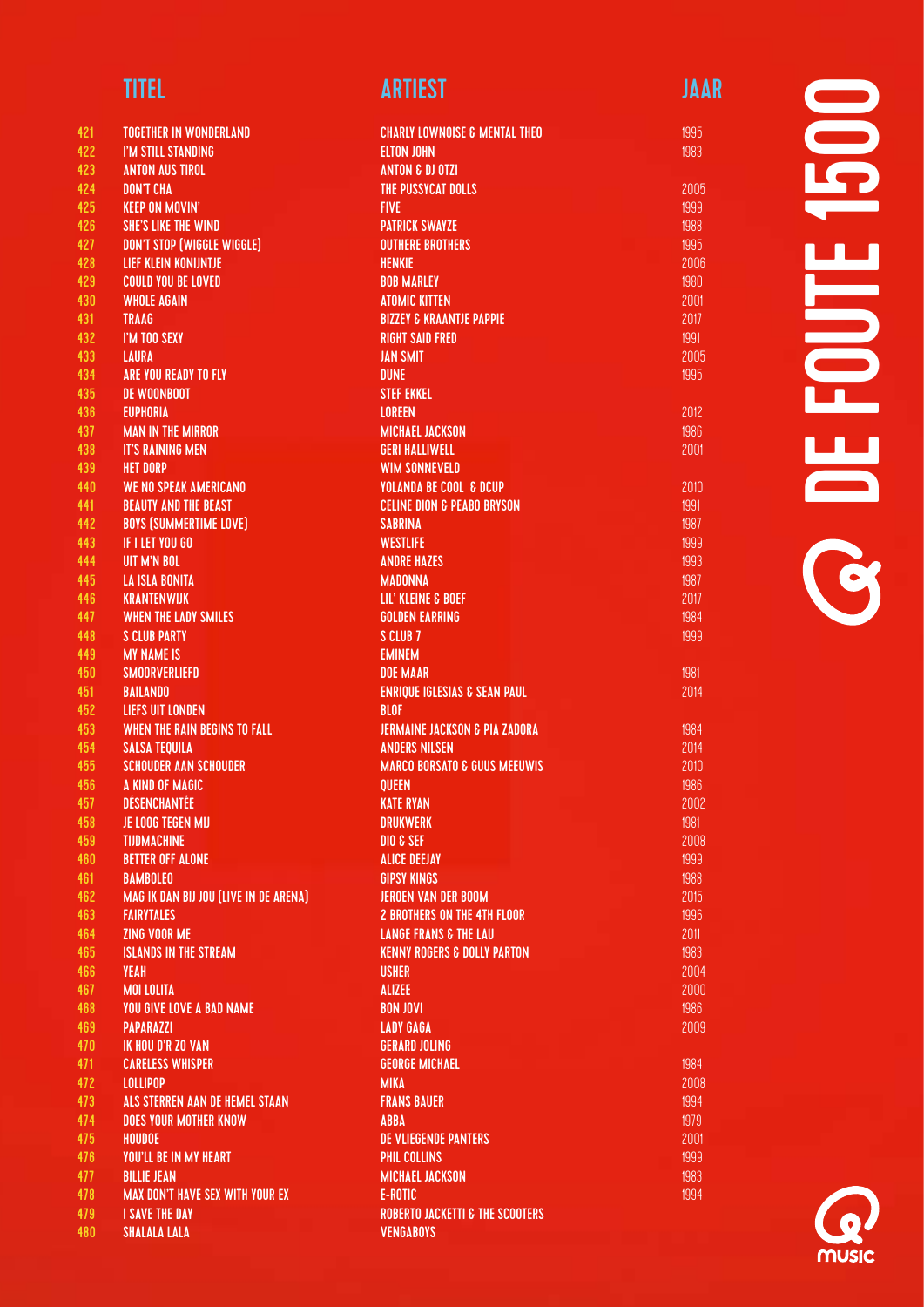| 421        | <b>TOGETHER IN WONDERLAND</b>               |
|------------|---------------------------------------------|
| 422        | I'M STILL STANDING                          |
| 423        | <b>ANTON AUS TIROL</b>                      |
| 424        | <b>DON'T CHA</b>                            |
| 425        | <b>KEEP ON MOVIN'</b>                       |
| 426        | <b>SHE'S LIKE THE WIND</b>                  |
| 427        | DON'T STOP (WIGGLE WIGGLE)                  |
| 428        | <b>LIEF KLEIN KONIJNTJE</b>                 |
| 429        | <b>COULD YOU BE LOVED</b>                   |
| 430        | <b>WHOLE AGAIN</b>                          |
| 431        | <b>TRAAG</b>                                |
| 432        | I'M TOO SEXY                                |
| 433        | <b>LAURA</b>                                |
| 434        | <b>ARE YOU READY TO FLY</b>                 |
| 435        | <b>DE WOONBOOT</b>                          |
| 436        | <b>EUPHORIA</b>                             |
| 437        | <b>MAN IN THE MIRROR</b>                    |
| 438        | <b>IT'S RAINING MEN</b>                     |
| 439        | <b>HET DORP</b>                             |
| 440        | <b>WE NO SPEAK AMERICANO</b>                |
| 441        | <b>BEAUTY AND THE BEAST</b>                 |
| 442        | <b>BOYS (SUMMERTIME LOVE)</b>               |
| 443        | IF I LET YOU GO                             |
| 444        | <b>UIT M'N BOL</b><br><b>LA ISLA BONITA</b> |
| 445<br>446 | <b>KRANTENWIJK</b>                          |
| 447        | <b>WHEN THE LADY SMILES</b>                 |
| 448        | <b>S CLUB PARTY</b>                         |
| 449        | <b>MY NAME IS</b>                           |
| 450        | <b>SMOORVERLIEFD</b>                        |
| 451        | <b>BAILANDO</b>                             |
| 452        | <b>LIEFS UIT LONDEN</b>                     |
| 453        | <b>WHEN THE RAIN BEGINS TO FALL</b>         |
| 454        | <b>SALSA TEOUILA</b>                        |
| 455        | <b>SCHOUDER AAN SCHOUDER</b>                |
| 456        | A KIND OF MAGIC                             |
| 457        | DÉSENCHANTÉE                                |
| 458        | JE LOOG TEGEN MIJ                           |
| 459        | <b>TIJDMACHINE</b>                          |
| 460        | <b>BETTER OFF ALONE</b>                     |
| 461        | <b>BAMBOLEO</b>                             |
| 462        | MAG IK DAN BIJ JOU (LIVE IN DE ARENA)       |
| 463        | <b>FAIRYTALES</b>                           |
| 464        | ZING VOOR ME                                |
| 465        | <b>ISLANDS IN THE STREAM</b>                |
| 466        | <b>YEAH</b>                                 |
| 467        | <b>MOI LOLITA</b>                           |
| 468        | <b>YOU GIVE LOVE A BAD NAME</b>             |
| 469        | <b>PAPARAZZI</b>                            |
| 470        | <b>IK HOU D'R ZO VAN</b>                    |
| 471        | <b>CARELESS WHISPER</b>                     |
| 472        | <b>LOLLIPOP</b>                             |
| 473        | ALS STERREN AAN DE HEMEL STAAN              |
| 474        | <b>DOES YOUR MOTHER KNOW</b>                |
| 475        | <b>HOUDOE</b>                               |
| 476        | YOU'LL BE IN MY HEART                       |
| 477        | <b>BILLIE JEAN</b>                          |
| 478        | <b>MAX DON'T HAVE SEX WITH YOUR EX</b>      |
| 479        | <b>I SAVE THE DAY</b>                       |

SHALALA LALA

### TITEL ARTIEST ARTIEST ARTIEST ARTIEST ARTIEST ARTIEST ARTIEST ARTIEST ARTIEST ARTIEST ARTIEST ARTIEST ARTIEST

| <b>CHARLY LOWNOISE &amp; MENTAL THEO</b>                |  |
|---------------------------------------------------------|--|
| <b>ELTON JOHN</b>                                       |  |
| <b>ANTON &amp; DJ OTZI</b>                              |  |
| <b>THE PUSSYCAT DOLLS</b>                               |  |
| <b>FIVE</b>                                             |  |
| <b>PATRICK SWAYZE</b>                                   |  |
| <b>OUTHERE BROTHERS</b>                                 |  |
| <b>HENKIE</b>                                           |  |
| <b>BOB MARLEY</b>                                       |  |
| <b>ATOMIC KITTEN</b>                                    |  |
| <b>BIZZEY &amp; KRAANTJE PAPPIE</b>                     |  |
| <b>RIGHT SAID FRED</b>                                  |  |
| <b>JAN SMIT</b>                                         |  |
| <b>DUNE</b>                                             |  |
| <b>STEF EKKEL</b>                                       |  |
| <b>LOREEN</b>                                           |  |
| <b>MICHAEL JACKSON</b>                                  |  |
| <b>GERI HALLIWELL</b>                                   |  |
| <b>WIM SONNEVELD</b>                                    |  |
| <b>YOLANDA BE COOL &amp; DCUP</b>                       |  |
| <b>CELINE DION &amp; PEABO BRYSON</b>                   |  |
| <b>SABRINA</b>                                          |  |
| <b>WESTLIFE</b>                                         |  |
| <b>ANDRE HAZES</b>                                      |  |
| <b>MADONNA</b>                                          |  |
| LIL' KLEINE & BOEF                                      |  |
| <b>GOLDEN EARRING</b>                                   |  |
| S CLUB <sub>7</sub>                                     |  |
| <b>EMINEM</b>                                           |  |
| <b>DOE MAAR</b>                                         |  |
| <b>ENRIQUE IGLESIAS &amp; SEAN PAUL</b>                 |  |
| <b>BLOF</b><br><b>JERMAINE JACKSON &amp; PIA ZADORA</b> |  |
| <b>ANDERS NILSEN</b>                                    |  |
| <b>MARCO BORSATO &amp; GUUS MEEUWIS</b>                 |  |
| <b>QUEEN</b>                                            |  |
| <b>KATE RYAN</b>                                        |  |
| <b>DRUKWERK</b>                                         |  |
| DIO & SEF                                               |  |
| <b>ALICE DEEJAY</b>                                     |  |
| <b>GIPSY KINGS</b>                                      |  |
| <b>JEROEN VAN DER BOOM</b>                              |  |
| <b>2 BROTHERS ON THE 4TH FLOOR</b>                      |  |
| <b>LANGE FRANS &amp; THE LAU</b>                        |  |
| <b>KENNY ROGERS &amp; DOLLY PARTON</b>                  |  |
| <b>USHER</b>                                            |  |
| <b>ALIZEE</b>                                           |  |
| <b>BON JOVI</b>                                         |  |
| <b>LADY GAGA</b>                                        |  |
| <b>GERARD JOLING</b>                                    |  |
| <b>GEORGE MICHAEL</b>                                   |  |
| <b>MIKA</b>                                             |  |
| <b>FRANS BAUER</b>                                      |  |
| <b>ABBA</b>                                             |  |
| <b>DE VLIEGENDE PANTERS</b>                             |  |
| <b>PHIL COLLINS</b>                                     |  |
| <b>MICHAEL JACKSON</b>                                  |  |
| <b>E-ROTIC</b>                                          |  |
| <b>ROBERTO JACKETTI &amp; THE SCOOTERS</b>              |  |
| <b>VENGABOYS</b>                                        |  |
|                                                         |  |

# 1500 DE FOUTE 1500 **SO DE FOUTE**

1995 1983

2012 1986 2001

1981 2014

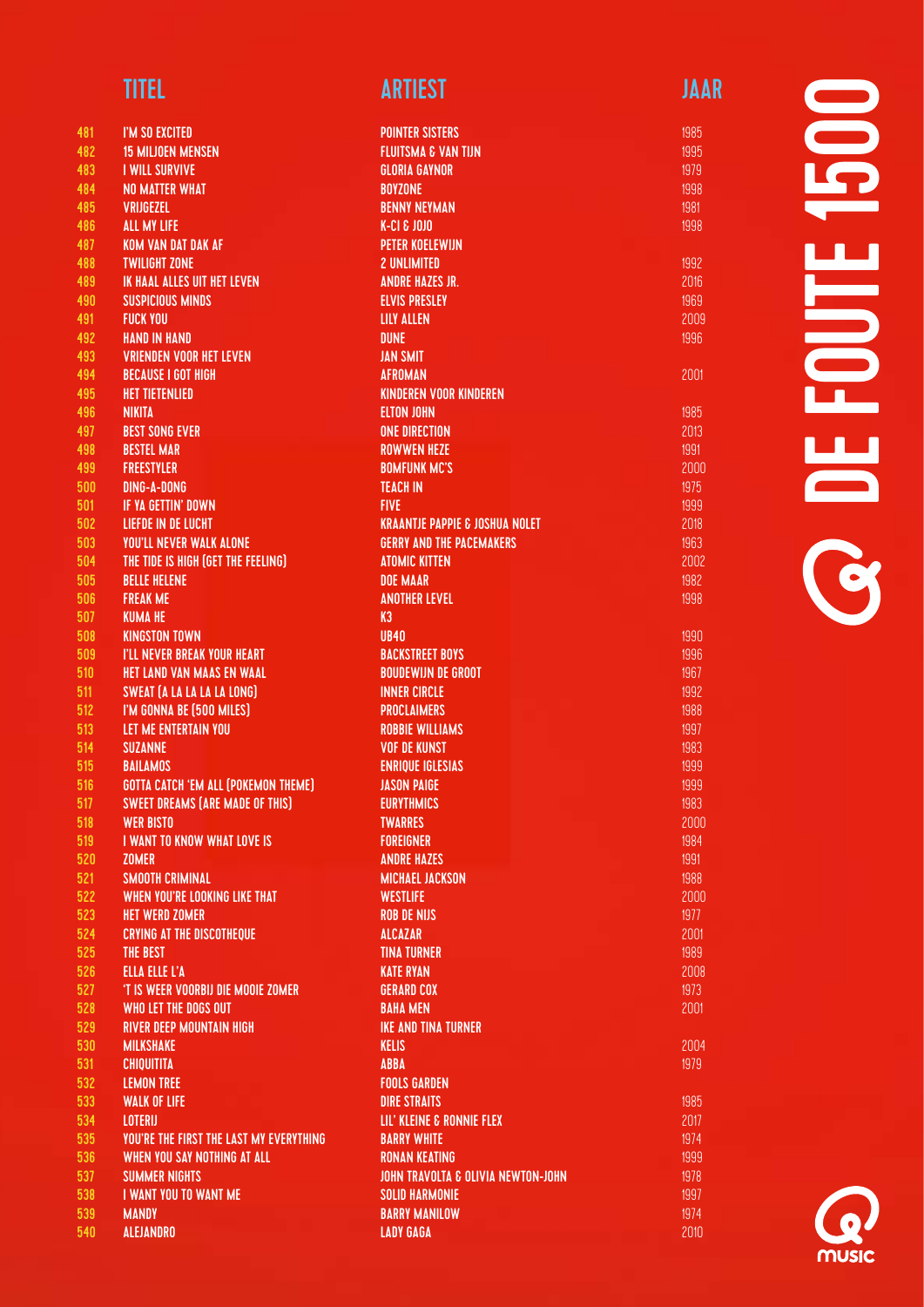| 481     | I'M SO EXCITED                                 |
|---------|------------------------------------------------|
| 482     | <b>15 MILJOEN MENSEN</b>                       |
| 483     | <b>I WILL SURVIVE</b>                          |
| 484     | <b>NO MATTER WHAT</b>                          |
| 485     | <b>VRIJGEZEL</b>                               |
|         | <b>ALL MY LIFE</b>                             |
| 486 - 1 | <b>KOM VAN DAT DAK AF</b>                      |
| 487     |                                                |
| 488     | <b>TWILIGHT ZONE</b>                           |
| 489     | <b>IK HAAL ALLES UIT HET LEVEN</b>             |
| 490     | <b>SUSPICIOUS MINDS</b>                        |
| 491     | <b>FUCK YOU</b>                                |
| 492     | <b>HAND IN HAND</b>                            |
| 493     | <b>VRIENDEN VOOR HET LEVEN</b>                 |
| 494     | <b>BECAUSE I GOT HIGH</b>                      |
| 495     | <b>HET TIETENLIED</b>                          |
| 496     | <b>NIKITA</b>                                  |
| 497     | <b>BEST SONG EVER</b>                          |
| 498     | <b>BESTEL MAR</b>                              |
| 499     | <b>FREESTYLER</b>                              |
| 500     | <b>DING-A-DONG</b>                             |
| 501     | <b>IF YA GETTIN' DOWN</b>                      |
| $502 -$ | <b>LIEFDE IN DE LUCHT</b>                      |
| 503     | <b>YOU'LL NEVER WALK ALONE</b>                 |
| 504     | THE TIDE IS HIGH (GET THE FEELING)             |
| 505     | <b>BELLE HELENE</b>                            |
| 506     | <b>FREAK ME</b>                                |
| 507     | <b>KUMA HE</b>                                 |
| 508     | <b>KINGSTON TOWN</b>                           |
| 509     | <b>I'LL NEVER BREAK YOUR HEART</b>             |
| 510     | <b>HET LAND VAN MAAS EN WAAL</b>               |
| 511     | <b>SWEAT (A LA LA LA LA LONG)</b>              |
| 512     | I'M GONNA BE (500 MILES)                       |
| 513     | <b>LET ME ENTERTAIN YOU</b>                    |
| 514     | <b>SUZANNE</b>                                 |
| 515     | <b>BAILAMOS</b>                                |
| 516     | <b>GOTTA CATCH 'EM ALL (POKEMON THEME)</b>     |
| 517     | <b>SWEET DREAMS (ARE MADE OF THIS)</b>         |
| 518     | <b>WER BISTO</b>                               |
| 519     | <b>I WANT TO KNOW WHAT LOVE IS</b>             |
| 520     | <b>ZOMER</b>                                   |
| 521     | <b>SMOOTH CRIMINAL</b>                         |
| 522     | WHEN YOU'RE LOOKING LIKE THAT                  |
| 523     | <b>HET WERD ZOMER</b>                          |
| 524     | <b>CRYING AT THE DISCOTHEQUE</b>               |
| 525     | THE BEST                                       |
| 526     | <b>ELLA ELLE L'A</b>                           |
| 527     | 'T IS WEER VOORBIJ DIE MOOIE ZOMER             |
| 528     | <b>WHO LET THE DOGS OUT</b>                    |
| 529     | <b>RIVER DEEP MOUNTAIN HIGH</b>                |
| 530     | <b>MILKSHAKE</b>                               |
| 531     | <b>CHIQUITITA</b>                              |
| 532     | <b>LEMON TREE</b>                              |
| 533     | <b>WALK OF LIFE</b>                            |
| 534     | <b>LOTERIJ</b>                                 |
| 535     | <b>YOU'RE THE FIRST THE LAST MY EVERYTHING</b> |
| 536     | WHEN YOU SAY NOTHING AT ALL                    |
| 537     | <b>SUMMER NIGHTS</b>                           |
| 538     | I WANT YOU TO WANT ME                          |
| 539     | <b>MANDY</b>                                   |

ALEJANDRO

### TITEL ARTIEST ARTIEST ARTIEST ARTIEST ARTIEST ARTIEST ARTIEST ARTIEST ARTIEST ARTIEST ARTIEST ARTIEST ARTIEST

| <b>POINTER SISTERS</b>                        |  |
|-----------------------------------------------|--|
| <b>FLUITSMA &amp; VAN TIJN</b>                |  |
| <b>GLORIA GAYNOR</b>                          |  |
| <b>BOYZONE</b>                                |  |
| <b>BENNY NEYMAN</b>                           |  |
| <b>K-CI &amp; JOJO</b>                        |  |
| <b>PETER KOELEWIJN</b>                        |  |
| <b>2 UNLIMITED</b>                            |  |
|                                               |  |
| <b>ANDRE HAZES JR.</b>                        |  |
| <b>ELVIS PRESLEY</b>                          |  |
| <b>LILY ALLEN</b>                             |  |
| <b>DUNE</b>                                   |  |
| <b>JAN SMIT</b>                               |  |
| <b>AFROMAN</b>                                |  |
| <b>KINDEREN VOOR KINDEREN</b>                 |  |
| <b>ELTON JOHN</b>                             |  |
| <b>ONE DIRECTION</b>                          |  |
| <b>ROWWEN HEZE</b>                            |  |
| <b>BOMFUNK MC'S</b>                           |  |
| <b>TEACH IN</b>                               |  |
| <b>FIVE</b>                                   |  |
| <b>KRAANTJE PAPPIE &amp; JOSHUA NOLET</b>     |  |
| <b>GERRY AND THE PACEMAKERS</b>               |  |
|                                               |  |
| <b>ATOMIC KITTEN</b>                          |  |
| <b>DOE MAAR</b>                               |  |
| <b>ANOTHER LEVEL</b>                          |  |
| K3                                            |  |
| <b>UB40</b>                                   |  |
| <b>BACKSTREET BOYS</b>                        |  |
| <b>BOUDEWIJN DE GROOT</b>                     |  |
| <b>INNER CIRCLE</b>                           |  |
| <b>PROCLAIMERS</b>                            |  |
| <b>ROBBIE WILLIAMS</b>                        |  |
| <b>VOF DE KUNST</b>                           |  |
| <b>ENRIQUE IGLESIAS</b>                       |  |
| <b>JASON PAIGE</b>                            |  |
| <b>EURYTHMICS</b>                             |  |
| <b>TWARRES</b>                                |  |
|                                               |  |
| <b>FOREIGNER</b>                              |  |
| <b>ANDRE HAZES</b>                            |  |
| <b>MICHAEL JACKSON</b>                        |  |
| <b>WESTLIFE</b>                               |  |
| <b>ROB DE NIJS</b>                            |  |
| <b>ALCAZAR</b>                                |  |
| <b>TINA TURNER</b>                            |  |
| <b>KATE RYAN</b>                              |  |
| <b>GERARD COX</b>                             |  |
| <b>BAHA MEN</b>                               |  |
| <b>IKE AND TINA TURNER</b>                    |  |
| <b>KELIS</b>                                  |  |
| <b>ABBA</b>                                   |  |
| <b>FOOLS GARDEN</b>                           |  |
| <b>DIRE STRAITS</b>                           |  |
|                                               |  |
| LIL' KLEINE & RONNIE FLEX                     |  |
| <b>BARRY WHITE</b>                            |  |
| <b>RONAN KEATING</b>                          |  |
| <b>JOHN TRAVOLTA &amp; OLIVIA NEWTON-JOHN</b> |  |
| <b>SOLID HARMONIE</b>                         |  |
| <b>BARRY MANILOW</b>                          |  |
| <b>LADY GAGA</b>                              |  |
|                                               |  |

# $\blacksquare$ DE FOUTE 1500 **FOUTE** R<br>R<br>R

2001

2004 1979

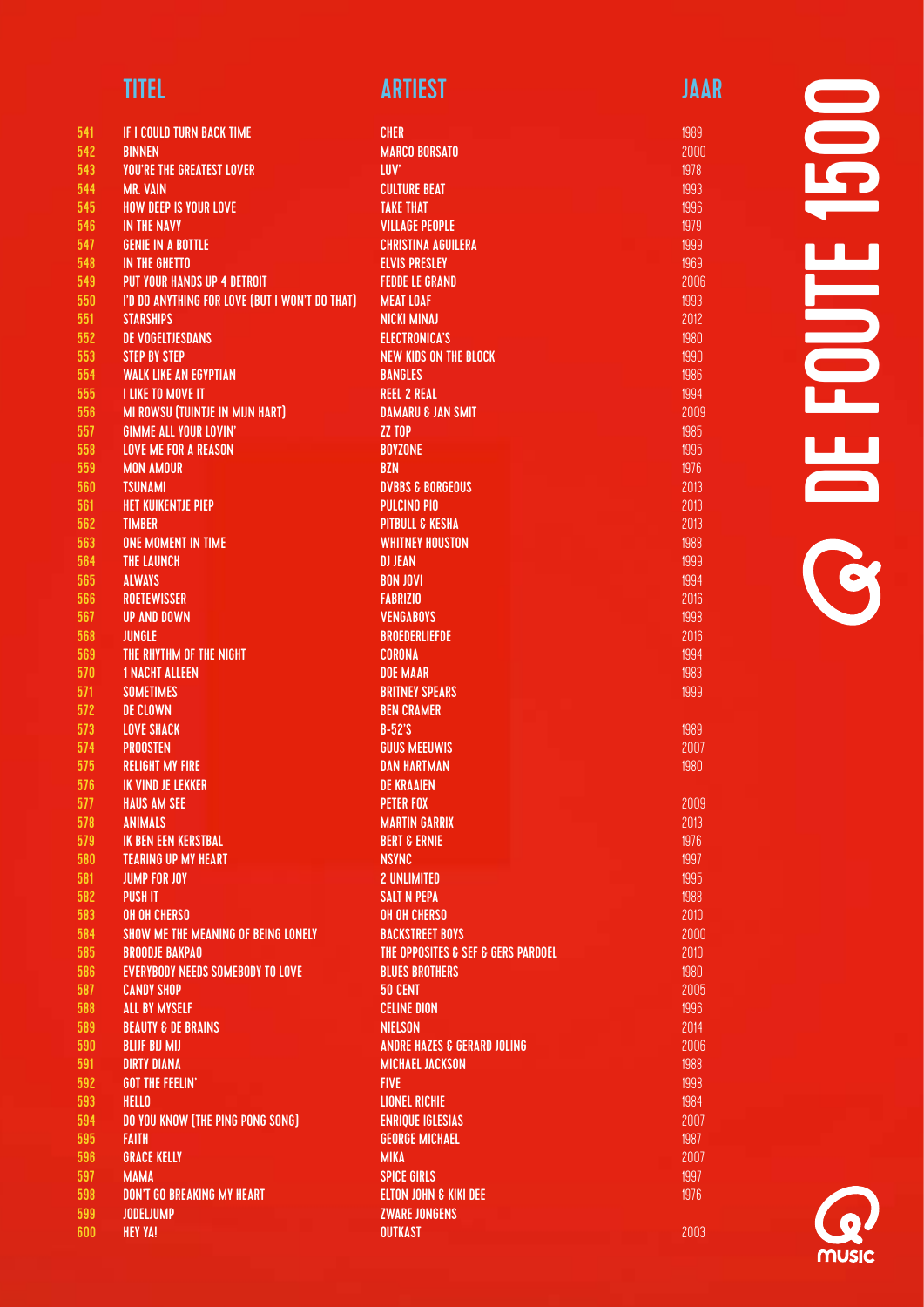| 541   | <b>IF I COULD TURN BACK TIME</b>               | <b>CHER</b>                            |
|-------|------------------------------------------------|----------------------------------------|
| 542   | <b>BINNEN</b>                                  | <b>MARCO BORSATO</b>                   |
| 543   | <b>YOU'RE THE GREATEST LOVER</b>               | <b>LUV</b>                             |
| 544   | <b>MR. VAIN</b>                                | <b>CULTURE BEAT</b>                    |
| 545   | <b>HOW DEEP IS YOUR LOVE</b>                   | <b>TAKE THAT</b>                       |
| 546   | <b>IN THE NAVY</b>                             | <b>VILLAGE PEOPLE</b>                  |
| 547   | <b>GENIE IN A BOTTLE</b>                       | <b>CHRISTINA AGUILERA</b>              |
| 548   | <b>IN THE GHETTO</b>                           | <b>ELVIS PRESLEY</b>                   |
| 549   | <b>PUT YOUR HANDS UP 4 DETROIT</b>             | <b>FEDDE LE GRAND</b>                  |
| 550   | I'D DO ANYTHING FOR LOVE (BUT I WON'T DO THAT) | <b>MEAT LOAF</b>                       |
| 551   | <b>STARSHIPS</b>                               | <b>NICKI MINAJ</b>                     |
| 552   | <b>DE VOGELTJESDANS</b>                        | <b>ELECTRONICA'S</b>                   |
| 553   | <b>STEP BY STEP</b>                            | <b>NEW KIDS ON THE BLOCK</b>           |
| 554   | <b>WALK LIKE AN EGYPTIAN</b>                   | <b>BANGLES</b>                         |
| 555   | <b>I LIKE TO MOVE IT</b>                       | <b>REEL 2 REAL</b>                     |
| 556   | <b>MI ROWSU (TUINTJE IN MIJN HART)</b>         | <b>DAMARU &amp; JAN SMIT</b>           |
| 557   | <b>GIMME ALL YOUR LOVIN'</b>                   | ZZ TOP                                 |
| 558   | <b>LOVE ME FOR A REASON</b>                    | <b>BOYZONE</b>                         |
| 559   | <b>MON AMOUR</b>                               | <b>BZN</b>                             |
| 560   | <b>TSUNAMI</b>                                 | <b>DVBBS &amp; BORGEOUS</b>            |
| 561   | <b>HET KUIKENTJE PIEP</b>                      | <b>PULCINO PIO</b>                     |
| 562   | <b>TIMBER</b>                                  | <b>PITBULL &amp; KESHA</b>             |
| 563   | <b>ONE MOMENT IN TIME</b>                      | <b>WHITNEY HOUSTON</b>                 |
| 564   | <b>THE LAUNCH</b>                              | <b>DJ JEAN</b>                         |
| 565   | <b>ALWAYS</b>                                  | <b>BON JOVI</b>                        |
| 566   | <b>ROETEWISSER</b>                             | <b>FABRIZIO</b>                        |
| 567   | <b>UP AND DOWN</b>                             | <b>VENGABOYS</b>                       |
| 568   | <b>JUNGLE</b>                                  | <b>BROEDERLIEFDE</b>                   |
| 569   | THE RHYTHM OF THE NIGHT                        | <b>CORONA</b>                          |
| 570   | <b>1 NACHT ALLEEN</b>                          | <b>DOE MAAR</b>                        |
| 571   | <b>SOMETIMES</b>                               | <b>BRITNEY SPEARS</b>                  |
| 572   | <b>DE CLOWN</b>                                | <b>BEN CRAMER</b>                      |
| 573   | <b>LOVE SHACK</b>                              | $B-52$ 'S                              |
| 574   | <b>PROOSTEN</b>                                | <b>GUUS MEEUWIS</b>                    |
| 575   | <b>RELIGHT MY FIRE</b>                         | <b>DAN HARTMAN</b>                     |
| 576   | <b>IK VIND JE LEKKER</b>                       | <b>DE KRAAIEN</b>                      |
| 577   | <b>HAUS AM SEE</b>                             | <b>PETER FOX</b>                       |
|       |                                                |                                        |
| 578   | <b>ANIMALS</b>                                 | <b>MARTIN GARRIX</b>                   |
| 579   | <b>IK BEN EEN KERSTBAL</b>                     | <b>BERT &amp; ERNIE</b>                |
| 580   | <b>TEARING UP MY HEART</b>                     | <b>NSYNC</b>                           |
| 581   | <b>JUMP FOR JOY</b>                            | <b>2 UNLIMITED</b>                     |
| 582   | <b>PUSH IT</b>                                 | <b>SALT N PEPA</b>                     |
| 583   | <b>OH OH CHERSO</b>                            | <b>OH OH CHERSO</b>                    |
| 584   | SHOW ME THE MEANING OF BEING LONELY            | <b>BACKSTREET BOYS</b>                 |
| 585   | <b>BROODJE BAKPAO</b>                          | THE OPPOSITES & SEF & GERS PARDOEL     |
| 586   | <b>EVERYBODY NEEDS SOMEBODY TO LOVE</b>        | <b>BLUES BROTHERS</b>                  |
| 587   | <b>CANDY SHOP</b>                              | 50 CENT                                |
| 588   | <b>ALL BY MYSELF</b>                           | <b>CELINE DION</b>                     |
| 589   | <b>BEAUTY &amp; DE BRAINS</b>                  | <b>NIELSON</b>                         |
| 590   | <b>BLIJF BIJ MIJ</b>                           | <b>ANDRE HAZES &amp; GERARD JOLING</b> |
| 591   | <b>DIRTY DIANA</b>                             | <b>MICHAEL JACKSON</b>                 |
| 592   | <b>GOT THE FEELIN'</b>                         | <b>FIVE</b>                            |
| 593   | <b>HELLO</b>                                   | <b>LIONEL RICHIE</b>                   |
| 594   | DO YOU KNOW (THE PING PONG SONG)               | <b>ENRIQUE IGLESIAS</b>                |
| 595   | <b>FAITH</b>                                   | <b>GEORGE MICHAEL</b>                  |
| 596   | <b>GRACE KELLY</b>                             | <b>MIKA</b>                            |
| 597   | <b>MAMA</b>                                    | <b>SPICE GIRLS</b>                     |
| 598   | <b>DON'T GO BREAKING MY HEART</b>              | <b>ELTON JOHN &amp; KIKI DEE</b>       |
| 599   | <b>JODELJUMP</b>                               | <b>ZWARE JONGENS</b>                   |
| 600 - | <b>HEY YA!</b>                                 | <b>OUTKAST</b>                         |

1989 2007 1980

2003

# **SOP** DE FOUTE 1500 **SO DE FOUTE**

music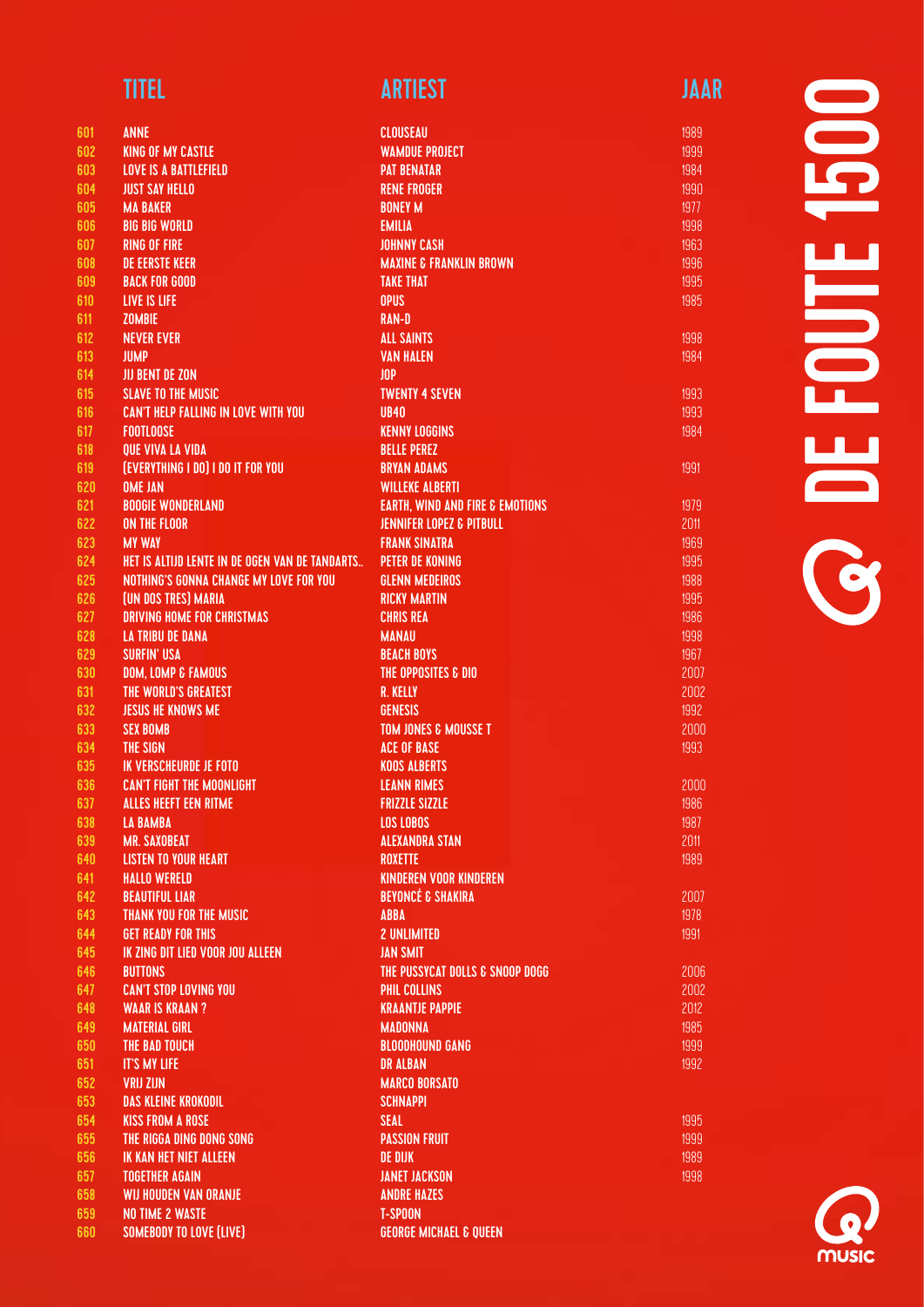| <b>TITEL</b> | <b>ARTIEST</b> | JAAR |
|--------------|----------------|------|
|              |                |      |

| 601        | <b>ANNE</b>                                                  | <b>CLOUSEAU</b>                            |
|------------|--------------------------------------------------------------|--------------------------------------------|
| 602        | <b>KING OF MY CASTLE</b>                                     | <b><i>WAMDUE PROJECT</i></b>               |
| 603        | <b>LOVE IS A BATTLEFIELD</b>                                 | <b>PAT BENATAR</b>                         |
| 604        | <b>JUST SAY HELLO</b>                                        | <b>RENE FROGER</b>                         |
| 605        | <b>MA BAKER</b>                                              | <b>BONEY M</b>                             |
| 606        | <b>BIG BIG WORLD</b>                                         | <b>EMILIA</b>                              |
| 607        | <b>RING OF FIRE</b>                                          | <b>JOHNNY CASH</b>                         |
| 608        | <b>DE EERSTE KEER</b>                                        | <b>MAXINE &amp; FRANKLIN BROWN</b>         |
| 609        | <b>BACK FOR GOOD</b>                                         | <b>TAKE THAT</b>                           |
| 610        | LIVE IS LIFE                                                 | <b>OPUS</b>                                |
| 611        | <b>ZOMBIE</b>                                                | <b>RAN-D</b>                               |
| 612        | <b>NEVER EVER</b>                                            | <b>ALL SAINTS</b>                          |
| 613        | <b>JUMP</b>                                                  | <b>VAN HALEN</b>                           |
| 614        | <b>JIJ BENT DE ZON</b>                                       | <b>JOP</b>                                 |
| 615        | <b>SLAVE TO THE MUSIC</b>                                    | <b>TWENTY 4 SEVEN</b>                      |
| 616        | <b>CAN'T HELP FALLING IN LOVE WITH YOU</b>                   | <b>UB40</b>                                |
| 617        | <b>FOOTLOOSE</b>                                             | <b>KENNY LOGGINS</b>                       |
| 618        | QUE VIVA LA VIDA                                             | <b>BELLE PEREZ</b>                         |
| 619        | (EVERYTHING I DO) I DO IT FOR YOU                            | <b>BRYAN ADAMS</b>                         |
| 620        | <b>OME JAN</b>                                               | <b>WILLEKE ALBERTI</b>                     |
| 621        | <b>BOOGIE WONDERLAND</b>                                     | <b>EARTH, WIND AND FIRE &amp; EMOTIONS</b> |
| 622        | <b>ON THE FLOOR</b>                                          | <b>JENNIFER LOPEZ &amp; PITBULL</b>        |
| 623        | <b>MY WAY</b>                                                | <b>FRANK SINATRA</b>                       |
| 624        | HET IS ALTIJD LENTE IN DE OGEN VAN DE TANDARTS               | <b>PETER DE KONING</b>                     |
| 625        | <b>NOTHING'S GONNA CHANGE MY LOVE FOR YOU</b>                | <b>GLENN MEDEIROS</b>                      |
| 626        | (UN DOS TRES) MARIA                                          | <b>RICKY MARTIN</b>                        |
| 627<br>628 | <b>DRIVING HOME FOR CHRISTMAS</b><br><b>LA TRIBU DE DANA</b> | <b>CHRIS REA</b><br><b>MANAU</b>           |
| 629        | <b>SURFIN' USA</b>                                           | <b>BEACH BOYS</b>                          |
| 630        | <b>DOM, LOMP &amp; FAMOUS</b>                                | THE OPPOSITES & DIO                        |
| 631        | THE WORLD'S GREATEST                                         | R. KELLY                                   |
| 632        | <b>JESUS HE KNOWS ME</b>                                     | <b>GENESIS</b>                             |
| 633        | <b>SEX BOMB</b>                                              | <b>TOM JONES &amp; MOUSSE T</b>            |
| 634        | THE SIGN                                                     | <b>ACE OF BASE</b>                         |
| 635        | <b>IK VERSCHEURDE JE FOTO</b>                                | <b>KOOS ALBERTS</b>                        |
| 636        | <b>CAN'T FIGHT THE MOONLIGHT</b>                             | <b>LEANN RIMES</b>                         |
| 637        | ALLES HEEFT EEN RITME                                        | <b>FRIZZLE SIZZLE</b>                      |
| 638        | LA BAMBA                                                     | <b>LOS LOBOS</b>                           |
| 639        | <b>MR. SAXOBEAT</b>                                          | <b>ALEXANDRA STAN</b>                      |
| 640        | <b>LISTEN TO YOUR HEART</b>                                  | <b>ROXETTE</b>                             |
| 641        | <b>HALLO WERELD</b>                                          | <b>KINDEREN VOOR KINDEREN</b>              |
| 642        | <b>BEAUTIFUL LIAR</b>                                        | <b>BEYONCÉ &amp; SHAKIRA</b>               |
| 643        | THANK YOU FOR THE MUSIC                                      | <b>ABBA</b>                                |
| 644        | <b>GET READY FOR THIS</b>                                    | <b>2 UNLIMITED</b>                         |
| 645        | IK ZING DIT LIED VOOR JOU ALLEEN                             | <b>JAN SMIT</b>                            |
| 646        | <b>BUTTONS</b>                                               | THE PUSSYCAT DOLLS & SNOOP DOGG            |
| 647        | <b>CAN'T STOP LOVING YOU</b>                                 | PHIL COLLINS                               |
| 648        | <b>WAAR IS KRAAN?</b>                                        | <b>KRAANTJE PAPPIE</b>                     |
| 649        | <b>MATERIAL GIRL</b>                                         | <b>MADONNA</b>                             |
| 650        | THE BAD TOUCH                                                | <b>BLOODHOUND GANG</b>                     |
| 651        | <b>IT'S MY LIFE</b>                                          | <b>DR ALBAN</b>                            |
| 652        | <b>VRIJ ZIJN</b>                                             | <b>MARCO BORSATO</b>                       |
| 653        | <b>DAS KLEINE KROKODIL</b>                                   | <b>SCHNAPPI</b>                            |
| 654        | <b>KISS FROM A ROSE</b>                                      | <b>SEAL</b>                                |
| 655        | THE RIGGA DING DONG SONG                                     | <b>PASSION FRUIT</b>                       |
| 656        | IK KAN HET NIET ALLEEN                                       | DE DIJK                                    |
| 657        | <b>TOGETHER AGAIN</b>                                        | <b>JANET JACKSON</b>                       |
| 658        | <b>WIJ HOUDEN VAN ORANJE</b>                                 | <b>ANDRE HAZES</b>                         |
| 659        | <b>NO TIME 2 WASTE</b>                                       | <b>T-SPOON</b>                             |
| 660        | SOMEBODY TO LOVE (LIVE)                                      | <b>GEORGE MICHAEL &amp; QUEEN</b>          |

# **OCEFOUTE 1500** DE FOUTE 1500

1998 1984

1993 1993 1984

1991

2007 1978 1991

music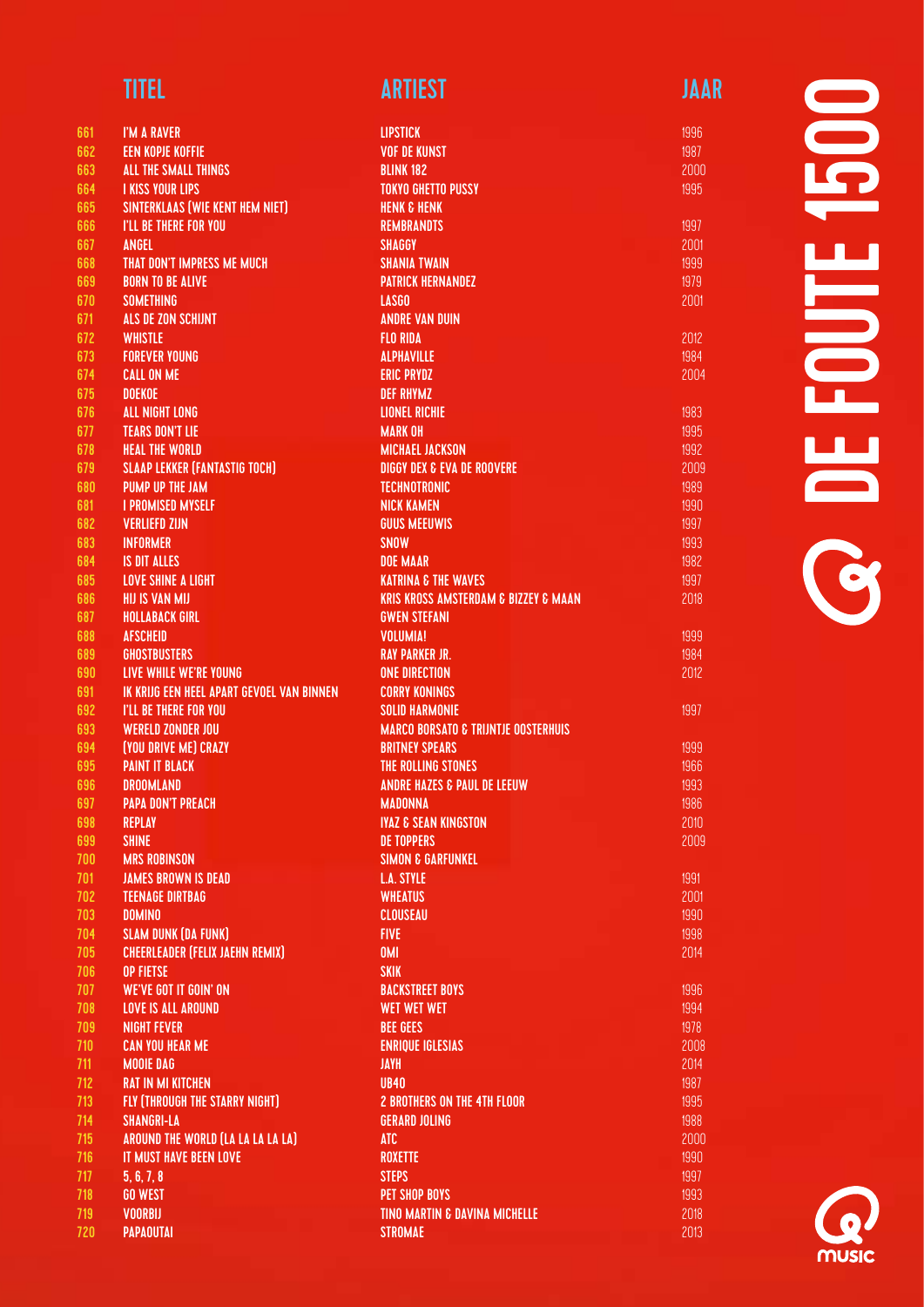| <b>TITEL</b> | <b>ARTIEST</b> | JAAR |
|--------------|----------------|------|
|              |                |      |

| 661        | I'M A RAVER                                         | <b>LIPSTICK</b>                                     |
|------------|-----------------------------------------------------|-----------------------------------------------------|
| 662        | <b>EEN KOPJE KOFFIE</b>                             | <b>VOF DE KUNST</b>                                 |
| 663        | ALL THE SMALL THINGS                                | <b>BLINK 182</b>                                    |
| 664        | <b>I KISS YOUR LIPS</b>                             | <b>TOKYO GHETTO PUSSY</b>                           |
| 665        | SINTERKLAAS (WIE KENT HEM NIET)                     | <b>HENK &amp; HENK</b>                              |
| 666        | <b>I'LL BE THERE FOR YOU</b>                        | <b>REMBRANDTS</b>                                   |
| 667        | <b>ANGEL</b>                                        | <b>SHAGGY</b>                                       |
| 668        | THAT DON'T IMPRESS ME MUCH                          | <b>SHANIA TWAIN</b>                                 |
| 669        | <b>BORN TO BE ALIVE</b>                             | <b>PATRICK HERNANDEZ</b>                            |
| 670        | <b>SOMETHING</b>                                    | LASGO                                               |
| 671        | <b>ALS DE ZON SCHIJNT</b>                           | <b><i>ANDRE VAN DUIN</i></b>                        |
| 672        | <b>WHISTLE</b>                                      | <b>FLO RIDA</b>                                     |
| 673        | <b>FOREVER YOUNG</b>                                | <b>ALPHAVILLE</b>                                   |
| 674        | <b>CALL ON ME</b>                                   | <b>ERIC PRYDZ</b>                                   |
| 675        | <b>DOEKOE</b>                                       | <b>DEF RHYMZ</b>                                    |
| 676        | <b>ALL NIGHT LONG</b>                               | <b>LIONEL RICHIE</b>                                |
| 677        | <b>TEARS DON'T LIE</b>                              | <b>MARK OH</b>                                      |
| 678        | <b>HEAL THE WORLD</b>                               | <b>MICHAEL JACKSON</b>                              |
| 679        | <b>SLAAP LEKKER (FANTASTIG TOCH)</b>                | <b>DIGGY DEX &amp; EVA DE ROOVERE</b>               |
| 680        | <b>PUMP UP THE JAM</b>                              | <b>TECHNOTRONIC</b>                                 |
| 681        | <b>I PROMISED MYSELF</b>                            | <b>NICK KAMEN</b>                                   |
| 682        | <b>VERLIEFD ZIJN</b>                                | <b>GUUS MEEUWIS</b>                                 |
| 683        | <b>INFORMER</b>                                     | <b>SNOW</b>                                         |
| 684        | <b>IS DIT ALLES</b>                                 | <b>DOE MAAR</b>                                     |
| 685        | <b>LOVE SHINE A LIGHT</b>                           | <b>KATRINA &amp; THE WAVES</b>                      |
| 686        | <b>HIJ IS VAN MIJ</b>                               | <b>KRIS KROSS AMSTERDAM &amp; BIZZEY &amp; MAAN</b> |
| 687        | <b>HOLLABACK GIRL</b>                               | <b>GWEN STEFANI</b>                                 |
| 688        | <b>AFSCHEID</b>                                     | <b>VOLUMIA!</b>                                     |
| 689        | <b>GHOSTBUSTERS</b>                                 | <b>RAY PARKER JR.</b>                               |
| 690        | LIVE WHILE WE'RE YOUNG                              | <b>ONE DIRECTION</b>                                |
| 691        | IK KRIJG EEN HEEL APART GEVOEL VAN BINNEN           | <b>CORRY KONINGS</b>                                |
| 692        | I'LL BE THERE FOR YOU                               | <b>SOLID HARMONIE</b>                               |
| 693        | <b>WERELD ZONDER JOU</b>                            | <b>MARCO BORSATO &amp; TRIJNTJE OOSTERHUIS</b>      |
| 694        | (YOU DRIVE ME) CRAZY                                | <b>BRITNEY SPEARS</b>                               |
| 695        | <b>PAINT IT BLACK</b>                               | THE ROLLING STONES                                  |
| 696        | <b>DROOMLAND</b>                                    | <b>ANDRE HAZES &amp; PAUL DE LEEUW</b>              |
| 697        | <b>PAPA DON'T PREACH</b>                            | <b>MADONNA</b>                                      |
| 698        | <b>REPLAY</b>                                       | <b>IYAZ &amp; SEAN KINGSTON</b>                     |
| 699        | <b>SHINE</b>                                        | <b>DE TOPPERS</b>                                   |
| 700        | <b>MRS ROBINSON</b>                                 | <b>SIMON &amp; GARFUNKEL</b>                        |
| 701        | <b>JAMES BROWN IS DEAD</b>                          | <b>L.A. STYLE</b>                                   |
| 702        | <b>TEENAGE DIRTBAG</b>                              | <b>WHEATUS</b>                                      |
| 703        | <b>DOMINO</b>                                       | <b>CLOUSEAU</b>                                     |
| 704        | <b>SLAM DUNK (DA FUNK)</b>                          | <b>FIVE</b>                                         |
| 705        | <b>CHEERLEADER (FELIX JAEHN REMIX)</b>              | <b>OMI</b>                                          |
| 706        | <b>OP FIETSE</b>                                    | <b>SKIK</b>                                         |
| 707        | WE'VE GOT IT GOIN' ON                               | <b>BACKSTREET BOYS</b>                              |
| 708        | <b>LOVE IS ALL AROUND</b>                           | WET WET WET                                         |
| 709        | <b>NIGHT FEVER</b>                                  | <b>BEE GEES</b>                                     |
| 710        | <b>CAN YOU HEAR ME</b>                              | <b>ENRIQUE IGLESIAS</b>                             |
| 711        | <b>MOOIE DAG</b>                                    | <b>JAYH</b>                                         |
| 712        | <b>RAT IN MI KITCHEN</b>                            | <b>UB40</b>                                         |
| 713        | FLY (THROUGH THE STARRY NIGHT)<br><b>SHANGRI-LA</b> | <b>2 BROTHERS ON THE 4TH FLOOR</b>                  |
| 714<br>715 | AROUND THE WORLD (LA LA LA LA LA)                   | <b>GERARD JOLING</b><br><b>ATC</b>                  |
| 716        | <b>IT MUST HAVE BEEN LOVE</b>                       | <b>ROXETTE</b>                                      |
| 717        | 5, 6, 7, 8                                          | <b>STEPS</b>                                        |
| 718        | <b>GO WEST</b>                                      | <b>PET SHOP BOYS</b>                                |
| 719        | <b>VOORBIJ</b>                                      | <b>TINO MARTIN &amp; DAVINA MICHELLE</b>            |
| 720        | <b>PAPAOUTAI</b>                                    | <b>STROMAE</b>                                      |
|            |                                                     |                                                     |

# **OCEFOUTE 1500** DE FOUTE 1500

2012 1984 2004

1999 1984 2012

1997

**MUSIC**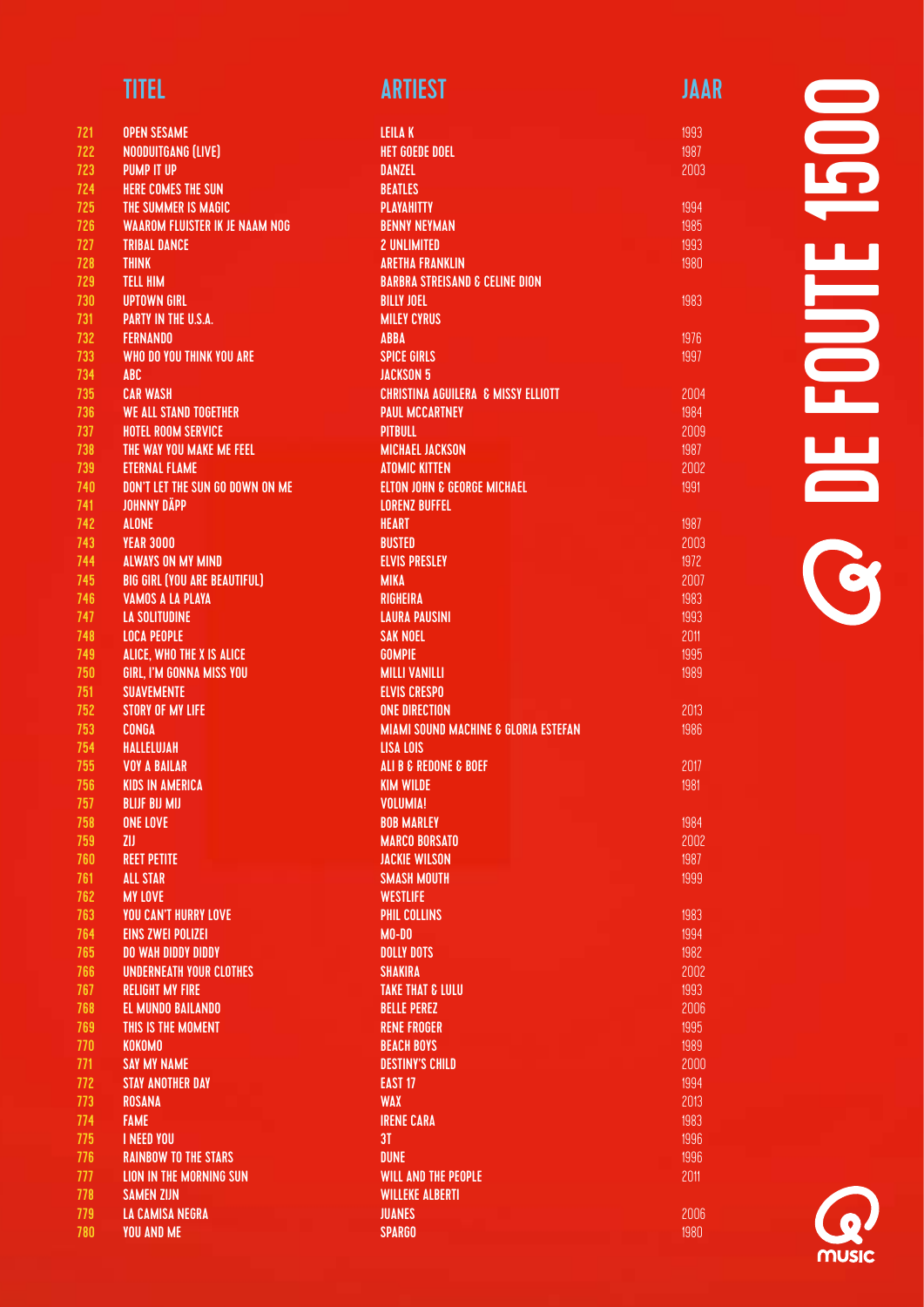| <b>TITEL</b> | <b>ARTIEST</b> | JAAR |
|--------------|----------------|------|
|              |                |      |

| 721        | <b>OPEN SESAME</b>                                            | <b>LEILAK</b>                                   |
|------------|---------------------------------------------------------------|-------------------------------------------------|
| 722        | NOODUITGANG (LIVE)                                            | <b>HET GOEDE DOEL</b>                           |
| 723        | <b>PUMP IT UP</b>                                             | <b>DANZEL</b>                                   |
| 724        | HERE COMES THE SUN                                            | <b>BEATLES</b>                                  |
| 725        | THE SUMMER IS MAGIC                                           | <b>PLAYAHITTY</b>                               |
| 726        | <b>WAAROM FLUISTER IK JE NAAM NOG</b>                         | <b>BENNY NEYMAN</b>                             |
| 727        | <b>TRIBAL DANCE</b>                                           | <b>2 UNLIMITED</b>                              |
| 728        | <b>THINK</b>                                                  | <b>ARETHA FRANKLIN</b>                          |
| 729        | <b>TELL HIM</b>                                               | <b>BARBRA STREISAND &amp; CELINE DION</b>       |
| 730        | UPTOWN GIRL                                                   | <b>BILLY JOEL</b>                               |
| 731        | <b>PARTY IN THE U.S.A.</b>                                    | <b>MILEY CYRUS</b>                              |
| 732        | <b>FERNANDO</b>                                               | <b>ABBA</b>                                     |
| 733        | WHO DO YOU THINK YOU ARE                                      | <b>SPICE GIRLS</b>                              |
| 734        | <b>ABC</b>                                                    | <b>JACKSON 5</b>                                |
| 735        | <b>CAR WASH</b>                                               | <b>CHRISTINA AGUILERA &amp; MISSY ELLIOTT</b>   |
| 736        | WE ALL STAND TOGETHER                                         | <b>PAUL MCCARTNEY</b>                           |
| 737        | <b>HOTEL ROOM SERVICE</b>                                     | <b>PITBULL</b>                                  |
| 738        | THE WAY YOU MAKE ME FEEL                                      | <b>MICHAEL JACKSON</b>                          |
| 739        | <b>ETERNAL FLAME</b>                                          | <b>ATOMIC KITTEN</b>                            |
| 740        | DON'T LET THE SUN GO DOWN ON ME                               | <b>ELTON JOHN &amp; GEORGE MICHAEL</b>          |
| 741        | <b>JOHNNY DÄPP</b>                                            | <b>LORENZ BUFFEL</b>                            |
| 742        | <b>ALONE</b>                                                  | <b>HEART</b>                                    |
| 743        | <b>YEAR 3000</b>                                              | <b>BUSTED</b>                                   |
| 744<br>745 | <b>ALWAYS ON MY MIND</b>                                      | <b>ELVIS PRESLEY</b>                            |
| 746        | <b>BIG GIRL (YOU ARE BEAUTIFUL)</b>                           | <b>MIKA</b><br><b>RIGHEIRA</b>                  |
| 747        | VAMOS A LA PLAYA<br><b>LA SOLITUDINE</b>                      | <b>LAURA PAUSINI</b>                            |
| 748        | <b>LOCA PEOPLE</b>                                            | <b>SAK NOEL</b>                                 |
| 749        | ALICE, WHO THE X IS ALICE                                     | <b>GOMPIE</b>                                   |
| 750        | <b>GIRL, I'M GONNA MISS YOU</b>                               | <b>MILLI VANILLI</b>                            |
| 751        | <b>SUAVEMENTE</b>                                             | <b>ELVIS CRESPO</b>                             |
| 752        | STORY OF MY LIFE                                              | <b>ONE DIRECTION</b>                            |
| 753        | <b>CONGA</b>                                                  | <b>MIAMI SOUND MACHINE &amp; GLORIA ESTEFAN</b> |
| 754        | <b>HALLELUJAH</b>                                             | LISA LOIS                                       |
| 755        | <b>VOY A BAILAR</b>                                           | ALI B & REDONE & BOEF                           |
| 756        | <b>KIDS IN AMERICA</b>                                        | <b>KIM WILDE</b>                                |
| 757        | <b>BLIJF BIJ MIJ</b>                                          | <b>VOLUMIA!</b>                                 |
| 758        | <b>ONE LOVE</b>                                               | <b>BOB MARLEY</b>                               |
| 759        | <b>ZIJ</b>                                                    | <b>MARCO BORSATO</b>                            |
| 760        | <b>REET PETITE</b>                                            | <b>JACKIE WILSON</b>                            |
| 761        | <b>ALL STAR</b>                                               | <b>SMASH MOUTH</b>                              |
| 762        | <b>MY LOVE</b>                                                | <b>WESTLIFE</b>                                 |
| 763        | <b>YOU CAN'T HURRY LOVE</b>                                   | <b>PHIL COLLINS</b>                             |
| 764        | <b>EINS ZWEI POLIZEI</b>                                      | $MO-DO$                                         |
| 765        | <b>DO WAH DIDDY DIDDY</b>                                     | <b>DOLLY DOTS</b>                               |
| 766        | <b>UNDERNEATH YOUR CLOTHES</b>                                | <b>SHAKIRA</b>                                  |
| 767        | <b>RELIGHT MY FIRE</b>                                        | <b>TAKE THAT &amp; LULU</b>                     |
| 768        | <b>EL MUNDO BAILANDO</b>                                      | <b>BELLE PEREZ</b>                              |
| 769        | THIS IS THE MOMENT                                            | <b>RENE FROGER</b>                              |
| 770        | <b>KOKOMO</b>                                                 | <b>BEACH BOYS</b>                               |
| 771        | <b>SAY MY NAME</b>                                            | <b>DESTINY'S CHILD</b>                          |
| 772        | <b>STAY ANOTHER DAY</b>                                       | <b>EAST 17</b>                                  |
| 773        | ROSANA                                                        | <b>WAX</b>                                      |
| 774        | <b>FAME</b>                                                   | <b>IRENE CARA</b>                               |
| 775        | <b>I NEED YOU</b>                                             | 3T<br><b>DUNE</b>                               |
| 776<br>777 | <b>RAINBOW TO THE STARS</b><br><b>LION IN THE MORNING SUN</b> | <b>WILL AND THE PEOPLE</b>                      |
| 778        | <b>SAMEN ZIJN</b>                                             | <b>WILLEKE ALBERTI</b>                          |
| 779        | LA CAMISA NEGRA                                               | <b>JUANES</b>                                   |
| 780        | <b>YOU AND ME</b>                                             | <b>SPARGO</b>                                   |
|            |                                                               |                                                 |

DE FOUTE 1500 **SOLENOUTE** 

1993 1987 2003

1983

1976 1997

2013 1986

2017 1981

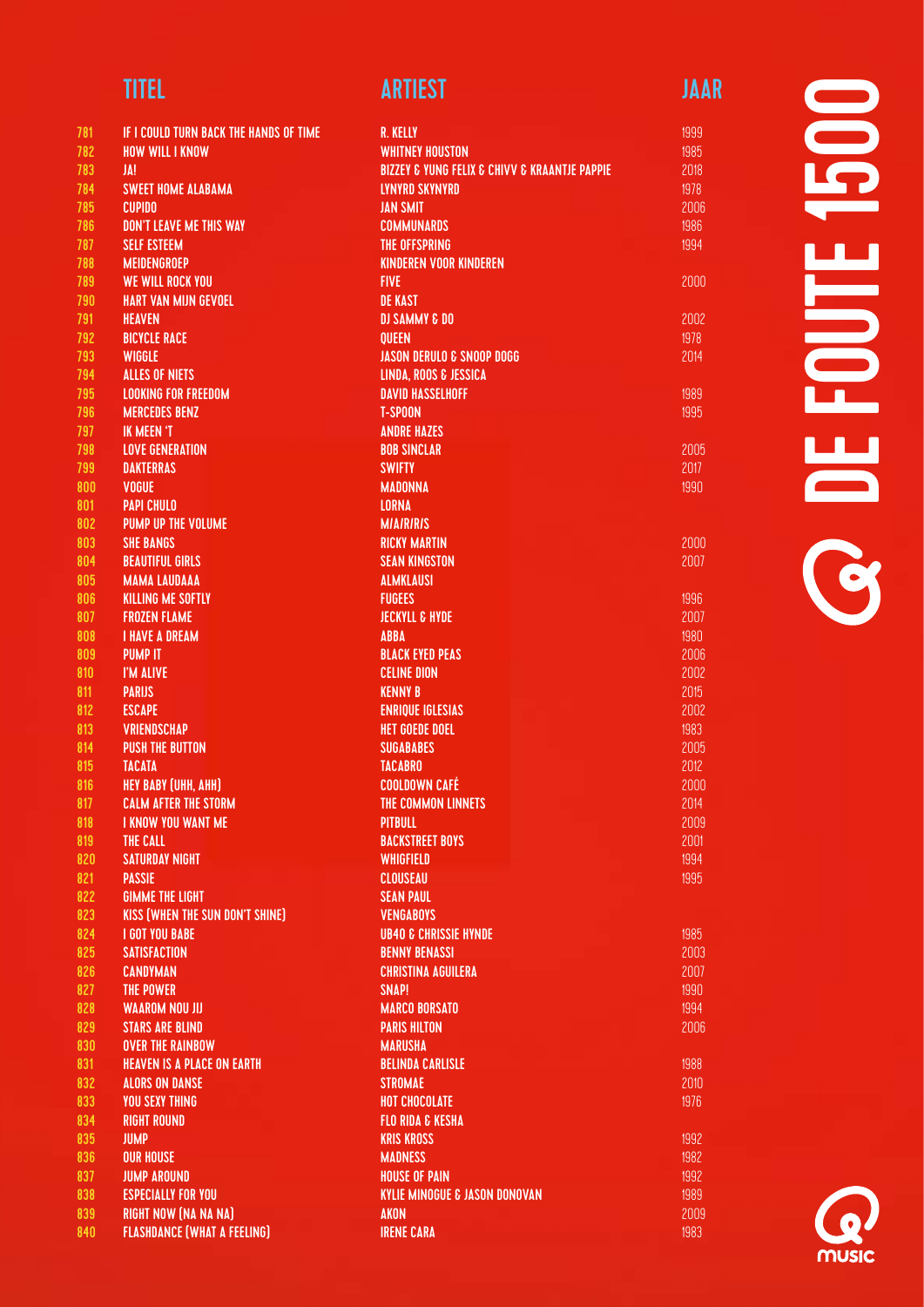| <b>TITEL</b> | <b>ARTIEST</b> | JAAR |
|--------------|----------------|------|
|              |                |      |

| 781 | IF I COULD TURN BACK THE HANDS OF TIME | <b>R. KELLY</b>                                           |
|-----|----------------------------------------|-----------------------------------------------------------|
| 782 | <b>HOW WILL I KNOW</b>                 | <b>WHITNEY HOUSTON</b>                                    |
| 783 | JA!                                    | <b>BIZZEY &amp; YUNG FELIX &amp; CHIVV &amp; KRAANTJE</b> |
| 784 | <b>SWEET HOME ALABAMA</b>              | <b>LYNYRD SKYNYRD</b>                                     |
| 785 | <b>CUPIDO</b>                          | <b>JAN SMIT</b>                                           |
| 786 | <b>DON'T LEAVE ME THIS WAY</b>         | <b>COMMUNARDS</b>                                         |
| 787 | <b>SELF ESTEEM</b>                     | <b>THE OFFSPRING</b>                                      |
| 788 | <b>MEIDENGROEP</b>                     | <b>KINDEREN VOOR KINDEREN</b>                             |
| 789 | <b>WE WILL ROCK YOU</b>                | <b>FIVE</b>                                               |
| 790 | <b>HART VAN MIJN GEVOEL</b>            | <b>DE KAST</b>                                            |
| 791 | <b>HEAVEN</b>                          | <b>DJ SAMMY &amp; DO</b>                                  |
| 792 | <b>BICYCLE RACE</b>                    | <b>QUEEN</b>                                              |
| 793 | <b>WIGGLE</b>                          | <b>JASON DERULO &amp; SNOOP DOGG</b>                      |
| 794 | <b>ALLES OF NIETS</b>                  | LINDA, ROOS & JESSICA                                     |
| 795 | <b>LOOKING FOR FREEDOM</b>             | <b>DAVID HASSELHOFF</b>                                   |
| 796 | <b>MERCEDES BENZ</b>                   | <b>T-SPOON</b>                                            |
| 797 | <b>IK MEEN 'T</b>                      | <b>ANDRE HAZES</b>                                        |
| 798 | <b>LOVE GENERATION</b>                 | <b>BOB SINCLAR</b>                                        |
| 799 | <b>DAKTERRAS</b>                       | <b>SWIFTY</b>                                             |
| 800 | <b>VOGUE</b>                           | <b>MADONNA</b>                                            |
| 801 | <b>PAPI CHULO</b>                      | <b>LORNA</b>                                              |
| 802 | <b>PUMP UP THE VOLUME</b>              | <b>MIAIRIRIS</b>                                          |
| 803 | <b>SHE BANGS</b>                       | <b>RICKY MARTIN</b>                                       |
| 804 | <b>BEAUTIFUL GIRLS</b>                 | <b>SEAN KINGSTON</b>                                      |
| 805 | <b>MAMA LAUDAAA</b>                    | <b>ALMKLAUSI</b>                                          |
| 806 | <b>KILLING ME SOFTLY</b>               | <b>FUGEES</b>                                             |
| 807 | <b>FROZEN FLAME</b>                    | <b>JECKYLL &amp; HYDE</b>                                 |
| 808 | <b>I HAVE A DREAM</b>                  | <b>ABBA</b>                                               |
| 809 | <b>PUMP IT</b>                         | <b>BLACK EYED PEAS</b>                                    |
| 810 | I'M ALIVE                              | <b>CELINE DION</b>                                        |
| 811 | <b>PARIJS</b>                          | <b>KENNY B</b>                                            |
| 812 | <b>ESCAPE</b>                          | <b>ENRIQUE IGLESIAS</b>                                   |
| 813 | <b>VRIENDSCHAP</b>                     | <b>HET GOEDE DOEL</b>                                     |
| 814 | <b>PUSH THE BUTTON</b>                 | <b>SUGABABES</b>                                          |
| 815 | <b>TACATA</b>                          | <b>TACABRO</b>                                            |
| 816 | <b>HEY BABY (UHH, AHH)</b>             | <b>COOLDOWN CAFÉ</b>                                      |
| 817 | <b>CALM AFTER THE STORM</b>            | THE COMMON LINNETS                                        |
| 818 | I KNOW YOU WANT ME                     | PITBULL                                                   |
| 819 | THE CALL                               | <b>BACKSTREET BOYS</b>                                    |
| 820 | <b>SATURDAY NIGHT</b>                  | <b>WHIGFIELD</b>                                          |
| 821 | <b>PASSIE</b>                          | CLOUSEAU                                                  |
| 822 | <b>GIMME THE LIGHT</b>                 | <b>SEAN PAUL</b>                                          |
| 823 | <b>KISS (WHEN THE SUN DON'T SHINE)</b> | <b>VENGABOYS</b>                                          |
| 824 | <b>I GOT YOU BABE</b>                  | <b>UB40 &amp; CHRISSIE HYNDE</b>                          |
| 825 | <b>SATISFACTION</b>                    | <b>BENNY BENASSI</b>                                      |
| 826 | <b>CANDYMAN</b>                        | <b>CHRISTINA AGUILERA</b>                                 |
| 827 | <b>THE POWER</b>                       | SNAP!                                                     |
| 828 | <b>WAAROM NOU JIJ</b>                  | <b>MARCO BORSATO</b>                                      |
| 829 | <b>STARS ARE BLIND</b>                 | <b>PARIS HILTON</b>                                       |
| 830 | <b>OVER THE RAINBOW</b>                | <b>MARUSHA</b>                                            |
| 831 | <b>HEAVEN IS A PLACE ON EARTH</b>      | <b>BELINDA CARLISLE</b>                                   |
| 832 | <b>ALORS ON DANSE</b>                  | <b>STROMAE</b>                                            |
| 833 | <b>YOU SEXY THING</b>                  | <b>HOT CHOCOLATE</b>                                      |
| 834 | <b>RIGHT ROUND</b>                     | <b>FLO RIDA &amp; KESHA</b>                               |
| 835 | <b>JUMP</b>                            | <b>KRIS KROSS</b>                                         |
| 836 | <b>OUR HOUSE</b>                       | <b>MADNESS</b>                                            |
| 837 | <b>JUMP AROUND</b>                     | <b>HOUSE OF PAIN</b>                                      |
| 838 | <b>ESPECIALLY FOR YOU</b>              | <b>KYLIE MINOGUE &amp; JASON DONOVAN</b>                  |
| 839 | <b>RIGHT NOW (NA NA NA)</b>            | <b>AKON</b>                                               |
| 840 | <b>FLASHDANCE (WHAT A FEELING)</b>     | <b>IRENE CARA</b>                                         |

**PAPPIE** 

2000

2002 1978 2014

1989 1995

2005 2017 1990

2000 2007

1988 2010 1976

 $\blacksquare$ DE FOUTE 1500  $\frac{1}{\sqrt{2}}$ Ŧ T **OF** 

music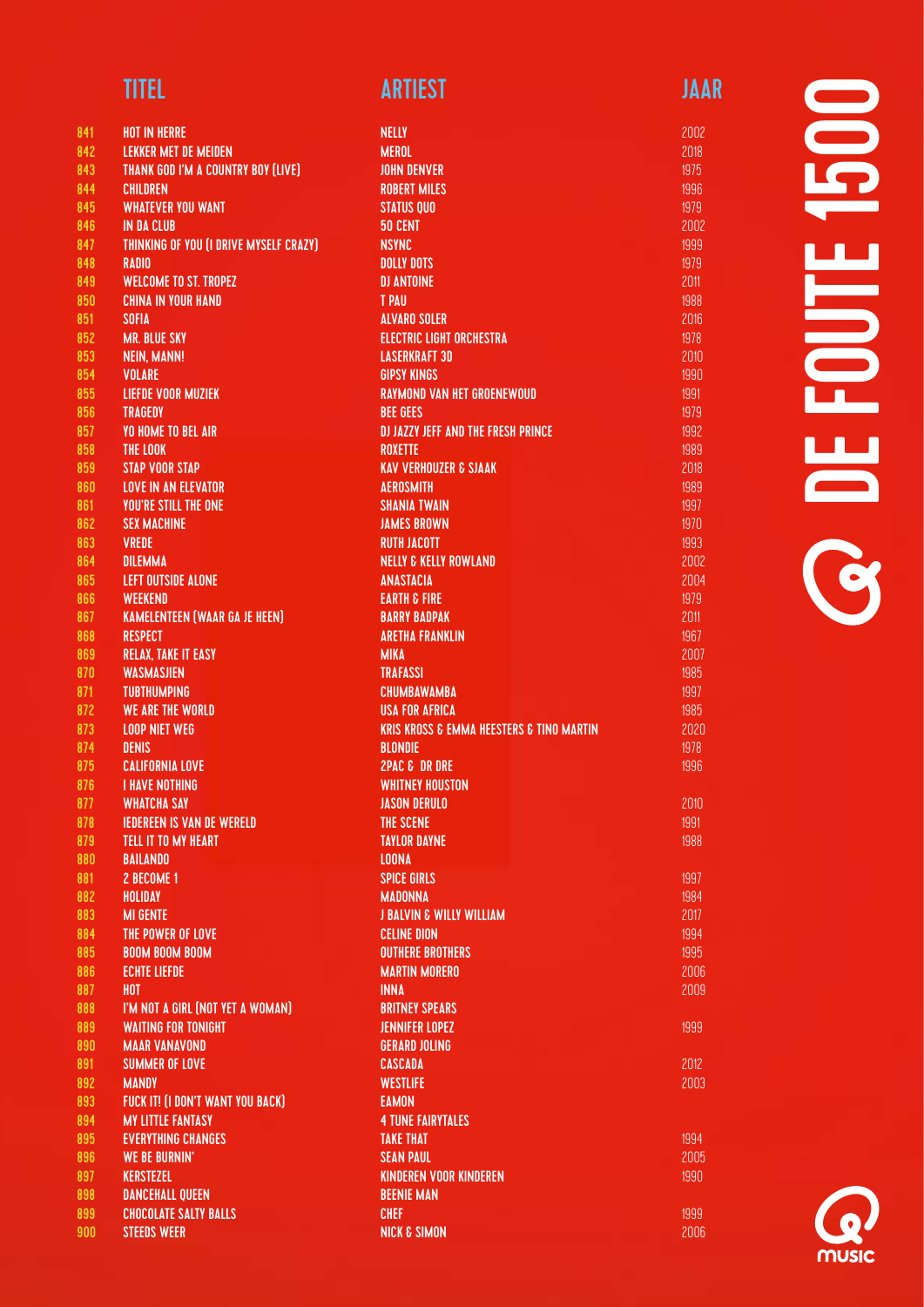|--|

| 841        | <b>HOT IN HERRE</b>                           |
|------------|-----------------------------------------------|
| 842        | <b>LEKKER MET DE MEIDEN</b>                   |
| 843        | <b>THANK GOD I'M A COUNTRY BOY (LIVE)</b>     |
| 844        | <b>CHILDREN</b>                               |
| 845        | <b>WHATEVER YOU WANT</b>                      |
| 846        | <b>IN DA CLUB</b>                             |
| 847        | <b>THINKING OF YOU (I DRIVE MYSELF CRAZY)</b> |
| 848        | <b>RADIO</b><br><b>WELCOME TO ST. TROPEZ</b>  |
| 849<br>850 | <b>CHINA IN YOUR HAND</b>                     |
| 851        | <b>SOFIA</b>                                  |
| 852        | <b>MR. BLUE SKY</b>                           |
| 853        | <b>NEIN, MANN!</b>                            |
| 854        | <b>VOLARE</b>                                 |
| 855        | <b>LIEFDE VOOR MUZIEK</b>                     |
| 856        | <b>TRAGEDY</b>                                |
| 857        | <b>YO HOME TO BEL AIR</b>                     |
| 858        | THE LOOK                                      |
| 859        | <b>STAP VOOR STAP</b>                         |
| 860        | <b>LOVE IN AN ELEVATOR</b>                    |
| 861        | <b>YOU'RE STILL THE ONE</b>                   |
| 862        | <b>SEX MACHINE</b>                            |
| 863        | <b>VREDE</b>                                  |
| 864        | <b>DILEMMA</b>                                |
| 865        | <b>LEFT OUTSIDE ALONE</b>                     |
| 866        | <b>WEEKEND</b>                                |
| 867        | <b>KAMELENTEEN (WAAR GA JE HEEN)</b>          |
| 868        | <b>RESPECT</b>                                |
| 869        | <b>RELAX, TAKE IT EASY</b>                    |
| 870        | <b>WASMASJIEN</b>                             |
| 871        | <b>TUBTHUMPING</b>                            |
| 872        | <b>WE ARE THE WORLD</b>                       |
| 873        | <b>LOOP NIET WEG</b>                          |
| 874        | <b>DENIS</b>                                  |
| 875        | <b>CALIFORNIA LOVE</b>                        |
| 876        | <b>I HAVE NOTHING</b>                         |
| 877        | <b>WHATCHA SAY</b>                            |
| 878        | <b>IEDEREEN IS VAN DE WERELD</b>              |
| 879        | TELL IT TO MY HEART                           |
| 880<br>881 | <b>BAILANDO</b><br>2 BECOME 1                 |
| 882        | <b>HOLIDAY</b>                                |
| 883        | <b>MI GENTE</b>                               |
| 884        | THE POWER OF LOVE                             |
| 885        | <b>BOOM BOOM BOOM</b>                         |
| 886        | <b>ECHTE LIEFDE</b>                           |
| 887        | <b>HOT</b>                                    |
| 888        | I'M NOT A GIRL (NOT YET A WOMAN)              |
| 889        | <b>WAITING FOR TONIGHT</b>                    |
| 890        | <b>MAAR VANAVOND</b>                          |
| 891        | <b>SUMMER OF LOVE</b>                         |
| 892        | <b>MANDY</b>                                  |
| 893        | <b>FUCK IT! (I DON'T WANT YOU BACK)</b>       |
| 894        | <b>MY LITTLE FANTASY</b>                      |
| 895        | <b>EVERYTHING CHANGES</b>                     |
| 896        | <b>WE BE BURNIN'</b>                          |
| 897        | <b>KERSTEZEL</b>                              |
| 898        | <b>DANCEHALL QUEEN</b>                        |
| 899        | <b>CHOCOLATE SALTY BALLS</b>                  |
| 900        | <b>STEEDS WEER</b>                            |

| TITEL                                  | <b>ARTIEST</b>                                          | JAAR |
|----------------------------------------|---------------------------------------------------------|------|
| <b>HOT IN HERRE</b>                    | <b>NELLY</b>                                            | 2002 |
| <b>LEKKER MET DE MEIDEN</b>            | <b>MEROL</b>                                            | 2018 |
| THANK GOD I'M A COUNTRY BOY (LIVE)     | <b>JOHN DENVER</b>                                      | 1975 |
| <b>CHILDREN</b>                        | <b>ROBERT MILES</b>                                     | 1996 |
| <b>WHATEVER YOU WANT</b>               | <b>STATUS QUO</b>                                       | 1979 |
| <b>IN DA CLUB</b>                      | <b>50 CENT</b>                                          | 2002 |
| THINKING OF YOU (I DRIVE MYSELF CRAZY) | <b>NSYNC</b>                                            | 1999 |
| <b>RADIO</b>                           | <b>DOLLY DOTS</b>                                       | 1979 |
| <b>WELCOME TO ST. TROPEZ</b>           | <b>DJ ANTOINE</b>                                       | 2011 |
| <b>CHINA IN YOUR HAND</b>              | <b>T PAU</b>                                            | 1988 |
| SOFIA                                  | <b>ALVARO SOLER</b>                                     | 2016 |
| <b>MR. BLUE SKY</b>                    | <b>ELECTRIC LIGHT ORCHESTRA</b>                         | 1978 |
| <b>NEIN, MANN!</b>                     | <b>LASERKRAFT 3D</b>                                    | 2010 |
| <b>VOLARE</b>                          | <b>GIPSY KINGS</b>                                      | 1990 |
| <b>LIEFDE VOOR MUZIEK</b>              | <b>RAYMOND VAN HET GROENEWOUD</b>                       | 1991 |
| <b>TRAGEDY</b>                         | <b>BEE GEES</b>                                         | 1979 |
| <b>YO HOME TO BEL AIR</b>              | <b>DJ JAZZY JEFF AND THE FRESH PRINCE</b>               | 1992 |
| <b>THE LOOK</b>                        | <b>ROXETTE</b>                                          | 1989 |
| <b>STAP VOOR STAP</b>                  | <b>KAV VERHOUZER &amp; SJAAK</b>                        | 2018 |
| <b>LOVE IN AN ELEVATOR</b>             | <b>AEROSMITH</b>                                        | 1989 |
| <b>YOU'RE STILL THE ONE</b>            | <b><i>SHANIA TWAIN</i></b>                              | 1997 |
| <b>SEX MACHINE</b>                     | <b>JAMES BROWN</b>                                      | 1970 |
| <b>VREDE</b>                           | <b>RUTH JACOTT</b>                                      | 1993 |
| <b>DILEMMA</b>                         | <b>NELLY &amp; KELLY ROWLAND</b>                        | 2002 |
| <b>LEFT OUTSIDE ALONE</b>              | <b>ANASTACIA</b>                                        | 2004 |
| WEEKEND                                | <b>EARTH &amp; FIRE</b>                                 | 1979 |
| <b>KAMELENTEEN (WAAR GA JE HEEN)</b>   | <b>BARRY BADPAK</b>                                     | 2011 |
| <b>RESPECT</b>                         | <b>ARETHA FRANKLIN</b>                                  | 1967 |
| <b>RELAX, TAKE IT EASY</b>             | <b>MIKA</b>                                             | 2007 |
| <b>WASMASJIEN</b>                      | <b>TRAFASSI</b>                                         | 1985 |
| <b>TUBTHUMPING</b>                     | <b>CHUMBAWAMBA</b>                                      | 1997 |
| <b>WE ARE THE WORLD</b>                | <b>USA FOR AFRICA</b>                                   | 1985 |
| <b>LOOP NIET WEG</b>                   | <b>KRIS KROSS &amp; EMMA HEESTERS &amp; TINO MARTIN</b> | 2020 |
| <b>DENIS</b>                           | <b>BLONDIE</b>                                          | 1978 |
| <b>CALIFORNIA LOVE</b>                 | <b>2PAC &amp; DR DRE</b>                                | 1996 |
| I HAVE NOTHING                         | <b>WHITNEY HOUSTON</b>                                  |      |
| <b>WHATCHA SAY</b>                     | <b>JASON DERULO</b>                                     | 2010 |
| <b>IEDEREEN IS VAN DE WERELD</b>       | THE SCENE                                               | 1991 |
| <b>TELL IT TO MY HEART</b>             | <b>TAYLOR DAYNE</b>                                     | 1988 |
| <b>BAILANDO</b>                        | <b>LOONA</b>                                            |      |
| 2 BECOME 1                             | <b>SPICE GIRLS</b>                                      | 1997 |
| <b>HOLIDAY</b>                         | <b>MADONNA</b>                                          | 1984 |
| <b>MI GENTE</b>                        | <b>J BALVIN &amp; WILLY WILLIAM</b>                     | 2017 |
| THE POWER OF LOVE                      | <b>CELINE DION</b>                                      | 1994 |
| <b>BOOM BOOM BOOM</b>                  | <b>OUTHERE BROTHERS</b>                                 | 1995 |
| <b>ECHTE LIEFDE</b>                    | <b>MARTIN MORERO</b>                                    | 2006 |
| <b>HOT</b>                             | <b>INNA</b>                                             | 2009 |
| I'M NOT A GIRL (NOT YET A WOMAN)       | <b>BRITNEY SPEARS</b>                                   |      |
| <b>WAITING FOR TONIGHT</b>             | <b>JENNIFER LOPEZ</b>                                   | 1999 |
| <b>MAAR VANAVOND</b>                   | <b>GERARD JOLING</b>                                    |      |
| <b>SUMMER OF LOVE</b>                  | <b>CASCADA</b>                                          | 2012 |
| <b>MANDY</b>                           | <b>WESTLIFE</b>                                         | 2003 |
| FUCK IT! (I DON'T WANT YOU BACK)       | <b>EAMON</b>                                            |      |
| <b>MY LITTLE FANTASY</b>               | <b>4 TUNE FAIRYTALES</b>                                |      |
| <b>EVERYTHING CHANGES</b>              | <b>TAKE THAT</b>                                        | 1994 |
| <b>WE BE BURNIN'</b>                   | <b>SEAN PAUL</b>                                        | 2005 |
| <b>KERSTEZEL</b>                       | <b>KINDEREN VOOR KINDEREN</b>                           | 1990 |
| <b>DANCEHALL QUEEN</b>                 | <b>BEENIE MAN</b>                                       |      |

DE FOUTE 1500 E T 

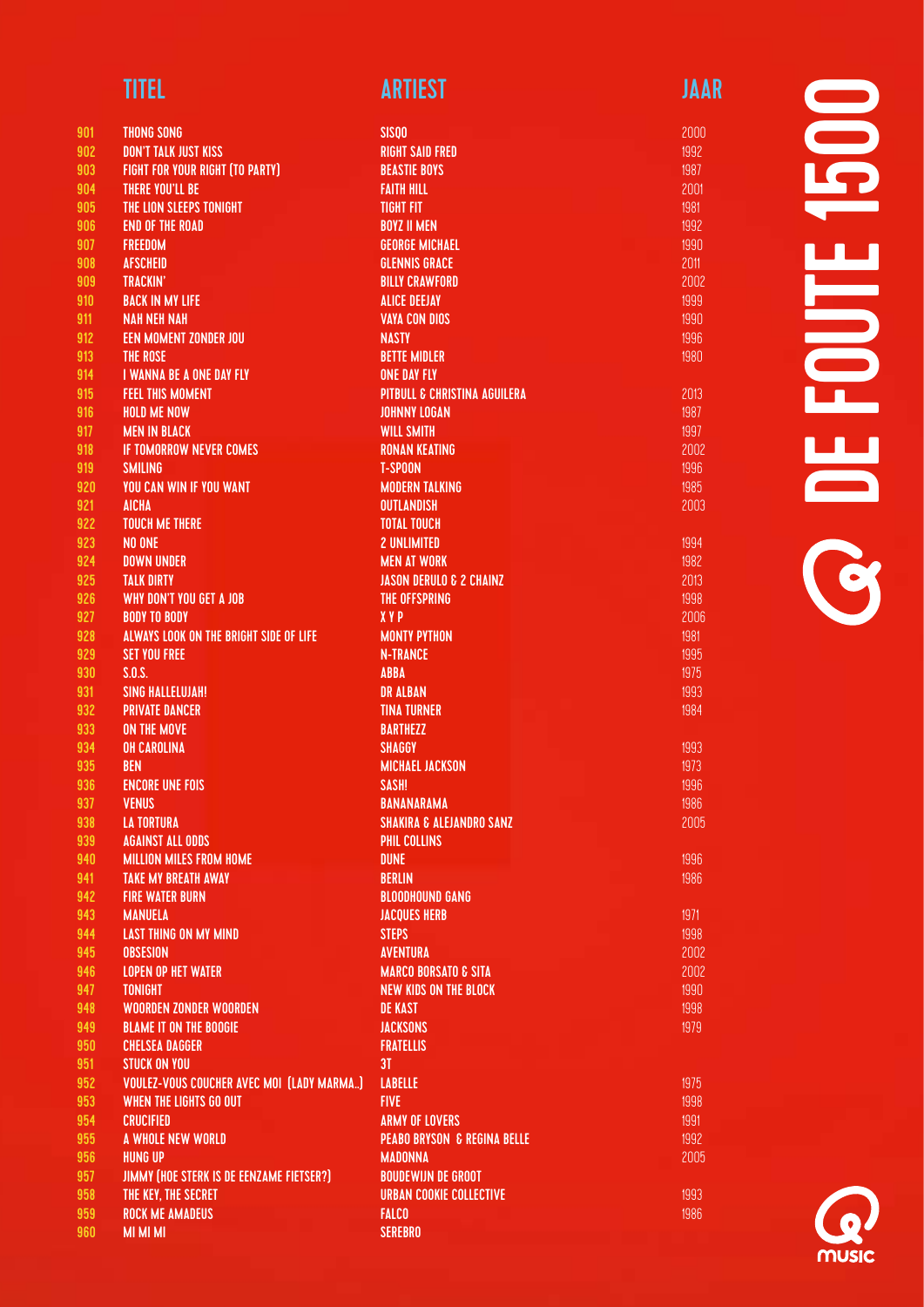| <b>TITEL</b> | <b>ARTIEST</b> | JAAR |
|--------------|----------------|------|
|              |                |      |

1996 1986

| 901<br><b>THONG SONG</b>                                | <b>SISQO</b>                            |
|---------------------------------------------------------|-----------------------------------------|
| 902<br><b>DON'T TALK JUST KISS</b>                      | <b>RIGHT SAID FRED</b>                  |
| 903<br><b>FIGHT FOR YOUR RIGHT (TO PARTY)</b>           | <b>BEASTIE BOYS</b>                     |
| 904<br>THERE YOU'LL BE                                  | <b>FAITH HILL</b>                       |
| 905<br>THE LION SLEEPS TONIGHT                          | <b>TIGHT FIT</b>                        |
| 906<br><b>END OF THE ROAD</b>                           | <b>BOYZ II MEN</b>                      |
| 907<br><b>FREEDOM</b>                                   | <b>GEORGE MICHAEL</b>                   |
| 908<br><b>AFSCHEID</b>                                  | <b>GLENNIS GRACE</b>                    |
| 909<br><b>TRACKIN'</b>                                  | <b>BILLY CRAWFORD</b>                   |
| 910<br><b>BACK IN MY LIFE</b>                           | <b>ALICE DEEJAY</b>                     |
| 911<br><b>NAH NEH NAH</b>                               | <b>VAYA CON DIOS</b>                    |
|                                                         |                                         |
| 912<br><b>EEN MOMENT ZONDER JOU</b>                     | <b>NASTY</b>                            |
| 913<br><b>THE ROSE</b>                                  | <b>BETTE MIDLER</b>                     |
| I WANNA BE A ONE DAY FLY<br>914                         | <b>ONE DAY FLY</b>                      |
| 915<br><b>FEEL THIS MOMENT</b>                          | <b>PITBULL &amp; CHRISTINA AGUILERA</b> |
| <b>HOLD ME NOW</b><br>916                               | <b>JOHNNY LOGAN</b>                     |
| 917<br><b>MEN IN BLACK</b>                              | <b>WILL SMITH</b>                       |
| <b>IF TOMORROW NEVER COMES</b><br>918                   | <b>RONAN KEATING</b>                    |
| 919<br><b>SMILING</b>                                   | <b>T-SPOON</b>                          |
| <b>YOU CAN WIN IF YOU WANT</b><br>920                   | <b>MODERN TALKING</b>                   |
| 921<br><b>AICHA</b>                                     | <b>OUTLANDISH</b>                       |
| 922<br><b>TOUCH ME THERE</b>                            | <b>TOTAL TOUCH</b>                      |
| 923<br>NO ONE                                           | <b>2 UNLIMITED</b>                      |
| 924<br><b>DOWN UNDER</b>                                | <b>MEN AT WORK</b>                      |
| 925<br><b>TALK DIRTY</b>                                | <b>JASON DERULO &amp; 2 CHAINZ</b>      |
| 926<br>WHY DON'T YOU GET A JOB                          | THE OFFSPRING                           |
| <b>BODY TO BODY</b><br>927                              | <b>XYP</b>                              |
| ALWAYS LOOK ON THE BRIGHT SIDE OF LIFE<br>928           | <b>MONTY PYTHON</b>                     |
| 929<br><b>SET YOU FREE</b>                              | <b>N-TRANCE</b>                         |
| 930<br>S.D.S.                                           | <b>ABBA</b>                             |
| 931<br><b>SING HALLELUJAH!</b>                          | <b>DR ALBAN</b>                         |
| 932<br><b>PRIVATE DANCER</b>                            | <b>TINA TURNER</b>                      |
| 933<br><b>ON THE MOVE</b>                               | <b>BARTHEZZ</b>                         |
| 934<br><b>OH CAROLINA</b>                               | SHAGGY                                  |
| 935<br><b>BEN</b>                                       | <b>MICHAEL JACKSON</b>                  |
| <b>ENCORE UNE FOIS</b><br>936                           | SASH!                                   |
| 937<br><b>VENUS</b>                                     | <b>BANANARAMA</b>                       |
| 938<br><b>LA TORTURA</b>                                | <b>SHAKIRA &amp; ALEJANDRO SANZ</b>     |
| 939<br><b>AGAINST ALL ODDS</b>                          | PHIL COLLINS                            |
| 940<br><b>MILLION MILES FROM HOME</b>                   | <b>DUNE</b>                             |
|                                                         | <b>BERLIN</b>                           |
| 941<br><b>TAKE MY BREATH AWAY</b>                       |                                         |
| 942<br><b>FIRE WATER BURN</b>                           | <b>BLOODHOUND GANG</b>                  |
| 943<br><b>MANUELA</b>                                   | <b>JACQUES HERB</b>                     |
| 944<br><b>LAST THING ON MY MIND</b>                     | <b>STEPS</b>                            |
| 945<br><b>OBSESION</b>                                  | <b>AVENTURA</b>                         |
| 946<br><b>LOPEN OP HET WATER</b>                        | <b>MARCO BORSATO &amp; SITA</b>         |
| 947<br><b>TONIGHT</b>                                   | <b>NEW KIDS ON THE BLOCK</b>            |
| 948<br><b>WOORDEN ZONDER WOORDEN</b>                    | <b>DE KAST</b>                          |
| <b>BLAME IT ON THE BOOGIE</b><br>949                    | <b>JACKSONS</b>                         |
| 950<br><b>CHELSEA DAGGER</b>                            | <b>FRATELLIS</b>                        |
| 951<br><b>STUCK ON YOU</b>                              | 3 <sub>T</sub>                          |
| 952<br><b>VOULEZ-VOUS COUCHER AVEC MOI (LADY MARMA)</b> | <b>LABELLE</b>                          |
| <b>WHEN THE LIGHTS GO OUT</b><br>953                    | <b>FIVE</b>                             |
| 954<br><b>CRUCIFIED</b>                                 | <b>ARMY OF LOVERS</b>                   |
| 955<br>A WHOLE NEW WORLD                                | <b>PEABO BRYSON &amp; REGINA BELLE</b>  |
| 956<br><b>HUNG UP</b>                                   | <b>MADONNA</b>                          |
| 957<br>JIMMY (HOE STERK IS DE EENZAME FIETSER?)         | <b>BOUDEWIJN DE GROOT</b>               |
| 958<br>THE KEY, THE SECRET                              | <b>URBAN COOKIE COLLECTIVE</b>          |
| 959<br><b>ROCK ME AMADEUS</b>                           | <b>FALCO</b>                            |

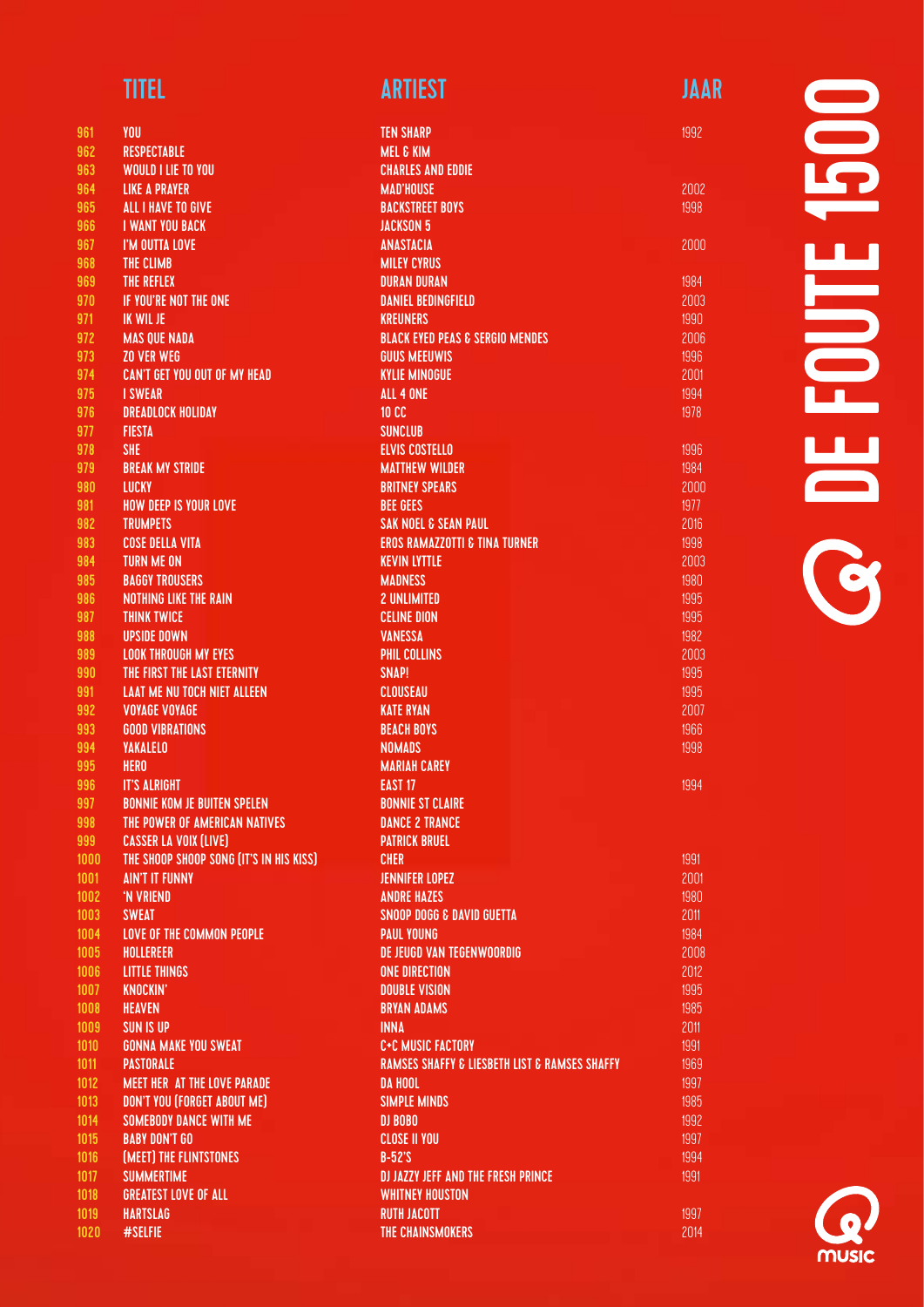| 961        | YOU                                     |
|------------|-----------------------------------------|
| 962        | <b>RESPECTABLE</b>                      |
| 963        | <b>WOULD I LIE TO YOU</b>               |
| 964        | <b>LIKE A PRAYER</b>                    |
|            |                                         |
| 965        | <b>ALL I HAVE TO GIVE</b>               |
| 966        | <b>I WANT YOU BACK</b>                  |
| 967        | I'M OUTTA LOVE                          |
| 968        | THE CLIMB                               |
| 969        | THE REFLEX                              |
| 970        | <b>IF YOU'RE NOT THE ONE</b>            |
| 971        | <b>IK WIL JE</b>                        |
| 972        | <b>MAS QUE NADA</b>                     |
| 973        | <b>ZO VER WEG</b>                       |
| 974        | <b>CAN'T GET YOU OUT OF MY HEAD</b>     |
| 975        | <b>I SWEAR</b>                          |
| 976        | <b>DREADLOCK HOLIDAY</b>                |
| 977        | <b>FIESTA</b>                           |
| 978        | <b>SHE</b>                              |
| 979        | <b>BREAK MY STRIDE</b>                  |
| 980        | LUCKY                                   |
| 981        | <b>HOW DEEP IS YOUR LOVE</b>            |
| 982        | <b>TRUMPETS</b>                         |
| 983        | <b>COSE DELLA VITA</b>                  |
| 984        | <b>TURN ME ON</b>                       |
| 985        | <b>BAGGY TROUSERS</b>                   |
| 986        | <b>NOTHING LIKE THE RAIN</b>            |
| 987        | <b>THINK TWICE</b>                      |
| 988        | <b>UPSIDE DOWN</b>                      |
| 989        | <b>LOOK THROUGH MY EYES</b>             |
| 990        | THE FIRST THE LAST ETERNITY             |
| 991        | <b>LAAT ME NU TOCH NIET ALLEEN</b>      |
| 992        | <b>VOYAGE VOYAGE</b>                    |
|            | <b>GOOD VIBRATIONS</b>                  |
| 993<br>994 |                                         |
| 995        | <b>YAKALELO</b>                         |
| 996        | <b>HERO</b>                             |
|            | <b>IT'S ALRIGHT</b>                     |
| 997        | <b>BONNIE KOM JE BUITEN SPELEN</b>      |
| 998        | THE POWER OF AMERICAN NATIVES           |
| 999        | <b>CASSER LA VOIX (LIVE)</b>            |
| 1000       | THE SHOOP SHOOP SONG (IT'S IN HIS KISS) |
| 1001       | <b>AIN'T IT FUNNY</b>                   |
| 1002       | 'N VRIEND                               |
| 1003       | <b>SWEAT</b>                            |
| 1004       | <b>LOVE OF THE COMMON PEOPLE</b>        |
| 1005       | <b>HOLLEREER</b>                        |
| 1006       | <b>LITTLE THINGS</b>                    |
| 1007       | <b>KNOCKIN'</b>                         |
| 1008       | <b>HEAVEN</b>                           |
| 1009       | <b>SUN IS UP</b>                        |
| 1010       | <b>GONNA MAKE YOU SWEAT</b>             |
| 1011       | <b>PASTORALE</b>                        |
| 1012       | <b>MEET HER AT THE LOVE PARADE</b>      |
| 1013       | <b>DON'T YOU (FORGET ABOUT ME)</b>      |
| 1014       | <b>SOMEBODY DANCE WITH ME</b>           |
| 1015       | <b>BABY DON'T GO</b>                    |
| 1016       | (MEET) THE FLINTSTONES                  |
| 1017       | <b>SUMMERTIME</b>                       |
| 1018       | <b>GREATEST LOVE OF ALL</b>             |
| 1019       | <b>HARTSLAG</b>                         |
| 1020       | #SELFIE                                 |
|            |                                         |

| <b>TEN SHARP</b>                                             |  |
|--------------------------------------------------------------|--|
| <b>MEL &amp; KIM</b>                                         |  |
| <b>CHARLES AND EDDIE</b>                                     |  |
| <b>MAD'HOUSE</b>                                             |  |
| <b>BACKSTREET BOYS</b>                                       |  |
| <b>JACKSON 5</b>                                             |  |
| <b>ANASTACIA</b>                                             |  |
| <b>MILEY CYRUS</b>                                           |  |
| <b>DURAN DURAN</b>                                           |  |
| <b>DANIEL BEDINGFIELD</b>                                    |  |
| <b>KREUNERS</b>                                              |  |
| <b>BLACK EYED PEAS &amp; SERGIO MENDES</b>                   |  |
| <b>GUUS MEEUWIS</b>                                          |  |
| <b>KYLIE MINOGUE</b>                                         |  |
| <b>ALL 4 ONE</b><br><b>10 CC</b>                             |  |
| <b>SUNCLUB</b>                                               |  |
| <b>ELVIS COSTELLO</b>                                        |  |
| <b>MATTHEW WILDER</b>                                        |  |
| <b>BRITNEY SPEARS</b>                                        |  |
| <b>BEE GEES</b>                                              |  |
| <b>SAK NOEL &amp; SEAN PAUL</b>                              |  |
| <b>EROS RAMAZZOTTI &amp; TINA TURNER</b>                     |  |
| <b>KEVIN LYTTLE</b>                                          |  |
| <b>MADNESS</b>                                               |  |
| <b>2 UNLIMITED</b>                                           |  |
| <b>CELINE DION</b>                                           |  |
| <b>VANESSA</b>                                               |  |
| <b>PHIL COLLINS</b>                                          |  |
| SNAP!                                                        |  |
| <b>CLOUSEAU</b>                                              |  |
| <b>KATE RYAN</b>                                             |  |
| <b>BEACH BOYS</b>                                            |  |
| <b>NOMADS</b>                                                |  |
| <b>MARIAH CAREY</b>                                          |  |
| <b>EAST 17</b>                                               |  |
| <b>BONNIE ST CLAIRE</b>                                      |  |
| <b>DANCE 2 TRANCE</b>                                        |  |
| <b>PATRICK BRUEL</b>                                         |  |
| <b>CHER</b>                                                  |  |
| <b>JENNIFER LOPEZ</b><br><b>ANDRE HAZES</b>                  |  |
| <b>SNOOP DOGG &amp; DAVID GUETTA</b>                         |  |
| <b>PAUL YOUNG</b>                                            |  |
| <b>DE JEUGD VAN TEGENWOORDIG</b>                             |  |
| <b>ONE DIRECTION</b>                                         |  |
| <b>DOUBLE VISION</b>                                         |  |
| <b>BRYAN ADAMS</b>                                           |  |
| <b>INNA</b>                                                  |  |
| <b>C+C MUSIC FACTORY</b>                                     |  |
| <b>RAMSES SHAFFY &amp; LIESBETH LIST &amp; RAMSES SHAFFY</b> |  |
| <b>DA HOOL</b>                                               |  |
| <b>SIMPLE MINDS</b>                                          |  |
| DJ BOBO                                                      |  |
| <b>CLOSE II YOU</b>                                          |  |
| $B-52^{\circ}S$                                              |  |
| <b>DJ JAZZY JEFF AND THE FRESH PRINCE</b>                    |  |
| <b>WHITNEY HOUSTON</b>                                       |  |
| <b>RUTH JACOTT</b>                                           |  |
| THE CHAINSMOKERS                                             |  |

1992

2002 1998

2000

1994

1997 2014

# 1500 DE FOUTE 1500 **FOUT OF**

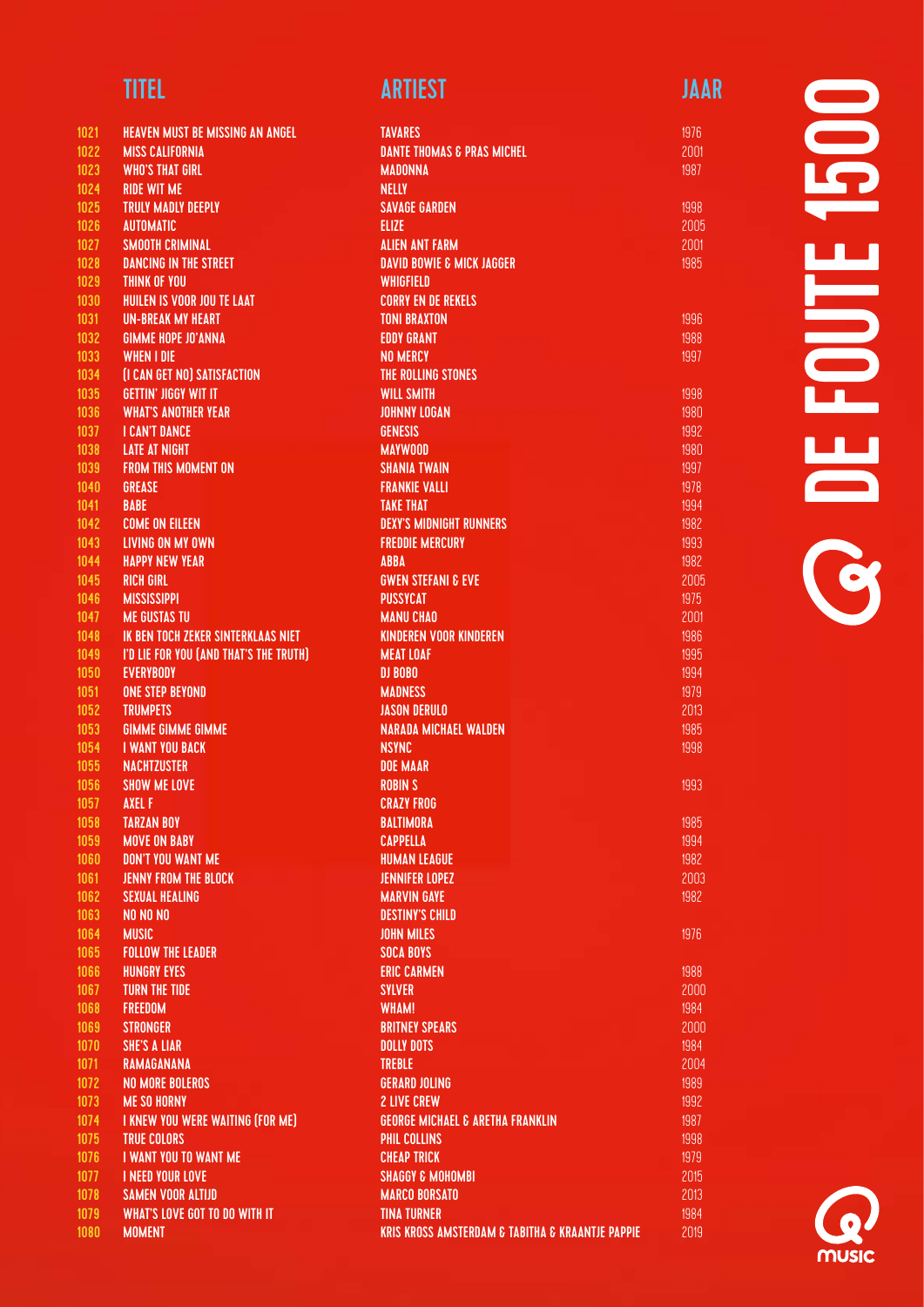| 1021         | <b>HEAVEN MUST BE MISSING AN ANGEL</b>                           |
|--------------|------------------------------------------------------------------|
| 1022         | <b>MISS CALIFORNIA</b>                                           |
| 1023         | <b>WHO'S THAT GIRL</b>                                           |
| 1024         | <b>RIDE WIT ME</b>                                               |
| 1025         | <b>TRULY MADLY DEEPLY</b>                                        |
| 1026         | <b>AUTOMATIC</b>                                                 |
| 1027         | <b>SMOOTH CRIMINAL</b>                                           |
| 1028         | <b>DANCING IN THE STREET</b>                                     |
| 1029         | <b>THINK OF YOU</b>                                              |
| 1030<br>1031 | HUILEN IS VOOR JOU TE LAAT<br><b>UN-BREAK MY HEART</b>           |
| 1032         | <b>GIMME HOPE JO'ANNA</b>                                        |
| 1033         | <b>WHEN I DIE</b>                                                |
| 1034         | (I CAN GET NO) SATISFACTION                                      |
| 1035         | <b>GETTIN' JIGGY WIT IT</b>                                      |
| 1036         | <b>WHAT'S ANOTHER YEAR</b>                                       |
| 1037         | <b>I CAN'T DANCE</b>                                             |
| 1038         | <b>LATE AT NIGHT</b>                                             |
| 1039         | <b>FROM THIS MOMENT ON</b>                                       |
| 1040         | <b>GREASE</b>                                                    |
| 1041         | <b>BABE</b>                                                      |
| 1042         | <b>COME ON EILEEN</b>                                            |
| 1043         | <b>LIVING ON MY OWN</b>                                          |
| 1044         | <b>HAPPY NEW YEAR</b>                                            |
| 1045         | <b>RICH GIRL</b>                                                 |
| 1046         | <b>MISSISSIPPI</b>                                               |
| 1047<br>1048 | <b>ME GUSTAS TU</b><br><b>IK BEN TOCH ZEKER SINTERKLAAS NIET</b> |
| 1049         | I'D LIE FOR YOU (AND THAT'S THE TRUTH)                           |
| 1050         | <b>EVERYBODY</b>                                                 |
| 1051         | <b>ONE STEP BEYOND</b>                                           |
| 1052         | <b>TRUMPETS</b>                                                  |
| 1053         | <b>GIMME GIMME GIMME</b>                                         |
| 1054         | <b>I WANT YOU BACK</b>                                           |
| 1055         | <b>NACHTZUSTER</b>                                               |
| 1056         | <b>SHOW ME LOVE</b>                                              |
| 1057         | <b>AXEL F</b>                                                    |
| 1058         | <b>TARZAN BOY</b>                                                |
| 1059         | <b>MOVE ON BABY</b>                                              |
| 1060         | <b>DON'T YOU WANT ME</b>                                         |
| 1061         | <b>JENNY FROM THE BLOCK</b>                                      |
| 1062         | <b>SEXUAL HEALING</b>                                            |
| 1063         | NO NO NO                                                         |
| 1064         | <b>MUSIC</b><br><b>FOLLOW THE LEADER</b>                         |
| 1065<br>1066 | <b>HUNGRY EYES</b>                                               |
| 1067         | <b>TURN THE TIDE</b>                                             |
| 1068         | <b>FREEDOM</b>                                                   |
| 1069         | <b>STRONGER</b>                                                  |
| 1070         | <b>SHE'S A LIAR</b>                                              |
| 1071         | <b>RAMAGANANA</b>                                                |
| 1072         | <b>NO MORE BOLEROS</b>                                           |
| 1073         | <b>ME SO HORNY</b>                                               |
| 1074         | I KNEW YOU WERE WAITING (FOR ME)                                 |
| 1075         | <b>TRUE COLORS</b>                                               |
| 1076         | I WANT YOU TO WANT ME                                            |
| 1077         | <b>I NEED YOUR LOVE</b>                                          |
| 1078         | <b>SAMEN VOOR ALTIJD</b>                                         |
| 1079         | <b>WHAT'S LOVE GOT TO DO WITH IT</b>                             |
| 1080         | <b>MOMENT</b>                                                    |

| <b>TAVARES</b>                                                  | 1976         |
|-----------------------------------------------------------------|--------------|
| <b>DANTE THOMAS &amp; PRAS MICHEL</b>                           | 2001         |
| <b>MADONNA</b>                                                  | 1987         |
| <b>NELLY</b>                                                    |              |
| <b>SAVAGE GARDEN</b>                                            | 1998         |
| <b>ELIZE</b>                                                    | 2005         |
| <b>ALIEN ANT FARM</b>                                           | 2001         |
| <b>DAVID BOWIE &amp; MICK JAGGER</b>                            | 1985         |
| <b>WHIGFIELD</b>                                                |              |
| <b>CORRY EN DE REKELS</b>                                       |              |
| <b>TONI BRAXTON</b>                                             | 1996         |
| <b>EDDY GRANT</b>                                               | 1988         |
| <b>NO MERCY</b>                                                 | 1997         |
| THE ROLLING STONES                                              |              |
| <b>WILL SMITH</b>                                               | 1998         |
| <b>JOHNNY LOGAN</b>                                             | 1980         |
| <b>GENESIS</b>                                                  | 1992         |
| <b>MAYWOOD</b>                                                  | 1980         |
| <b>SHANIA TWAIN</b>                                             | 1997         |
| <b>FRANKIE VALLI</b>                                            | 1978         |
| <b>TAKE THAT</b>                                                | 1994         |
| <b>DEXY'S MIDNIGHT RUNNERS</b>                                  | 1982         |
| <b>FREDDIE MERCURY</b>                                          | 1993         |
| <b>ABBA</b>                                                     | 1982         |
| <b>GWEN STEFANI &amp; EVE</b>                                   | 2005         |
| <b>PUSSYCAT</b>                                                 | 1975         |
| <b>MANU CHAO</b>                                                | 2001         |
| <b>KINDEREN VOOR KINDEREN</b>                                   | 1986         |
| <b>MEAT LOAF</b>                                                | 1995         |
| DJ BOBO                                                         | 1994         |
| <b>MADNESS</b>                                                  | 1979         |
| <b>JASON DERULO</b>                                             |              |
| <b>NARADA MICHAEL WALDEN</b>                                    | 2013         |
| <b>NSYNC</b>                                                    | 1985<br>1998 |
|                                                                 |              |
| <b>DOE MAAR</b><br><b>ROBIN S</b>                               |              |
| <b>CRAZY FROG</b>                                               | 1993         |
| <b>BALTIMORA</b>                                                | 1985         |
|                                                                 |              |
| <b>CAPPELLA</b>                                                 | 1994         |
| <b>HUMAN LEAGUE</b><br><b>JENNIFER LOPEZ</b>                    | 1982         |
| <b>MARVIN GAYE</b>                                              | 2003<br>1982 |
|                                                                 |              |
| <b>DESTINY'S CHILD</b>                                          |              |
| <b>JOHN MILES</b>                                               | 1976         |
| <b>SOCA BOYS</b>                                                |              |
| <b>ERIC CARMEN</b>                                              | 1988         |
| <b>SYLVER</b>                                                   | 2000         |
| <b>WHAM!</b>                                                    | 1984         |
| <b>BRITNEY SPEARS</b>                                           | 2000         |
| <b>DOLLY DOTS</b>                                               | 1984         |
| <b>TREBLE</b>                                                   | 2004         |
| <b>GERARD JOLING</b>                                            | 1989         |
| <b>2 LIVE CREW</b>                                              | 1992         |
| <b>GEORGE MICHAEL &amp; ARETHA FRANKLIN</b>                     | 1987         |
| PHIL COLLINS                                                    | 1998         |
| <b>CHEAP TRICK</b>                                              | 1979         |
| <b>SHAGGY &amp; MOHOMBI</b>                                     | 2015         |
| <b>MARCO BORSATO</b>                                            | 2013         |
| <b>TINA TURNER</b>                                              | 1984         |
| <b>KRIS KROSS AMSTERDAM &amp; TABITHA &amp; KRAANTJE PAPPIE</b> | 2019         |
|                                                                 |              |

# **OCEFOUTE 1500** DE FOUTE 1500

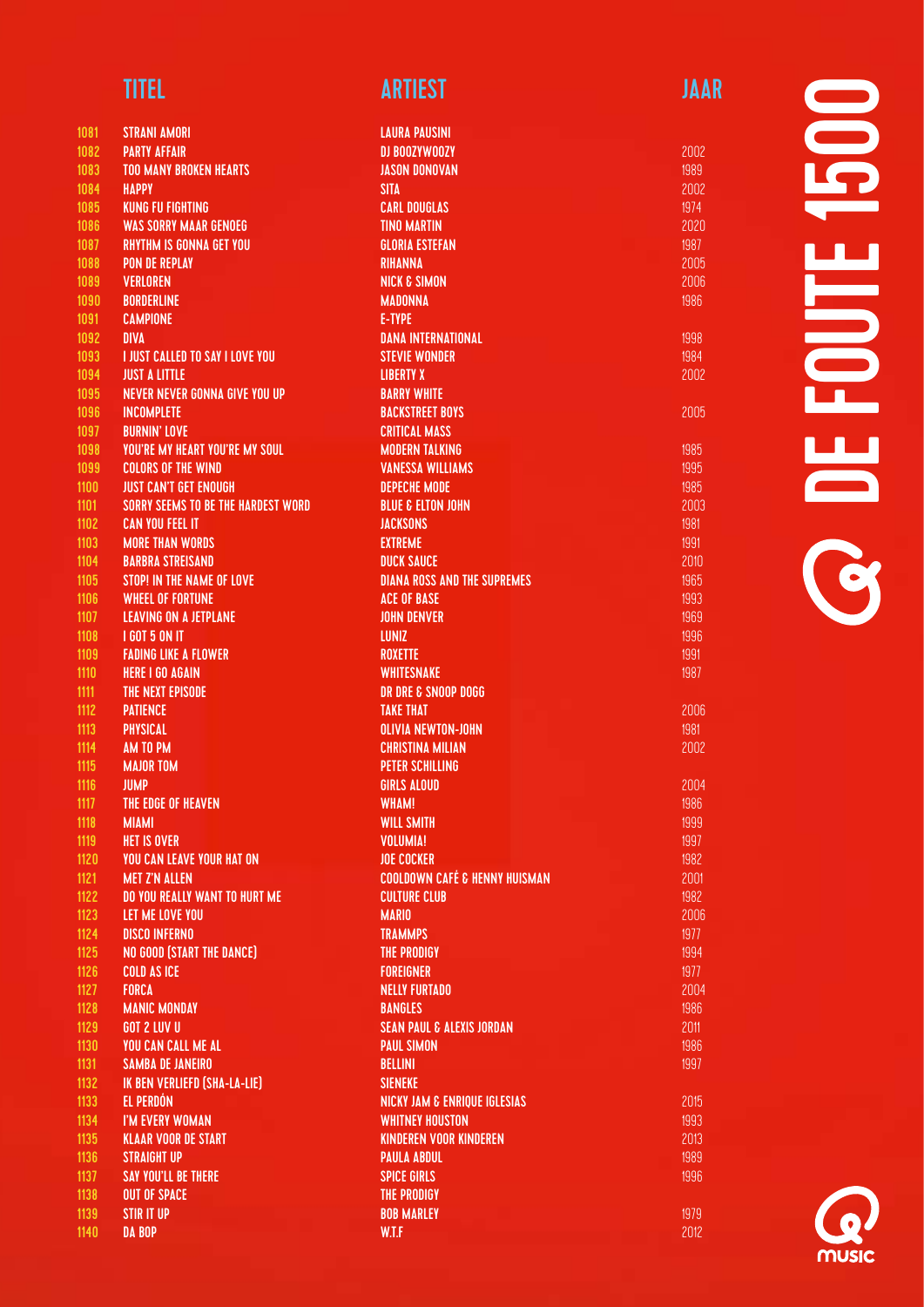| <b>TITEL</b> | <b>ARTIEST</b> | JAAR |
|--------------|----------------|------|
|              |                |      |

| 1081 | <b>STRANI AMORI</b>                       | <b>LAURA PAUSINI</b>                     |
|------|-------------------------------------------|------------------------------------------|
| 1082 | <b>PARTY AFFAIR</b>                       | DJ BOOZYWOOZY                            |
| 1083 | <b>TOO MANY BROKEN HEARTS</b>             | <b>JASON DONOVAN</b>                     |
| 1084 | <b>HAPPY</b>                              | <b>SITA</b>                              |
| 1085 | <b>KUNG FU FIGHTING</b>                   | <b>CARL DOUGLAS</b>                      |
| 1086 | <b>WAS SORRY MAAR GENOEG</b>              | <b>TINO MARTIN</b>                       |
| 1087 | <b>RHYTHM IS GONNA GET YOU</b>            | <b>GLORIA ESTEFAN</b>                    |
| 1088 | <b>PON DE REPLAY</b>                      | <b>RIHANNA</b>                           |
| 1089 | <b>VERLOREN</b>                           | <b>NICK &amp; SIMON</b>                  |
| 1090 | <b>BORDERLINE</b>                         | <b>MADONNA</b>                           |
| 1091 | <b>CAMPIONE</b>                           | <b>E-TYPE</b>                            |
| 1092 | <b>DIVA</b>                               | <b>DANA INTERNATIONAL</b>                |
| 1093 | <b>I JUST CALLED TO SAY I LOVE YOU</b>    | <b>STEVIE WONDER</b>                     |
| 1094 | <b>JUST A LITTLE</b>                      | <b>LIBERTY X</b>                         |
| 1095 | NEVER NEVER GONNA GIVE YOU UP             | <b>BARRY WHITE</b>                       |
| 1096 | <b>INCOMPLETE</b>                         | <b>BACKSTREET BOYS</b>                   |
| 1097 | <b>BURNIN' LOVE</b>                       | <b>CRITICAL MASS</b>                     |
| 1098 | YOU'RE MY HEART YOU'RE MY SOUL            | <b>MODERN TALKING</b>                    |
| 1099 | <b>COLORS OF THE WIND</b>                 | <b>VANESSA WILLIAMS</b>                  |
| 1100 | <b>JUST CAN'T GET ENOUGH</b>              | <b>DEPECHE MODE</b>                      |
| 1101 | <b>SORRY SEEMS TO BE THE HARDEST WORD</b> | <b>BLUE &amp; ELTON JOHN</b>             |
| 1102 | <b>CAN YOU FEEL IT</b>                    | <b>JACKSONS</b>                          |
| 1103 | <b>MORE THAN WORDS</b>                    | <b>EXTREME</b>                           |
| 1104 | <b>BARBRA STREISAND</b>                   | <b>DUCK SAUCE</b>                        |
| 1105 | <b>STOP! IN THE NAME OF LOVE</b>          | <b>DIANA ROSS AND THE SUPREMES</b>       |
| 1106 | <b>WHEEL OF FORTUNE</b>                   | <b>ACE OF BASE</b>                       |
| 1107 | <b>LEAVING ON A JETPLANE</b>              | <b>JOHN DENVER</b>                       |
| 1108 | <b>I GOT 5 ON IT</b>                      | <b>LUNIZ</b>                             |
| 1109 | <b>FADING LIKE A FLOWER</b>               | <b>ROXETTE</b>                           |
| 1110 | <b>HERE I GO AGAIN</b>                    | <b>WHITESNAKE</b>                        |
| 1111 | THE NEXT EPISODE                          | DR DRE & SNOOP DOGG                      |
| 1112 | <b>PATIENCE</b>                           | <b>TAKE THAT</b>                         |
| 1113 | <b>PHYSICAL</b>                           | <b>OLIVIA NEWTON-JOHN</b>                |
| 1114 | AM TO PM                                  | <b>CHRISTINA MILIAN</b>                  |
| 1115 | <b>MAJOR TOM</b>                          | <b>PETER SCHILLING</b>                   |
| 1116 | <b>JUMP</b>                               | <b>GIRLS ALOUD</b>                       |
| 1117 | THE EDGE OF HEAVEN                        | <b>WHAM!</b>                             |
| 1118 | MIAMI                                     | <b>WILL SMITH</b>                        |
| 1119 | <b>HET IS OVER</b>                        | <b>VOLUMIA!</b>                          |
| 1120 | <b>YOU CAN LEAVE YOUR HAT ON</b>          | <b>JOE COCKER</b>                        |
| 1121 | <b>MET Z'N ALLEN</b>                      | <b>COOLDOWN CAFÉ &amp; HENNY HUISMAN</b> |
| 1122 | <b>DO YOU REALLY WANT TO HURT ME</b>      | <b>CULTURE CLUB</b>                      |
| 1123 | LET ME LOVE YOU                           | <b>MARIO</b>                             |
| 1124 | <b>DISCO INFERNO</b>                      | <b>TRAMMPS</b>                           |
| 1125 | <b>NO GOOD (START THE DANCE)</b>          | THE PRODIGY                              |
| 1126 | <b>COLD AS ICE</b>                        | <b>FOREIGNER</b>                         |
| 1127 | <b>FORCA</b>                              | <b>NELLY FURTADO</b>                     |
| 1128 | <b>MANIC MONDAY</b>                       | <b>BANGLES</b>                           |
| 1129 | <b>GOT 2 LUV U</b>                        | <b>SEAN PAUL &amp; ALEXIS JORDAN</b>     |
| 1130 | <b>YOU CAN CALL ME AL</b>                 | <b>PAUL SIMON</b>                        |
| 1131 | <b>SAMBA DE JANEIRO</b>                   | <b>BELLINI</b>                           |
| 1132 | <b>IK BEN VERLIEFD (SHA-LA-LIE)</b>       | <b>SIENEKE</b>                           |
| 1133 | <b>EL PERDÓN</b>                          | <b>NICKY JAM &amp; ENRIQUE IGLESIAS</b>  |
| 1134 | I'M EVERY WOMAN                           | <b>WHITNEY HOUSTON</b>                   |
| 1135 | <b>KLAAR VOOR DE START</b>                | <b>KINDEREN VOOR KINDEREN</b>            |
| 1136 | <b>STRAIGHT UP</b>                        | <b>PAULA ABDUL</b>                       |
| 1137 | <b>SAY YOU'LL BE THERE</b>                | <b>SPICE GIRLS</b>                       |
| 1138 | <b>OUT OF SPACE</b>                       | THE PRODIGY                              |
| 1139 | <b>STIR IT UP</b>                         | <b>BOB MARLEY</b>                        |
| 1140 | <b>DA BOP</b>                             | W.T.F                                    |
|      |                                           |                                          |

> 1979 2012

1500 DE FOUTE 1500 **HOUTE OB** 

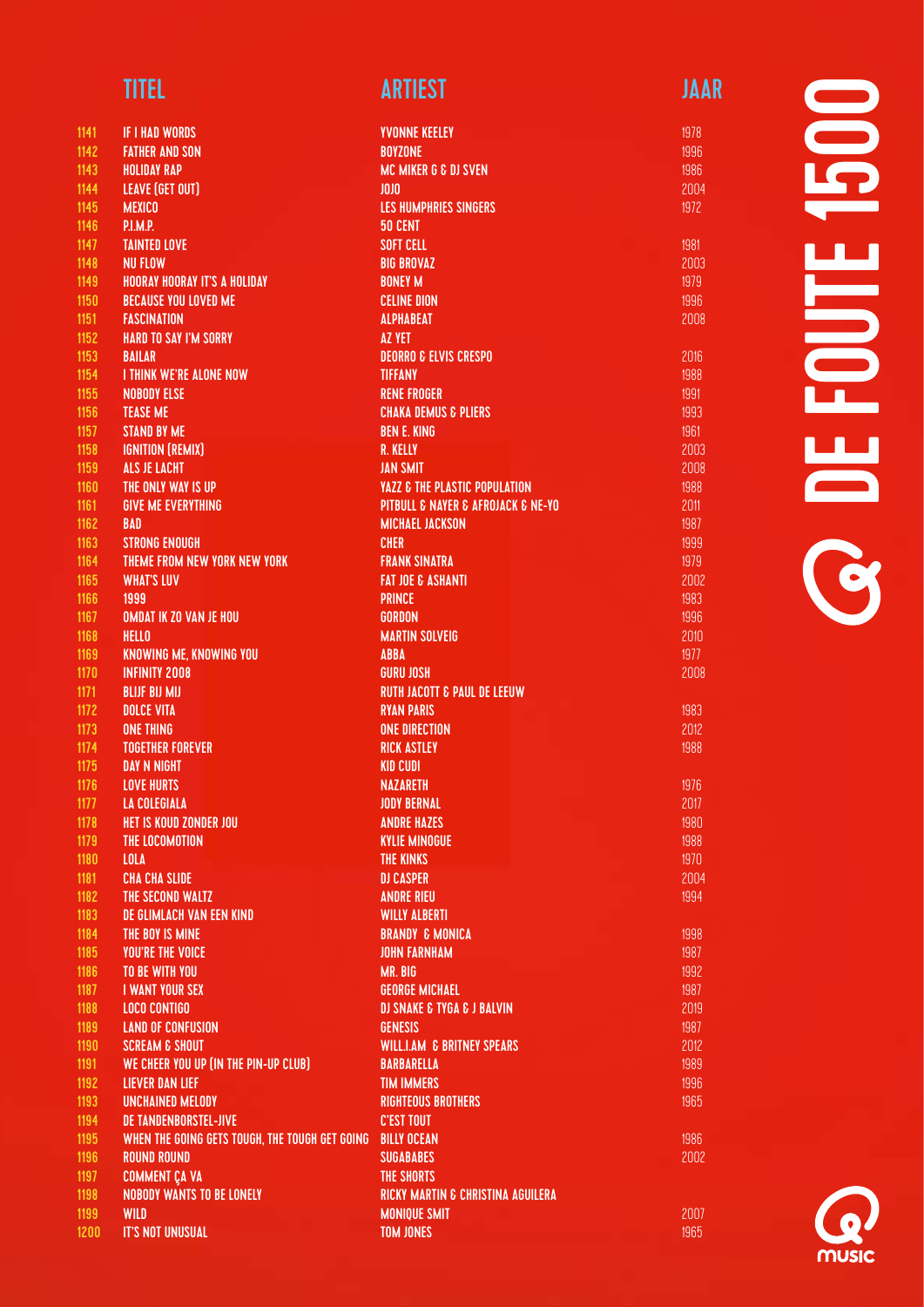| 1141 | <b>IF I HAD WORDS</b>                          |
|------|------------------------------------------------|
| 1142 | <b>FATHER AND SON</b>                          |
| 1143 | <b>HOLIDAY RAP</b>                             |
| 1144 | <b>LEAVE (GET OUT)</b>                         |
| 1145 | <b>MEXICO</b>                                  |
| 1146 | <b>P.I.M.P.</b>                                |
| 1147 | <b>TAINTED LOVE</b>                            |
| 1148 | <b>NU FLOW</b>                                 |
| 1149 | <b>HOORAY HOORAY IT'S A HOLIDAY</b>            |
| 1150 | <b>BECAUSE YOU LOVED ME</b>                    |
| 1151 | <b>FASCINATION</b>                             |
| 1152 | <b>HARD TO SAY I'M SORRY</b>                   |
| 1153 | <b>BAILAR</b>                                  |
| 1154 | <b>I THINK WE'RE ALONE NOW</b>                 |
| 1155 | <b>NOBODY ELSE</b>                             |
|      | <b>TEASE ME</b>                                |
| 1156 | <b>STAND BY ME</b>                             |
| 1157 |                                                |
| 1158 | <b>IGNITION (REMIX)</b>                        |
| 1159 | <b>ALS JE LACHT</b>                            |
| 1160 | THE ONLY WAY IS UP                             |
| 1161 | <b>GIVE ME EVERYTHING</b>                      |
| 1162 | <b>BAD</b>                                     |
| 1163 | <b>STRONG ENOUGH</b>                           |
| 1164 | THEME FROM NEW YORK NEW YORK                   |
| 1165 | <b>WHAT'S LUV</b>                              |
| 1166 | 1999                                           |
| 1167 | <b>OMDAT IK ZO VAN JE HOU</b>                  |
| 1168 | HELLO                                          |
| 1169 | KNOWING ME, KNOWING YOU                        |
| 1170 | <b>INFINITY 2008</b>                           |
| 1171 | <b>BLIJF BIJ MIJ</b>                           |
| 1172 | <b>DOLCE VITA</b>                              |
| 1173 | <b>ONE THING</b>                               |
| 1174 | <b>TOGETHER FOREVER</b>                        |
| 1175 | <b>DAY N NIGHT</b>                             |
| 1176 | <b>LOVE HURTS</b>                              |
| 1177 | <b>LA COLEGIALA</b>                            |
| 1178 | HET IS KOUD ZONDER JOU                         |
| 1179 | <b>THE LOCOMOTION</b>                          |
| 1180 | <b>LOLA</b>                                    |
| 1181 | <b>CHA CHA SLIDE</b>                           |
| 1182 | THE SECOND WALTZ                               |
| 1183 | DE GLIMLACH VAN EEN KIND                       |
| 1184 | THE BOY IS MINE                                |
| 1185 | <b>YOU'RE THE VOICE</b>                        |
| 1186 | <b>TO BE WITH YOU</b>                          |
| 1187 | <b>I WANT YOUR SEX</b>                         |
|      | <b>LOCO CONTIGO</b>                            |
| 1188 |                                                |
| 1189 | <b>LAND OF CONFUSION</b>                       |
| 1190 | <b>SCREAM &amp; SHOUT</b>                      |
| 1191 | WE CHEER YOU UP (IN THE PIN-UP CLUB)           |
| 1192 | <b>LIEVER DAN LIEF</b>                         |
| 1193 | <b>UNCHAINED MELODY</b>                        |
| 1194 | <b>DE TANDENBORSTEL-JIVE</b>                   |
| 1195 | WHEN THE GOING GETS TOUGH, THE TOUGH GET GOING |
| 1196 | <b>ROUND ROUND</b>                             |
| 1197 | <b>COMMENT ÇA VA</b>                           |
| 1198 | <b>NOBODY WANTS TO BE LONELY</b>               |
| 1199 | WILD                                           |
| 1200 | <b>IT'S NOT UNUSUAL</b>                        |

| YVONNE KEELEY                             |
|-------------------------------------------|
| <b>BOYZONE</b>                            |
| <b>MC MIKER G &amp; DJ SVEN</b>           |
| JOJO                                      |
| <b>LES HUMPHRIES SINGERS</b>              |
| 50 CENT                                   |
| <b>SOFT CELL</b>                          |
|                                           |
| <b>BIG BROVAZ</b>                         |
| <b>BONEY M</b>                            |
| <b>CELINE DION</b>                        |
| <b>ALPHABEAT</b>                          |
| <b>AZ YET</b>                             |
| <b>DEORRO &amp; ELVIS CRESPO</b>          |
| <b>TIFFANY</b>                            |
| <b>RENE FROGER</b>                        |
|                                           |
| <b>CHAKA DEMUS &amp; PLIERS</b>           |
| <b>BEN E. KING</b>                        |
| <b>R. KELLY</b>                           |
| <b>JAN SMIT</b>                           |
| <b>YAZZ &amp; THE PLASTIC POPULATION</b>  |
| PITBULL & NAYER & AFROJACK & NE-YO        |
| <b>MICHAEL JACKSON</b>                    |
| <b>CHER</b>                               |
| <b>FRANK SINATRA</b>                      |
| <b>FAT JOE &amp; ASHANTI</b>              |
|                                           |
| <b>PRINCE</b>                             |
| <b>GORDON</b>                             |
| <b>MARTIN SOLVEIG</b>                     |
| <b>ABBA</b>                               |
| <b>GURU JOSH</b>                          |
| <b>RUTH JACOTT &amp; PAUL DE LEEUW</b>    |
| <b>RYAN PARIS</b>                         |
| <b>ONE DIRECTION</b>                      |
| <b>RICK ASTLEY</b>                        |
|                                           |
| <b>KID CUDI</b>                           |
| <b>NAZARETH</b>                           |
| <b>JODY BERNAL</b>                        |
| <b>ANDRE HAZES</b>                        |
| <b>KYLIE MINOGUE</b>                      |
| <b>THE KINKS</b>                          |
| <b>DJ CASPER</b>                          |
| <b>ANDRE RIEU</b>                         |
| <b>WILLY ALBERTI</b>                      |
|                                           |
| <b>BRANDY &amp; MONICA</b>                |
| <b>JOHN FARNHAM</b>                       |
| MR. BIG                                   |
| <b>GEORGE MICHAEL</b>                     |
| <b>DJ SNAKE &amp; TYGA &amp; J BALVIN</b> |
| <b>GENESIS</b>                            |
| <b>WILL.I.AM &amp; BRITNEY SPEARS</b>     |
| <b>BARBARELLA</b>                         |
| <b>TIM IMMERS</b>                         |
|                                           |
| RIGHTEOUS BROTHERS                        |
| <b>C'EST TOUT</b>                         |
| <b>BILLY OCEAN</b>                        |
| <b>SUGABABES</b>                          |
| THE SHORTS                                |
| RICKY MARTIN & CHRISTINA AGUILERA         |
| <b>MONIQUE SMIT</b>                       |
| <b>TOM JONES</b>                          |
|                                           |
|                                           |

 $\overline{\mathbf{D}}$ DE FOUTE 1500 **HINT OL** 

1983 2012 1988

1986 2002

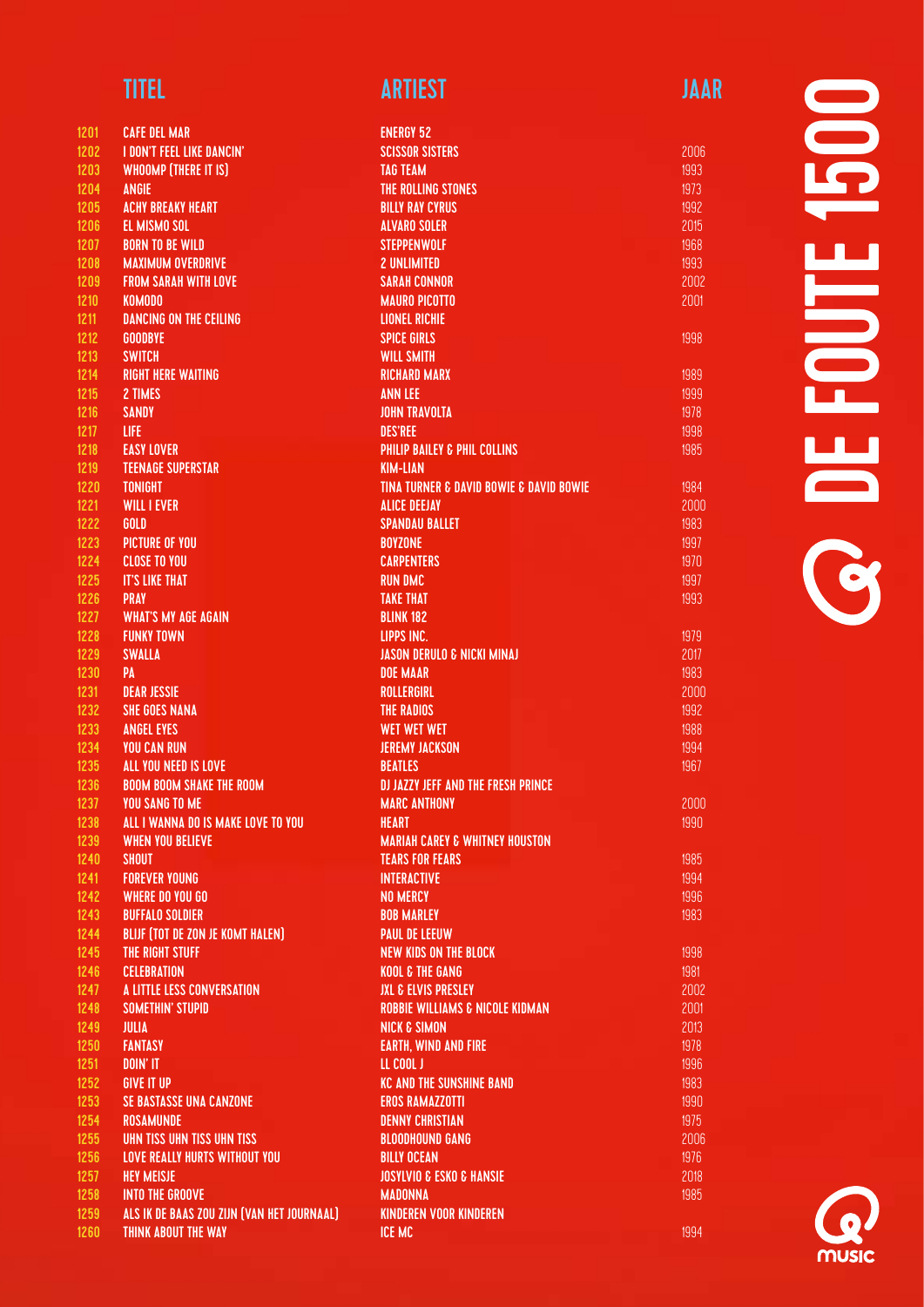| 1201         | <b>CAFE DEL MAR</b>                                                       |
|--------------|---------------------------------------------------------------------------|
| 1202         | <b>I DON'T FEEL LIKE DANCIN'</b>                                          |
| 1203         | <b>WHOOMP (THERE IT IS)</b>                                               |
| 1204         | <b>ANGIE</b>                                                              |
| 1205         | <b>ACHY BREAKY HEART</b>                                                  |
| 1206         | <b>EL MISMO SOL</b>                                                       |
| 1207         | <b>BORN TO BE WILD</b>                                                    |
| 1208         | <b>MAXIMUM OVERDRIVE</b>                                                  |
| 1209         | <b>FROM SARAH WITH LOVE</b>                                               |
| 1210         | <b>KOMODO</b>                                                             |
| 1211         | <b>DANCING ON THE CEILING</b>                                             |
| 1212         | <b>GOODBYE</b>                                                            |
| 1213         | <b>SWITCH</b>                                                             |
| 1214         | <b>RIGHT HERE WAITING</b>                                                 |
| 1215         | 2 TIMES                                                                   |
| 1216         | <b>SANDY</b>                                                              |
| 1217         | <b>LIFE</b>                                                               |
|              |                                                                           |
| 1218         | <b>EASY LOVER</b>                                                         |
| 1219         | <b>TEENAGE SUPERSTAR</b>                                                  |
| 1220         | <b>TONIGHT</b>                                                            |
| 1221         | <b>WILL I EVER</b>                                                        |
| 1222         | GOLD                                                                      |
| 1223         | <b>PICTURE OF YOU</b>                                                     |
| 1224         | <b>CLOSE TO YOU</b>                                                       |
| 1225         | <b>IT'S LIKE THAT</b>                                                     |
| 1226         | <b>PRAY</b>                                                               |
| 1227         | <b>WHAT'S MY AGE AGAIN</b>                                                |
| 1228         | <b>FUNKY TOWN</b>                                                         |
| 1229         | <b>SWALLA</b>                                                             |
| 1230         | PA                                                                        |
| 1231         | <b>DEAR JESSIE</b>                                                        |
| 1232         | <b>SHE GOES NANA</b>                                                      |
| 1233         | <b>ANGEL EYES</b>                                                         |
| 1234         | <b>YOU CAN RUN</b>                                                        |
| 1235         | ALL YOU NEED IS LOVE                                                      |
| 1236         | <b>BOOM BOOM SHAKE THE ROOM</b>                                           |
| 1237         | <b>YOU SANG TO ME</b>                                                     |
| 1238         | ALL I WANNA DO IS MAKE LOVE TO YOU                                        |
| 1239         | <b>WHEN YOU BELIEVE</b>                                                   |
| 1240         | <b>SHOUT</b>                                                              |
| 1241         | <b>FOREVER YOUNG</b>                                                      |
| 1242         | <b>WHERE DO YOU GO</b>                                                    |
| 1243         | <b>BUFFALO SOLDIER</b>                                                    |
| 1244         | <b>BLIJF (TOT DE ZON JE KOMT HALEN)</b>                                   |
| 1245         | THE RIGHT STUFF                                                           |
| 1246         | <b>CELEBRATION</b>                                                        |
| 1247         | A LITTLE LESS CONVERSATION                                                |
| 1248         | <b>SOMETHIN' STUPID</b>                                                   |
| 1249         | JULIA                                                                     |
| 1250         | <b>FANTASY</b>                                                            |
| 1251         | DOIN' IT                                                                  |
| 1252         | <b>GIVE IT UP</b>                                                         |
| 1253         | <b>SE BASTASSE UNA CANZONE</b>                                            |
| 1254         | <b>ROSAMUNDE</b>                                                          |
| 1255<br>1256 | <b>UHN TISS UHN TISS UHN TISS</b><br><b>LOVE REALLY HURTS WITHOUT YOU</b> |
|              |                                                                           |
| 1257         | <b>HEY MEISJE</b>                                                         |
| 1258         | <b>INTO THE GROOVE</b>                                                    |
| 1259         | ALS IK DE BAAS ZOU ZIJN (VAN HET JOURNAAL)                                |

THINK ABOUT THE WAY

### TITEL ARTIEST ARTIEST ARTIEST ARTIEST ARTIEST A

| <b>ENERGY 52</b>                           |
|--------------------------------------------|
| <b>SCISSOR SISTERS</b>                     |
| <b>TAG TEAM</b>                            |
| THE ROLLING STONES                         |
| <b>BILLY RAY CYRUS</b>                     |
| <b>ALVARO SOLER</b>                        |
| <b>STEPPENWOLF</b>                         |
|                                            |
| <b>2 UNLIMITED</b>                         |
| <b>SARAH CONNOR</b>                        |
| <b>MAURO PICOTTO</b>                       |
| <b>LIONEL RICHIE</b>                       |
| <b>SPICE GIRLS</b>                         |
| <b>WILL SMITH</b>                          |
| <b>RICHARD MARX</b>                        |
| <b>ANN LEE</b>                             |
| <b>JOHN TRAVOLTA</b>                       |
| <b>DES'REE</b>                             |
|                                            |
| <b>PHILIP BAILEY &amp; PHIL COLLINS</b>    |
| <b>KIM-LIAN</b>                            |
| TINA TURNER & DAVID BOWIE & DAVID BOWIE    |
| <b>ALICE DEEJAY</b>                        |
| <b>SPANDAU BALLET</b>                      |
| <b>BOYZONE</b>                             |
| <b>CARPENTERS</b>                          |
| <b>RUN DMC</b>                             |
| <b>TAKE THAT</b>                           |
| <b>BLINK 182</b>                           |
| LIPPS INC.                                 |
|                                            |
| <b>JASON DERULO &amp; NICKI MINAJ</b>      |
| <b>DOE MAAR</b>                            |
| <b>ROLLERGIRL</b>                          |
| <b>THE RADIOS</b>                          |
| <b>WET WET WET</b>                         |
| <b>JEREMY JACKSON</b>                      |
| <b>BEATLES</b>                             |
| <b>DJ JAZZY JEFF AND THE FRESH PRINCE</b>  |
| <b>MARC ANTHONY</b>                        |
| <b>HEART</b>                               |
| <b>MARIAH CAREY &amp; WHITNEY HOUSTON</b>  |
|                                            |
| <b>TEARS FOR FEARS</b>                     |
| <b>INTERACTIVE</b>                         |
| <b>NO MERCY</b>                            |
| <b>BOB MARLEY</b>                          |
| <b>PAUL DE LEEUW</b>                       |
| <b>NEW KIDS ON THE BLOCK</b>               |
| <b>KOOL &amp; THE GANG</b>                 |
| <b>JXL &amp; ELVIS PRESLEY</b>             |
| <b>ROBBIE WILLIAMS &amp; NICOLE KIDMAN</b> |
| <b>NICK &amp; SIMON</b>                    |
| <b>EARTH, WIND AND FIRE</b>                |
|                                            |
| LL COOL J                                  |
| <b>KC AND THE SUNSHINE BAND</b>            |
| <b>EROS RAMAZZOTTI</b>                     |
| <b>DENNY CHRISTIAN</b>                     |
| <b>BLOODHOUND GANG</b>                     |
| <b>BILLY OCEAN</b>                         |
| <b>JOSYLVIO &amp; ESKO &amp; HANSIE</b>    |
| <b>MADONNA</b>                             |
| <b>KINDEREN VOOR KINDEREN</b>              |
| <b>ICE MC</b>                              |
|                                            |

# **UDDE** DE FOUTE 1500  $\frac{1}{1}$ **OC**

1998

2000 1990

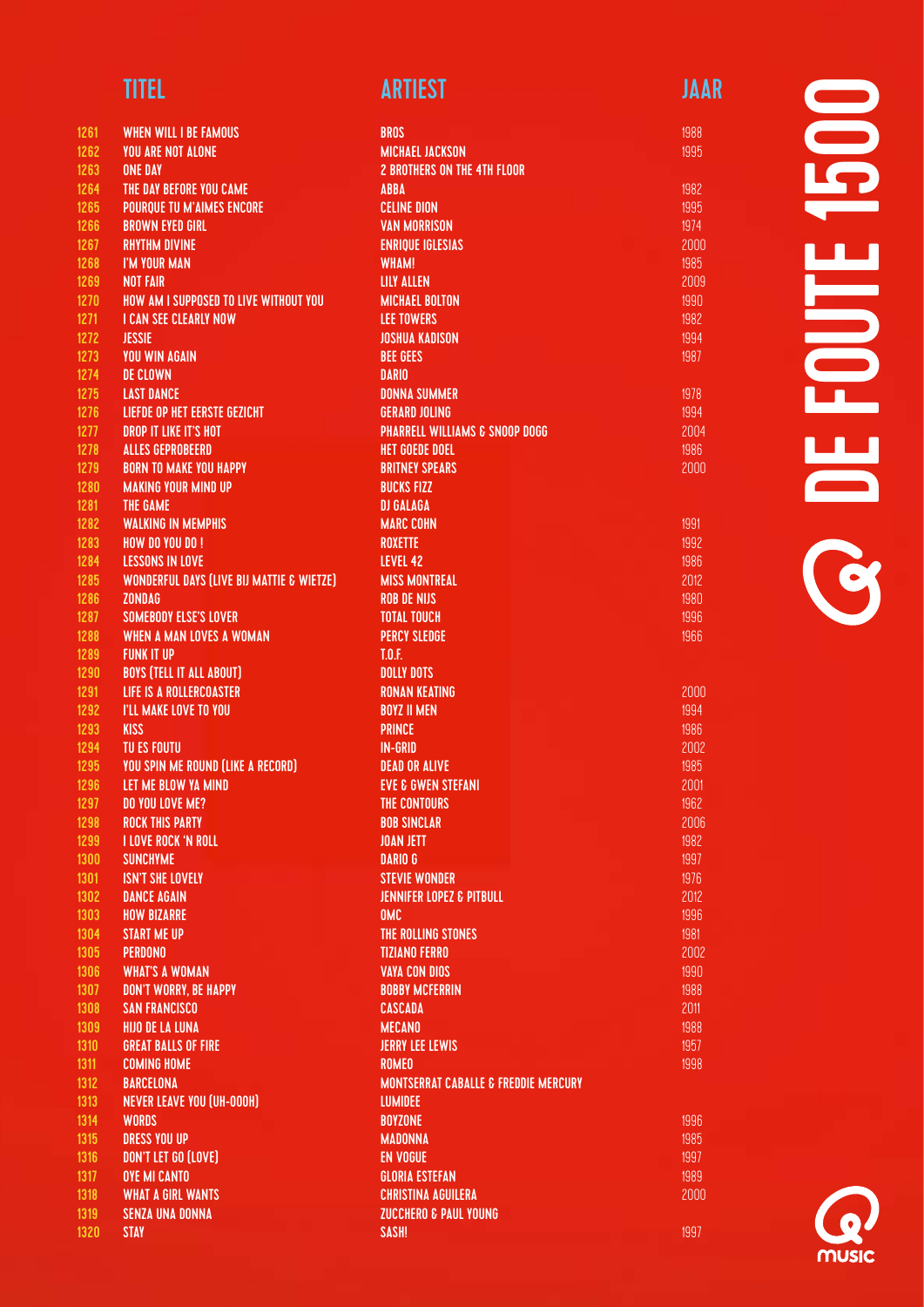| <b>TITEL</b> | <b>ARTIEST</b> | JAAR |
|--------------|----------------|------|
|              |                |      |

| 1261 | <b>WHEN WILL I BE FAMOUS</b>                         | <b>BROS</b>                                     |
|------|------------------------------------------------------|-------------------------------------------------|
| 1262 | <b>YOU ARE NOT ALONE</b>                             | <b>MICHAEL JACKSON</b>                          |
| 1263 | <b>ONE DAY</b>                                       | <b>2 BROTHERS ON THE 4TH FLOOR</b>              |
| 1264 | THE DAY BEFORE YOU CAME                              | <b>ABBA</b>                                     |
| 1265 | <b>POURQUE TU M'AIMES ENCORE</b>                     | <b>CELINE DION</b>                              |
| 1266 | <b>BROWN EYED GIRL</b>                               | <b>VAN MORRISON</b>                             |
| 1267 | <b>RHYTHM DIVINE</b>                                 | <b>ENRIQUE IGLESIAS</b>                         |
| 1268 | I'M YOUR MAN                                         | <b>WHAM!</b>                                    |
| 1269 | <b>NOT FAIR</b>                                      | <b>LILY ALLEN</b>                               |
| 1270 | <b>HOW AM I SUPPOSED TO LIVE WITHOUT YOU</b>         | <b>MICHAEL BOLTON</b>                           |
| 1271 | <b>I CAN SEE CLEARLY NOW</b>                         | <b>LEE TOWERS</b>                               |
| 1272 | <b>JESSIE</b>                                        | <b>JOSHUA KADISON</b>                           |
| 1273 | <b>YOU WIN AGAIN</b>                                 | <b>BEE GEES</b>                                 |
| 1274 | <b>DE CLOWN</b>                                      | <b>DARIO</b>                                    |
| 1275 |                                                      |                                                 |
|      | <b>LAST DANCE</b>                                    | <b>DONNA SUMMER</b>                             |
| 1276 | <b>LIEFDE OP HET EERSTE GEZICHT</b>                  | <b>GERARD JOLING</b>                            |
| 1277 | <b>DROP IT LIKE IT'S HOT</b>                         | <b>PHARRELL WILLIAMS &amp; SNOOP DOGG</b>       |
| 1278 | <b>ALLES GEPROBEERD</b>                              | <b>HET GOEDE DOEL</b>                           |
| 1279 | <b>BORN TO MAKE YOU HAPPY</b>                        | <b>BRITNEY SPEARS</b>                           |
| 1280 | <b>MAKING YOUR MIND UP</b>                           | <b>BUCKS FIZZ</b>                               |
| 1281 | THE GAME                                             | <b>DJ GALAGA</b>                                |
| 1282 | <b>WALKING IN MEMPHIS</b>                            | <b>MARC COHN</b>                                |
| 1283 | <b>HOW DO YOU DO!</b>                                | <b>ROXETTE</b>                                  |
| 1284 | <b>LESSONS IN LOVE</b>                               | LEVEL 42                                        |
| 1285 | <b>WONDERFUL DAYS (LIVE BIJ MATTIE &amp; WIETZE)</b> | <b>MISS MONTREAL</b>                            |
| 1286 | <b>ZONDAG</b>                                        | <b>ROB DE NIJS</b>                              |
| 1287 | <b>SOMEBODY ELSE'S LOVER</b>                         | <b>TOTAL TOUCH</b>                              |
| 1288 | <b>WHEN A MAN LOVES A WOMAN</b>                      | <b>PERCY SLEDGE</b>                             |
| 1289 | <b>FUNK IT UP</b>                                    | L0.E.                                           |
| 1290 | <b>BOYS (TELL IT ALL ABOUT)</b>                      | <b>DOLLY DOTS</b>                               |
| 1291 | <b>LIFE IS A ROLLERCOASTER</b>                       | <b>RONAN KEATING</b>                            |
| 1292 | I'LL MAKE LOVE TO YOU                                | <b>BOYZ II MEN</b>                              |
| 1293 | <b>KISS</b>                                          | <b>PRINCE</b>                                   |
| 1294 | <b>TU ES FOUTU</b>                                   | <b>IN-GRID</b>                                  |
| 1295 | <b>YOU SPIN ME ROUND (LIKE A RECORD)</b>             | <b>DEAD OR ALIVE</b>                            |
| 1296 | LET ME BLOW YA MIND                                  | <b>EVE &amp; GWEN STEFANI</b>                   |
| 1297 | <b>DO YOU LOVE ME?</b>                               | THE CONTOURS                                    |
| 1298 | <b>ROCK THIS PARTY</b>                               | <b>BOB SINCLAR</b>                              |
| 1299 | <b>I LOVE ROCK 'N ROLL</b>                           | <b>JOAN JETT</b>                                |
| 1300 | <b>SUNCHYME</b>                                      | <b>DARIO G</b>                                  |
| 1301 | <b>ISN'T SHE LOVELY</b>                              | <b>STEVIE WONDER</b>                            |
| 1302 | <b>DANCE AGAIN</b>                                   | <b>JENNIFER LOPEZ &amp; PITBULL</b>             |
| 1303 | <b>HOW BIZARRE</b>                                   | <b>OMC</b>                                      |
| 1304 | <b>START ME UP</b>                                   | THE ROLLING STONES                              |
|      |                                                      |                                                 |
| 1305 | <b>PERDONO</b>                                       | <b>TIZIANO FERRO</b>                            |
| 1306 | <b>WHAT'S A WOMAN</b>                                | <b>VAYA CON DIOS</b>                            |
| 1307 | DON'T WORRY, BE HAPPY                                | <b>BOBBY MCFERRIN</b>                           |
| 1308 | <b>SAN FRANCISCO</b>                                 | CASCADA                                         |
| 1309 | <b>HIJO DE LA LUNA</b>                               | <b>MECANO</b>                                   |
| 1310 | <b>GREAT BALLS OF FIRE</b>                           | <b>JERRY LEE LEWIS</b>                          |
| 1311 | <b>COMING HOME</b>                                   | <b>ROMEO</b>                                    |
| 1312 | <b>BARCELONA</b>                                     | <b>MONTSERRAT CABALLE &amp; FREDDIE MERCURY</b> |
| 1313 | <b>NEVER LEAVE YOU (UH-000H)</b>                     | <b>LUMIDEE</b>                                  |
| 1314 | <b>WORDS</b>                                         | <b>BOYZONE</b>                                  |
| 1315 | <b>DRESS YOU UP</b>                                  | <b>MADONNA</b>                                  |
| 1316 | DON'T LET GO (LOVE)                                  | <b>EN VOGUE</b>                                 |
| 1317 | <b>OYE MI CANTO</b>                                  | <b>GLORIA ESTEFAN</b>                           |
| 1318 | <b>WHAT A GIRL WANTS</b>                             | <b>CHRISTINA AGUILERA</b>                       |
| 1319 | <b>SENZA UNA DONNA</b>                               | <b>ZUCCHERO &amp; PAUL YOUNG</b>                |
| 1320 | <b>STAY</b>                                          | SASH!                                           |
|      |                                                      |                                                 |

1997

 $\blacksquare$ DE FOUTE 1500 UUL<br>D **OF** 

**MUSIC**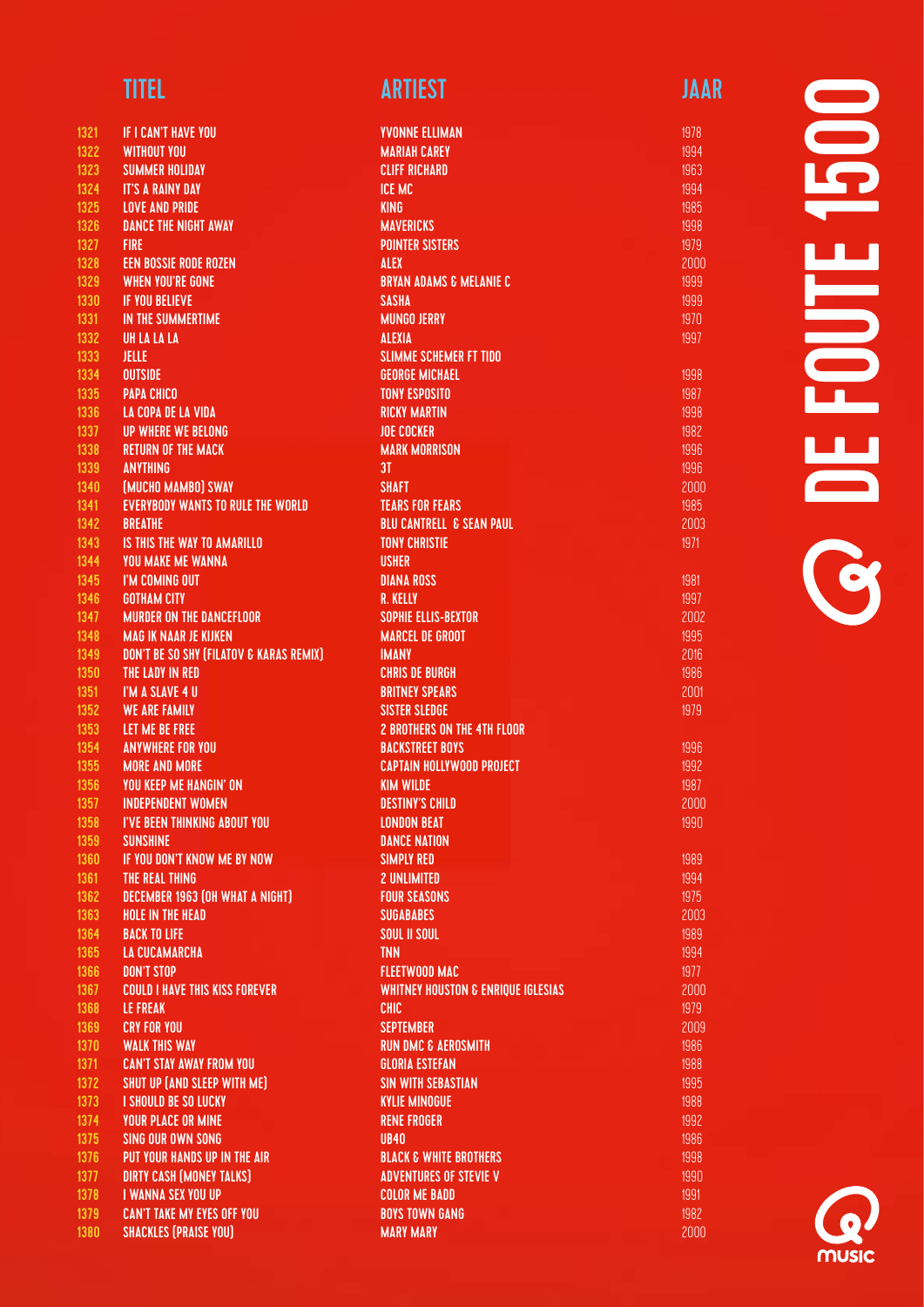| 1321         | IF I CAN'T HAVE YOU                            |
|--------------|------------------------------------------------|
| 1322         | <b>WITHOUT YOU</b>                             |
| 1323         | <b>SUMMER HOLIDAY</b>                          |
| 1324         | <b>IT'S A RAINY DAY</b>                        |
| 1325         | <b>LOVE AND PRIDE</b>                          |
| 1326         | <b>DANCE THE NIGHT AWAY</b>                    |
| 1327         | <b>FIRE</b>                                    |
| 1328         | <b>EEN BOSSIE RODE ROZEN</b>                   |
| 1329         | <b>WHEN YOU'RE GONE</b>                        |
| 1330         | <b>IF YOU BELIEVE</b>                          |
| 1331         | <b>IN THE SUMMERTIME</b>                       |
| 1332         | <b>UH LA LA LA</b>                             |
| 1333         | JELLE<br><b>OUTSIDE</b>                        |
| 1334         | <b>PAPA CHICO</b>                              |
| 1335<br>1336 | <b>LA COPA DE LA VIDA</b>                      |
| 1337         | <b>UP WHERE WE BELONG</b>                      |
| 1338         | <b>RETURN OF THE MACK</b>                      |
| 1339         | <b>ANYTHING</b>                                |
| 1340         | <b>(MUCHO MAMBO) SWAY</b>                      |
| 1341         | <b>EVERYBODY WANTS TO RULE THE WORLD</b>       |
| 1342         | <b>BREATHE</b>                                 |
| 1343         | <b>IS THIS THE WAY TO AMARILLO</b>             |
| 1344         | <b>YOU MAKE ME WANNA</b>                       |
| 1345         | I'M COMING OUT                                 |
| 1346         | <b>GOTHAM CITY</b>                             |
| 1347         | <b>MURDER ON THE DANCEFLOOR</b>                |
| 1348         | <b>MAG IK NAAR JE KIJKEN</b>                   |
| 1349         | DON'T BE SO SHY (FILATOV & KARAS REMIX)        |
| 1350         | <b>THE LADY IN RED</b>                         |
| 1351         | I'M A SLAVE 4 U                                |
| 1352         | <b>WE ARE FAMILY</b>                           |
| 1353         | <b>LET ME BE FREE</b>                          |
| 1354         | <b>ANYWHERE FOR YOU</b>                        |
| 1355         | <b>MORE AND MORE</b>                           |
| 1356         | <b>YOU KEEP ME HANGIN' ON</b>                  |
| 1357         | <b>INDEPENDENT WOMEN</b>                       |
| 1358         | <b>I'VE BEEN THINKING ABOUT YOU</b>            |
| 1359         | <b>SUNSHINE</b>                                |
| 1360         | IF YOU DON'T KNOW ME BY NOW                    |
| 1361         | <b>THE REAL THING</b>                          |
| 1362         | <b>DECEMBER 1963 (OH WHAT A NIGHT)</b>         |
| 1363         | <b>HOLE IN THE HEAD</b><br><b>BACK TO LIFE</b> |
| 1364<br>1365 | <b>LA CUCAMARCHA</b>                           |
| 1366         | <b>DON'T STOP</b>                              |
| 1367         | <b>COULD I HAVE THIS KISS FOREVER</b>          |
| 1368         | <b>LE FREAK</b>                                |
| 1369         | <b>CRY FOR YOU</b>                             |
| 1370         | <b>WALK THIS WAY</b>                           |
| 1371         | <b>CAN'T STAY AWAY FROM YOU</b>                |
| 1372         | <b>SHUT UP (AND SLEEP WITH ME)</b>             |
| 1373         | <b>I SHOULD BE SO LUCKY</b>                    |
| 1374         | <b>YOUR PLACE OR MINE</b>                      |
| 1375         | <b>SING OUR OWN SONG</b>                       |
| 1376         | PUT YOUR HANDS UP IN THE AIR                   |
| 1377         | <b>DIRTY CASH (MONEY TALKS)</b>                |
| 1378         | I WANNA SEX YOU UP                             |
| 1379         | <b>CAN'T TAKE MY EYES OFF YOU</b>              |
| 1380         | <b>SHACKLES (PRAISE YOU)</b>                   |

| <b>YVONNE ELLIMAN</b>                                        |  |
|--------------------------------------------------------------|--|
| <b>MARIAH CAREY</b>                                          |  |
| <b>CLIFF RICHARD</b>                                         |  |
| <b>ICE MC</b>                                                |  |
| <b>KING</b>                                                  |  |
| <b>MAVERICKS</b>                                             |  |
| <b>POINTER SISTERS</b>                                       |  |
| <b>ALEX</b>                                                  |  |
| <b>BRYAN ADAMS &amp; MELANIE C</b>                           |  |
| <b>SASHA</b>                                                 |  |
| <b>MUNGO JERRY</b>                                           |  |
| <b>ALEXIA</b>                                                |  |
|                                                              |  |
| <b>SLIMME SCHEMER FT TIDO</b>                                |  |
| <b>GEORGE MICHAEL</b>                                        |  |
| <b>TONY ESPOSITO</b>                                         |  |
| <b>RICKY MARTIN</b>                                          |  |
| <b>JOE COCKER</b>                                            |  |
| <b>MARK MORRISON</b>                                         |  |
| 3T                                                           |  |
| <b>SHAFT</b>                                                 |  |
| <b>TEARS FOR FEARS</b>                                       |  |
| <b>BLU CANTRELL 6 SEAN PAUL</b>                              |  |
| <b>TONY CHRISTIE</b>                                         |  |
| <b>USHER</b>                                                 |  |
| <b>DIANA ROSS</b>                                            |  |
| <b>R. KELLY</b>                                              |  |
| SOPHIE ELLIS-BEXTOR                                          |  |
| <b>MARCEL DE GROOT</b>                                       |  |
| <b>IMANY</b>                                                 |  |
| <b>CHRIS DE BURGH</b>                                        |  |
| <b>BRITNEY SPEARS</b>                                        |  |
| <b>SISTER SLEDGE</b>                                         |  |
|                                                              |  |
| <b>2 BROTHERS ON THE 4TH FLOOR</b><br><b>BACKSTREET BOYS</b> |  |
|                                                              |  |
| <b>CAPTAIN HOLLYWOOD PROJECT</b>                             |  |
| <b>KIM WILDE</b>                                             |  |
| <b>DESTINY'S CHILD</b>                                       |  |
| <b>LONDON BEAT</b>                                           |  |
| <b>DANCE NATION</b>                                          |  |
| <b>SIMPLY RED</b>                                            |  |
| <b>2 UNLIMITED</b>                                           |  |
| <b>FOUR SEASONS</b>                                          |  |
| <b>SUGABABES</b>                                             |  |
| <b>SOUL II SOUL</b>                                          |  |
| <b>TNN</b>                                                   |  |
| <b>FLEETWOOD MAC</b>                                         |  |
| <b>WHITNEY HOUSTON &amp; ENRIQUE IGLESIAS</b>                |  |
| <b>CHIC</b>                                                  |  |
| <b>SEPTEMBER</b>                                             |  |
| <b>RUN DMC &amp; AEROSMITH</b>                               |  |
| <b>GLORIA ESTEFAN</b>                                        |  |
| <b>SIN WITH SEBASTIAN</b>                                    |  |
| <b>KYLIE MINOGUE</b>                                         |  |
| <b>RENE FROGER</b>                                           |  |
|                                                              |  |
| <b>UB40</b>                                                  |  |
| <b>BLACK &amp; WHITE BROTHERS</b>                            |  |
| <b>ADVENTURES OF STEVIE V</b>                                |  |
| <b>COLOR ME BADD</b>                                         |  |
| <b>BOYS TOWN GANG</b>                                        |  |
| <b>MARY MARY</b>                                             |  |
|                                                              |  |

# 500 DE FOUTE 1500 **SOLEFOUTE**

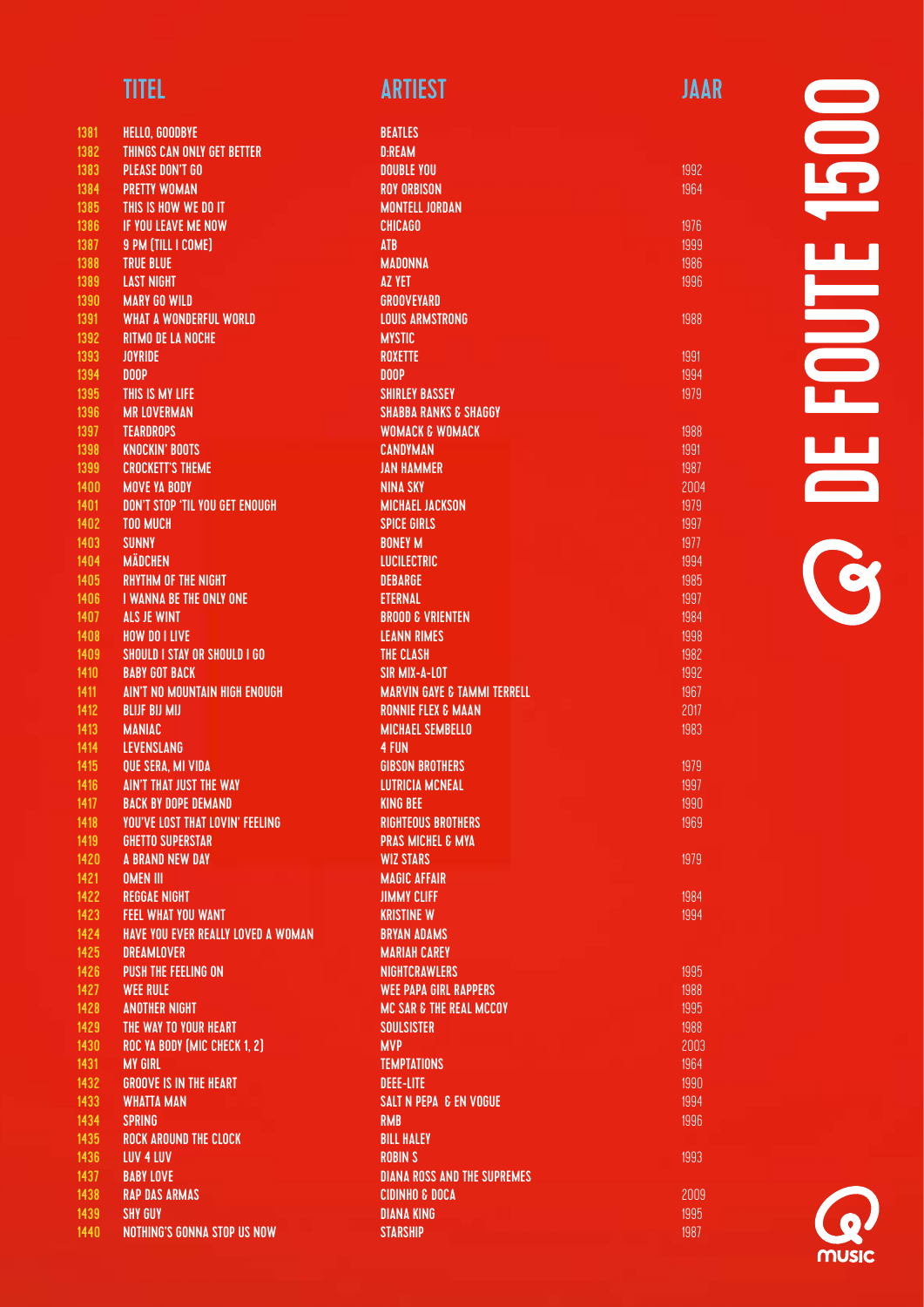| <b>1381</b>  | <b>HELLO, GOODBYE</b>                                |
|--------------|------------------------------------------------------|
| 1382         | THINGS CAN ONLY GET BETTER                           |
| 1383         | <b>PLEASE DON'T GO</b>                               |
| 1384         | <b>PRETTY WOMAN</b>                                  |
| 1385         | THIS IS HOW WE DO IT                                 |
| 1386         | <b>IF YOU LEAVE ME NOW</b>                           |
| 1387         | 9 PM (TILL I COME)                                   |
| 1388         | <b>TRUE BLUE</b>                                     |
| 1389         | <b>LAST NIGHT</b>                                    |
| 1390         | <b>MARY GO WILD</b>                                  |
| 1391         | <b>WHAT A WONDERFUL WORLD</b>                        |
| 1392         | <b>RITMO DE LA NOCHE</b>                             |
| 1393         | <b>JOYRIDE</b>                                       |
| 1394         | DOOP                                                 |
| 1395         | <b>THIS IS MY LIFE</b>                               |
| 1396         | <b>MR LOVERMAN</b>                                   |
| 1397         | <b>TEARDROPS</b>                                     |
| 1398         | <b>KNOCKIN' BOOTS</b>                                |
| 1399         | <b>CROCKETT'S THEME</b>                              |
| 1400         | <b>MOVE YA BODY</b>                                  |
| 1401         | DON'T STOP 'TIL YOU GET ENOUGH                       |
| 1402         | <b>TOO MUCH</b>                                      |
| 1403         | <b>SUNNY</b>                                         |
| 1404         | <b>MÄDCHEN</b>                                       |
| 1405         | <b>RHYTHM OF THE NIGHT</b>                           |
| 1406         | <b>I WANNA BE THE ONLY ONE</b><br><b>ALS JE WINT</b> |
| 1407         | <b>HOW DO I LIVE</b>                                 |
| 1408<br>1409 | <b>SHOULD I STAY OR SHOULD I GO</b>                  |
| 1410         | <b>BABY GOT BACK</b>                                 |
| 1411         | <b>AIN'T NO MOUNTAIN HIGH ENOUGH</b>                 |
| 1412         | <b>BLIJF BIJ MIJ</b>                                 |
| 1413         | <b>MANIAC</b>                                        |
| 1414         | <b>LEVENSLANG</b>                                    |
| 1415         | <b>QUE SERA, MI VIDA</b>                             |
| 1416         | <b>AIN'T THAT JUST THE WAY</b>                       |
| 1417         | <b>BACK BY DOPE DEMAND</b>                           |
| 1418         | <b>YOU'VE LOST THAT LOVIN' FEELING</b>               |
| 1419         | <b>GHETTO SUPERSTAR</b>                              |
| 1420         | <b>A BRAND NEW DAY</b>                               |
| 1421         | <b>OMEN III</b>                                      |
| 1422         | <b>REGGAE NIGHT</b>                                  |
| 1423         | <b>FEEL WHAT YOU WANT</b>                            |
| 1424         | <b>HAVE YOU EVER REALLY LOVED A WOMAN</b>            |
| 1425         | <b>DREAMLOVER</b>                                    |
| 1426         | <b>PUSH THE FEELING ON</b>                           |
| 1427         | <b>WEE RULE</b>                                      |
| 1428         | <b>ANOTHER NIGHT</b>                                 |
| 1429         | THE WAY TO YOUR HEART                                |
| 1430         | ROC YA BODY (MIC CHECK 1, 2)                         |
| 1431         | <b>MY GIRL</b>                                       |
| 1432         | <b>GROOVE IS IN THE HEART</b>                        |
| 1433         | <b>WHATTA MAN</b>                                    |
| 1434         | <b>SPRING</b>                                        |
| 1435         | <b>ROCK AROUND THE CLOCK</b><br><b>LUV 4 LUV</b>     |
| 1436<br>1437 | <b>BABY LOVE</b>                                     |
| 1438         | <b>RAP DAS ARMAS</b>                                 |
| 1439         | <b>SHY GUY</b>                                       |
| 1440         | NOTHING'S GONNA STOP US NOW                          |
|              |                                                      |

| <b>BEATLES</b>                         |      |
|----------------------------------------|------|
| <b>D:REAM</b>                          |      |
| <b>DOUBLE YOU</b>                      | 1992 |
| <b>ROY ORBISON</b>                     | 1964 |
| <b>MONTELL JORDAN</b>                  |      |
| <b>CHICAGO</b>                         | 1976 |
| <b>ATB</b>                             | 1999 |
| <b>MADONNA</b>                         | 1986 |
| <b>AZ YET</b>                          | 1996 |
| <b>GROOVEYARD</b>                      |      |
| <b>LOUIS ARMSTRONG</b>                 | 1988 |
| <b>MYSTIC</b>                          |      |
| <b>ROXETTE</b>                         | 1991 |
| DOOP                                   | 1994 |
|                                        | 1979 |
| <b>SHIRLEY BASSEY</b>                  |      |
| <b>SHABBA RANKS &amp; SHAGGY</b>       |      |
| <b>WOMACK &amp; WOMACK</b>             | 1988 |
| <b>CANDYMAN</b>                        | 1991 |
| <b>JAN HAMMER</b>                      | 1987 |
| <b>NINA SKY</b>                        | 2004 |
| <b>MICHAEL JACKSON</b>                 | 1979 |
| <b>SPICE GIRLS</b>                     | 1997 |
| <b>BONEY M</b>                         | 1977 |
| <b>LUCILECTRIC</b>                     | 1994 |
| <b>DEBARGE</b>                         | 1985 |
| <b>ETERNAL</b>                         | 1997 |
| <b>BROOD &amp; VRIENTEN</b>            | 1984 |
| <b>LEANN RIMES</b>                     | 1998 |
| <b>THE CLASH</b>                       | 1982 |
| <b>SIR MIX-A-LOT</b>                   | 1992 |
| <b>MARVIN GAYE &amp; TAMMI TERRELL</b> | 1967 |
| <b>RONNIE FLEX &amp; MAAN</b>          | 2017 |
| <b>MICHAEL SEMBELLO</b>                | 1983 |
| <b>4 FUN</b>                           |      |
| <b>GIBSON BROTHERS</b>                 | 1979 |
| <b>LUTRICIA MCNEAL</b>                 | 1997 |
| <b>KING BEE</b>                        | 1990 |
| <b>RIGHTEOUS BROTHERS</b>              | 1969 |
|                                        |      |
| <b>PRAS MICHEL &amp; MYA</b>           |      |
| <b>WIZ STARS</b>                       | 1979 |
| <b>MAGIC AFFAIR</b>                    |      |
| <b>JIMMY CLIFF</b>                     | 1984 |
| <b>KRISTINE W</b>                      | 1994 |
| <b>BRYAN ADAMS</b>                     |      |
| <b>MARIAH CAREY</b>                    |      |
| <b>NIGHTCRAWLERS</b>                   | 1995 |
| <b>WEE PAPA GIRL RAPPERS</b>           | 1988 |
| <b>MC SAR &amp; THE REAL MCCOY</b>     | 1995 |
| <b>SOULSISTER</b>                      | 1988 |
| <b>MVP</b>                             | 2003 |
| <b>TEMPTATIONS</b>                     | 1964 |
| <b>DEEE-LITE</b>                       | 1990 |
| <b>SALT N PEPA &amp; EN VOGUE</b>      | 1994 |
| <b>RMB</b>                             | 1996 |
| <b>BILL HALEY</b>                      |      |
| <b>ROBIN S</b>                         | 1993 |
| <b>DIANA ROSS AND THE SUPREMES</b>     |      |
| <b>CIDINHO &amp; DOCA</b>              | 2009 |
| <b>DIANA KING</b>                      | 1995 |
|                                        |      |
| <b>STARSHIP</b>                        | 1987 |
|                                        |      |

**OCC FOUTE 1500** DE FOUTE 1500

**MUSIC**